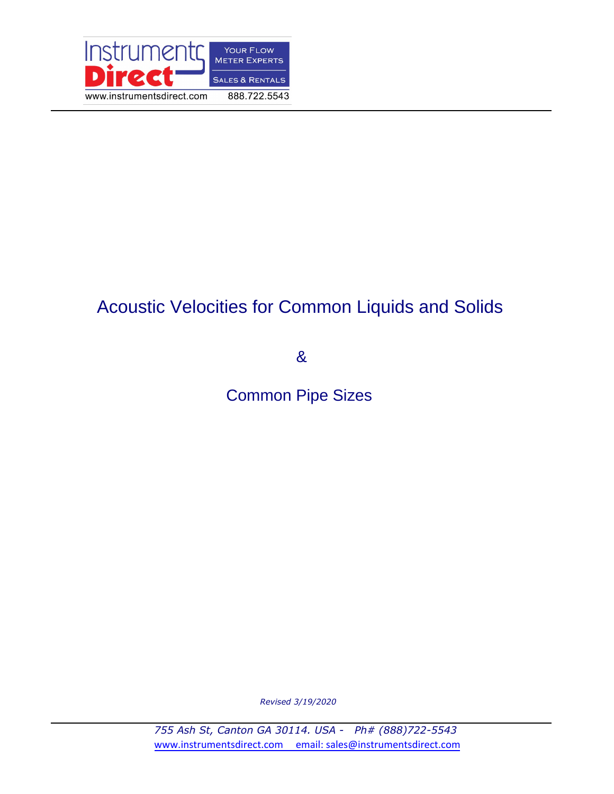

# Acoustic Velocities for Common Liquids and Solids

&

Common Pipe Sizes

*Revised 3/19/2020*

*755 Ash St, Canton GA 30114. USA - Ph# (888)722-5543* www.instrumentsdirect.com email: sales@instrumentsdirect.com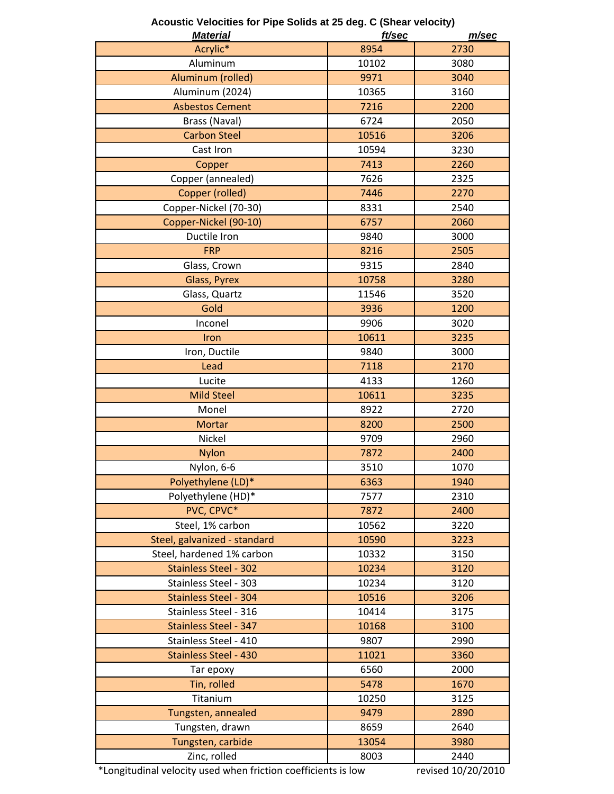| <u>Material</u>              | ft/sec | m/sec |
|------------------------------|--------|-------|
| Acrylic*                     | 8954   | 2730  |
| Aluminum                     | 10102  | 3080  |
| Aluminum (rolled)            | 9971   | 3040  |
| Aluminum (2024)              | 10365  | 3160  |
| <b>Asbestos Cement</b>       | 7216   | 2200  |
| Brass (Naval)                | 6724   | 2050  |
| <b>Carbon Steel</b>          | 10516  | 3206  |
| Cast Iron                    | 10594  | 3230  |
| Copper                       | 7413   | 2260  |
| Copper (annealed)            | 7626   | 2325  |
| Copper (rolled)              | 7446   | 2270  |
| Copper-Nickel (70-30)        | 8331   | 2540  |
| Copper-Nickel (90-10)        | 6757   | 2060  |
| Ductile Iron                 | 9840   | 3000  |
| <b>FRP</b>                   | 8216   | 2505  |
| Glass, Crown                 | 9315   | 2840  |
| Glass, Pyrex                 | 10758  | 3280  |
| Glass, Quartz                | 11546  | 3520  |
| Gold                         | 3936   | 1200  |
| Inconel                      | 9906   | 3020  |
| Iron                         | 10611  | 3235  |
| Iron, Ductile                | 9840   | 3000  |
| Lead                         | 7118   | 2170  |
| Lucite                       | 4133   | 1260  |
| <b>Mild Steel</b>            | 10611  | 3235  |
| Monel                        | 8922   | 2720  |
| <b>Mortar</b>                | 8200   | 2500  |
| Nickel                       | 9709   | 2960  |
| <b>Nylon</b>                 | 7872   | 2400  |
| Nylon, 6-6                   | 3510   | 1070  |
| Polyethylene (LD)*           | 6363   | 1940  |
| Polyethylene (HD)*           | 7577   | 2310  |
| PVC, CPVC*                   | 7872   | 2400  |
| Steel, 1% carbon             | 10562  | 3220  |
| Steel, galvanized - standard | 10590  | 3223  |
| Steel, hardened 1% carbon    | 10332  | 3150  |
| <b>Stainless Steel - 302</b> | 10234  | 3120  |
| Stainless Steel - 303        | 10234  | 3120  |
| <b>Stainless Steel - 304</b> | 10516  | 3206  |
| Stainless Steel - 316        | 10414  | 3175  |
| Stainless Steel - 347        | 10168  | 3100  |
| Stainless Steel - 410        | 9807   | 2990  |
| Stainless Steel - 430        | 11021  | 3360  |
| Tar epoxy                    | 6560   | 2000  |
| Tin, rolled                  | 5478   | 1670  |
| Titanium                     | 10250  | 3125  |
| Tungsten, annealed           | 9479   | 2890  |
| Tungsten, drawn              | 8659   | 2640  |
| Tungsten, carbide            | 13054  | 3980  |
| Zinc, rolled                 | 8003   | 2440  |

**Acoustic Velocities for Pipe Solids at 25 deg. C (Shear velocity)**

\*Longitudinal velocity used when friction coefficients is low

revised 10/20/2010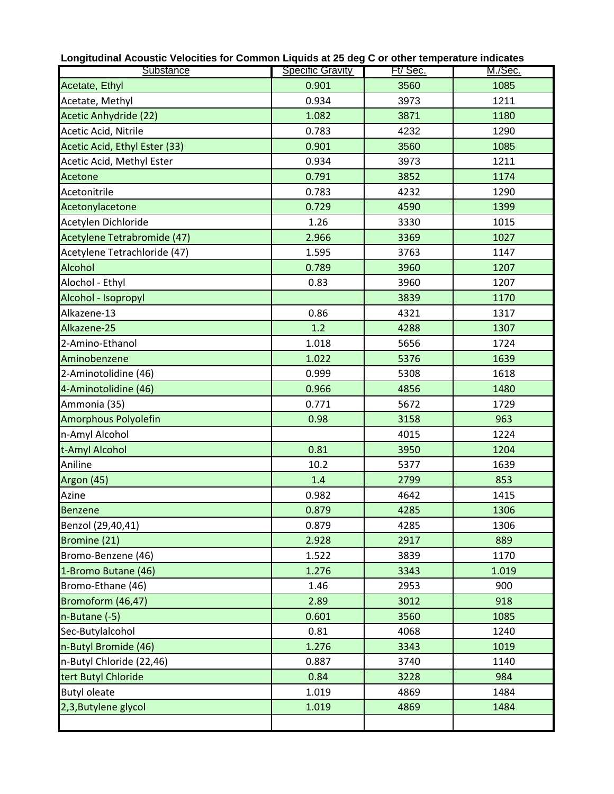| Substance                     | <b>Specific Gravity</b> | Ft/ Sec. | M./Sec. |
|-------------------------------|-------------------------|----------|---------|
| Acetate, Ethyl                | 0.901                   | 3560     | 1085    |
| Acetate, Methyl               | 0.934                   | 3973     | 1211    |
| <b>Acetic Anhydride (22)</b>  | 1.082                   | 3871     | 1180    |
| Acetic Acid, Nitrile          | 0.783                   | 4232     | 1290    |
| Acetic Acid, Ethyl Ester (33) | 0.901                   | 3560     | 1085    |
| Acetic Acid, Methyl Ester     | 0.934                   | 3973     | 1211    |
| Acetone                       | 0.791                   | 3852     | 1174    |
| Acetonitrile                  | 0.783                   | 4232     | 1290    |
| Acetonylacetone               | 0.729                   | 4590     | 1399    |
| Acetylen Dichloride           | 1.26                    | 3330     | 1015    |
| Acetylene Tetrabromide (47)   | 2.966                   | 3369     | 1027    |
| Acetylene Tetrachloride (47)  | 1.595                   | 3763     | 1147    |
| Alcohol                       | 0.789                   | 3960     | 1207    |
| Alochol - Ethyl               | 0.83                    | 3960     | 1207    |
| Alcohol - Isopropyl           |                         | 3839     | 1170    |
| Alkazene-13                   | 0.86                    | 4321     | 1317    |
| Alkazene-25                   | 1.2                     | 4288     | 1307    |
| 2-Amino-Ethanol               | 1.018                   | 5656     | 1724    |
| Aminobenzene                  | 1.022                   | 5376     | 1639    |
| 2-Aminotolidine (46)          | 0.999                   | 5308     | 1618    |
| 4-Aminotolidine (46)          | 0.966                   | 4856     | 1480    |
| Ammonia (35)                  | 0.771                   | 5672     | 1729    |
| Amorphous Polyolefin          | 0.98                    | 3158     | 963     |
| n-Amyl Alcohol                |                         | 4015     | 1224    |
| t-Amyl Alcohol                | 0.81                    | 3950     | 1204    |
| Aniline                       | 10.2                    | 5377     | 1639    |
| Argon (45)                    | 1.4                     | 2799     | 853     |
| Azine                         | 0.982                   | 4642     | 1415    |
| <b>Benzene</b>                | 0.879                   | 4285     | 1306    |
| Benzol (29,40,41)             | 0.879                   | 4285     | 1306    |
| Bromine (21)                  | 2.928                   | 2917     | 889     |
| Bromo-Benzene (46)            | 1.522                   | 3839     | 1170    |
| 1-Bromo Butane (46)           | 1.276                   | 3343     | 1.019   |
| Bromo-Ethane (46)             | 1.46                    | 2953     | 900     |
| Bromoform (46,47)             | 2.89                    | 3012     | 918     |
| n-Butane (-5)                 | 0.601                   | 3560     | 1085    |
| Sec-Butylalcohol              | 0.81                    | 4068     | 1240    |
| n-Butyl Bromide (46)          | 1.276                   | 3343     | 1019    |
| n-Butyl Chloride (22,46)      | 0.887                   | 3740     | 1140    |
| tert Butyl Chloride           | 0.84                    | 3228     | 984     |
| <b>Butyl oleate</b>           | 1.019                   | 4869     | 1484    |
| 2,3, Butylene glycol          | 1.019                   | 4869     | 1484    |
|                               |                         |          |         |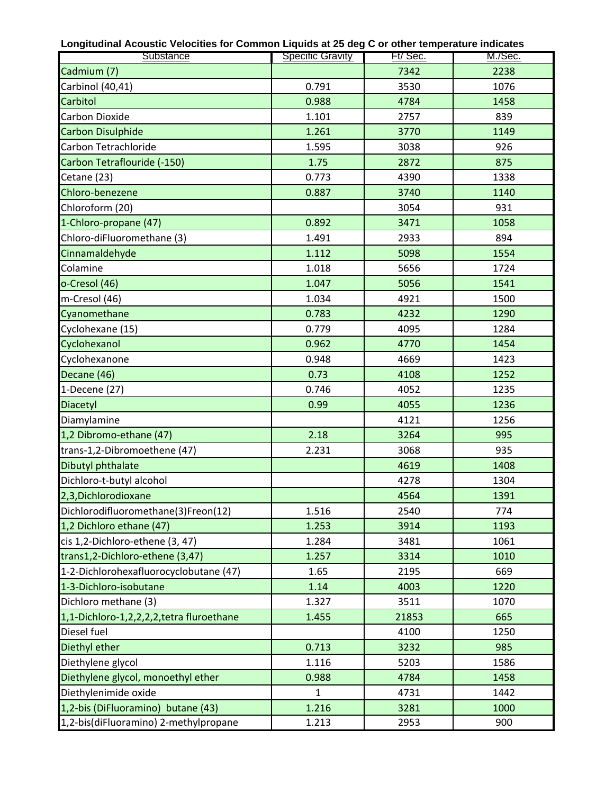| Substance                                | <b>Specific Gravity</b> | Ft/Sec. | <u>M./Sec.</u> |
|------------------------------------------|-------------------------|---------|----------------|
| Cadmium (7)                              |                         | 7342    | 2238           |
| Carbinol (40,41)                         | 0.791                   | 3530    | 1076           |
| Carbitol                                 | 0.988                   | 4784    | 1458           |
| Carbon Dioxide                           | 1.101                   | 2757    | 839            |
| <b>Carbon Disulphide</b>                 | 1.261                   | 3770    | 1149           |
| Carbon Tetrachloride                     | 1.595                   | 3038    | 926            |
| Carbon Tetraflouride (-150)              | 1.75                    | 2872    | 875            |
| Cetane (23)                              | 0.773                   | 4390    | 1338           |
| Chloro-benezene                          | 0.887                   | 3740    | 1140           |
| Chloroform (20)                          |                         | 3054    | 931            |
| 1-Chloro-propane (47)                    | 0.892                   | 3471    | 1058           |
| Chloro-diFluoromethane (3)               | 1.491                   | 2933    | 894            |
| Cinnamaldehyde                           | 1.112                   | 5098    | 1554           |
| Colamine                                 | 1.018                   | 5656    | 1724           |
| o-Cresol (46)                            | 1.047                   | 5056    | 1541           |
| m-Cresol (46)                            | 1.034                   | 4921    | 1500           |
| Cyanomethane                             | 0.783                   | 4232    | 1290           |
| Cyclohexane (15)                         | 0.779                   | 4095    | 1284           |
| Cyclohexanol                             | 0.962                   | 4770    | 1454           |
| Cyclohexanone                            | 0.948                   | 4669    | 1423           |
| Decane (46)                              | 0.73                    | 4108    | 1252           |
| 1-Decene (27)                            | 0.746                   | 4052    | 1235           |
| Diacetyl                                 | 0.99                    | 4055    | 1236           |
| Diamylamine                              |                         | 4121    | 1256           |
| 1,2 Dibromo-ethane (47)                  | 2.18                    | 3264    | 995            |
| trans-1,2-Dibromoethene (47)             | 2.231                   | 3068    | 935            |
| Dibutyl phthalate                        |                         | 4619    | 1408           |
| Dichloro-t-butyl alcohol                 |                         | 4278    | 1304           |
| 2,3, Dichlorodioxane                     |                         | 4564    | 1391           |
| Dichlorodifluoromethane(3)Freon(12)      | 1.516                   | 2540    | 774            |
| 1,2 Dichloro ethane (47)                 | 1.253                   | 3914    | 1193           |
| cis 1,2-Dichloro-ethene (3, 47)          | 1.284                   | 3481    | 1061           |
| trans1,2-Dichloro-ethene (3,47)          | 1.257                   | 3314    | 1010           |
| 1-2-Dichlorohexafluorocyclobutane (47)   | 1.65                    | 2195    | 669            |
| 1-3-Dichloro-isobutane                   | 1.14                    | 4003    | 1220           |
| Dichloro methane (3)                     | 1.327                   | 3511    | 1070           |
| 1,1-Dichloro-1,2,2,2,2,tetra fluroethane | 1.455                   | 21853   | 665            |
| Diesel fuel                              |                         | 4100    | 1250           |
| Diethyl ether                            | 0.713                   | 3232    | 985            |
| Diethylene glycol                        | 1.116                   | 5203    | 1586           |
| Diethylene glycol, monoethyl ether       | 0.988                   | 4784    | 1458           |
| Diethylenimide oxide                     | $\mathbf{1}$            | 4731    | 1442           |
| 1,2-bis (DiFluoramino) butane (43)       | 1.216                   | 3281    | 1000           |
| 1,2-bis(diFluoramino) 2-methylpropane    | 1.213                   | 2953    | 900            |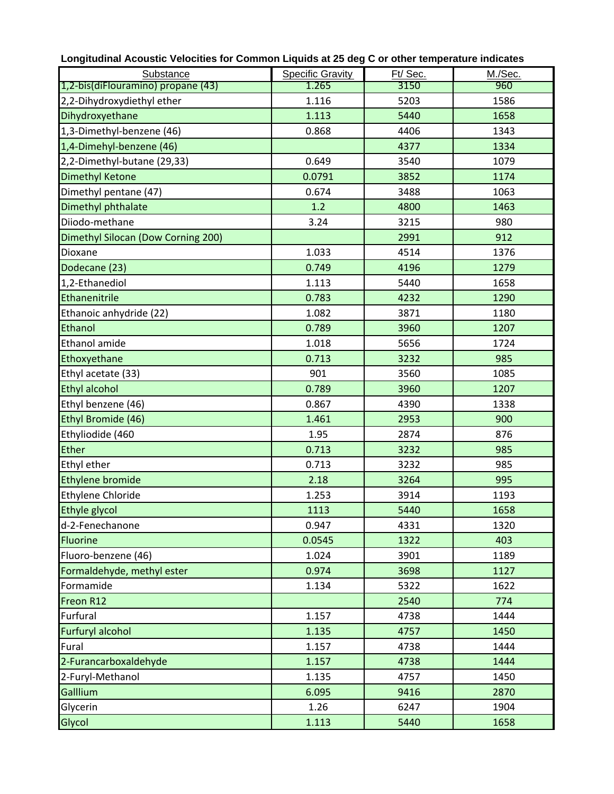| Longitudinal Acoustic Velocities for Common Liquids at 25 deg C or other temperature indicates |                         |         |         |  |  |  |  |  |  |  |  |  |
|------------------------------------------------------------------------------------------------|-------------------------|---------|---------|--|--|--|--|--|--|--|--|--|
| Substance                                                                                      | <b>Specific Gravity</b> | Ft/Sec. | M./Sec. |  |  |  |  |  |  |  |  |  |
| 1,2-bis(diFlouramino) propane (43)                                                             | 1.265                   | 3150    | 960     |  |  |  |  |  |  |  |  |  |
| 2,2-Dihydroxydiethyl ether                                                                     | 1.116                   | 5203    | 1586    |  |  |  |  |  |  |  |  |  |
| Dihydroxyethane                                                                                | 1.113                   | 5440    | 1658    |  |  |  |  |  |  |  |  |  |
| 1,3-Dimethyl-benzene (46)                                                                      | 0.868                   | 4406    | 1343    |  |  |  |  |  |  |  |  |  |
| 1,4-Dimehyl-benzene (46)                                                                       |                         | 4377    | 1334    |  |  |  |  |  |  |  |  |  |
| 2,2-Dimethyl-butane (29,33)                                                                    | 0.649                   | 3540    | 1079    |  |  |  |  |  |  |  |  |  |
| <b>Dimethyl Ketone</b>                                                                         | 0.0791                  | 3852    | 1174    |  |  |  |  |  |  |  |  |  |
| Dimethyl pentane (47)                                                                          | 0.674                   | 3488    | 1063    |  |  |  |  |  |  |  |  |  |
| Dimethyl phthalate                                                                             | 1.2                     | 4800    | 1463    |  |  |  |  |  |  |  |  |  |
| Diiodo-methane                                                                                 | 3.24                    | 3215    | 980     |  |  |  |  |  |  |  |  |  |
| Dimethyl Silocan (Dow Corning 200)                                                             |                         | 2991    | 912     |  |  |  |  |  |  |  |  |  |
| Dioxane                                                                                        | 1.033                   | 4514    | 1376    |  |  |  |  |  |  |  |  |  |
| Dodecane (23)                                                                                  | 0.749                   | 4196    | 1279    |  |  |  |  |  |  |  |  |  |
| 1,2-Ethanediol                                                                                 | 1.113                   | 5440    | 1658    |  |  |  |  |  |  |  |  |  |
| Ethanenitrile                                                                                  | 0.783                   | 4232    | 1290    |  |  |  |  |  |  |  |  |  |
| Ethanoic anhydride (22)                                                                        | 1.082                   | 3871    | 1180    |  |  |  |  |  |  |  |  |  |
| Ethanol                                                                                        | 0.789                   | 3960    | 1207    |  |  |  |  |  |  |  |  |  |
| Ethanol amide                                                                                  | 1.018                   | 5656    | 1724    |  |  |  |  |  |  |  |  |  |
| Ethoxyethane                                                                                   | 0.713                   | 3232    | 985     |  |  |  |  |  |  |  |  |  |
| Ethyl acetate (33)                                                                             | 901                     | 3560    | 1085    |  |  |  |  |  |  |  |  |  |
| <b>Ethyl alcohol</b>                                                                           | 0.789                   | 3960    | 1207    |  |  |  |  |  |  |  |  |  |
| Ethyl benzene (46)                                                                             | 0.867                   | 4390    | 1338    |  |  |  |  |  |  |  |  |  |
| Ethyl Bromide (46)                                                                             | 1.461                   | 2953    | 900     |  |  |  |  |  |  |  |  |  |
| Ethyliodide (460                                                                               | 1.95                    | 2874    | 876     |  |  |  |  |  |  |  |  |  |
| Ether                                                                                          | 0.713                   | 3232    | 985     |  |  |  |  |  |  |  |  |  |
| Ethyl ether                                                                                    | 0.713                   | 3232    | 985     |  |  |  |  |  |  |  |  |  |
| Ethylene bromide                                                                               | 2.18                    | 3264    | 995     |  |  |  |  |  |  |  |  |  |
| <b>Ethylene Chloride</b>                                                                       | 1.253                   | 3914    | 1193    |  |  |  |  |  |  |  |  |  |
| Ethyle glycol                                                                                  | 1113                    | 5440    | 1658    |  |  |  |  |  |  |  |  |  |
| d-2-Fenechanone                                                                                | 0.947                   | 4331    | 1320    |  |  |  |  |  |  |  |  |  |
| <b>Fluorine</b>                                                                                | 0.0545                  | 1322    | 403     |  |  |  |  |  |  |  |  |  |
| Fluoro-benzene (46)                                                                            | 1.024                   | 3901    | 1189    |  |  |  |  |  |  |  |  |  |
| Formaldehyde, methyl ester                                                                     | 0.974                   | 3698    | 1127    |  |  |  |  |  |  |  |  |  |
| Formamide                                                                                      | 1.134                   | 5322    | 1622    |  |  |  |  |  |  |  |  |  |
| Freon R12                                                                                      |                         | 2540    | 774     |  |  |  |  |  |  |  |  |  |
| Furfural                                                                                       | 1.157                   | 4738    | 1444    |  |  |  |  |  |  |  |  |  |
| <b>Furfuryl alcohol</b>                                                                        | 1.135                   | 4757    | 1450    |  |  |  |  |  |  |  |  |  |
| Fural                                                                                          | 1.157                   | 4738    | 1444    |  |  |  |  |  |  |  |  |  |
| 2-Furancarboxaldehyde                                                                          | 1.157                   | 4738    | 1444    |  |  |  |  |  |  |  |  |  |
| 2-Furyl-Methanol                                                                               | 1.135                   | 4757    | 1450    |  |  |  |  |  |  |  |  |  |
| Galllium                                                                                       | 6.095                   | 9416    | 2870    |  |  |  |  |  |  |  |  |  |
| Glycerin                                                                                       | 1.26                    | 6247    | 1904    |  |  |  |  |  |  |  |  |  |
| Glycol                                                                                         | 1.113                   | 5440    | 1658    |  |  |  |  |  |  |  |  |  |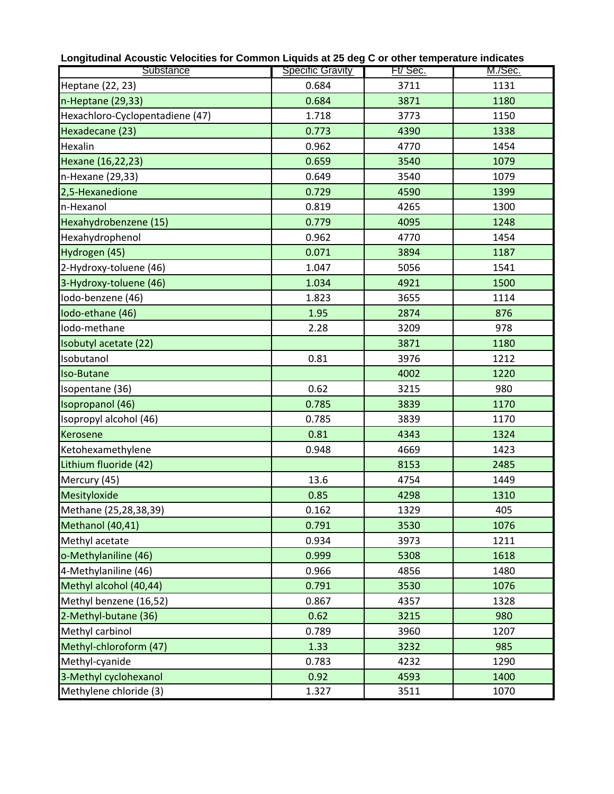| Substance                       | <b>Specific Gravity</b> | Ft/Sec. | M./Sec. |
|---------------------------------|-------------------------|---------|---------|
| Heptane (22, 23)                | 0.684                   | 3711    | 1131    |
| n-Heptane (29,33)               | 0.684                   | 3871    | 1180    |
| Hexachloro-Cyclopentadiene (47) | 1.718                   | 3773    | 1150    |
| Hexadecane (23)                 | 0.773                   | 4390    | 1338    |
| Hexalin                         | 0.962                   | 4770    | 1454    |
| Hexane (16,22,23)               | 0.659                   | 3540    | 1079    |
| n-Hexane (29,33)                | 0.649                   | 3540    | 1079    |
| 2,5-Hexanedione                 | 0.729                   | 4590    | 1399    |
| n-Hexanol                       | 0.819                   | 4265    | 1300    |
| Hexahydrobenzene (15)           | 0.779                   | 4095    | 1248    |
| Hexahydrophenol                 | 0.962                   | 4770    | 1454    |
| Hydrogen (45)                   | 0.071                   | 3894    | 1187    |
| 2-Hydroxy-toluene (46)          | 1.047                   | 5056    | 1541    |
| 3-Hydroxy-toluene (46)          | 1.034                   | 4921    | 1500    |
| Iodo-benzene (46)               | 1.823                   | 3655    | 1114    |
| Iodo-ethane (46)                | 1.95                    | 2874    | 876     |
| Iodo-methane                    | 2.28                    | 3209    | 978     |
| Isobutyl acetate (22)           |                         | 3871    | 1180    |
| Isobutanol                      | 0.81                    | 3976    | 1212    |
| <b>Iso-Butane</b>               |                         | 4002    | 1220    |
| Isopentane (36)                 | 0.62                    | 3215    | 980     |
| Isopropanol (46)                | 0.785                   | 3839    | 1170    |
| Isopropyl alcohol (46)          | 0.785                   | 3839    | 1170    |
| <b>Kerosene</b>                 | 0.81                    | 4343    | 1324    |
| Ketohexamethylene               | 0.948                   | 4669    | 1423    |
| Lithium fluoride (42)           |                         | 8153    | 2485    |
| Mercury (45)                    | 13.6                    | 4754    | 1449    |
| Mesityloxide                    | 0.85                    | 4298    | 1310    |
| Methane (25,28,38,39)           | 0.162                   | 1329    | 405     |
| Methanol (40,41)                | 0.791                   | 3530    | 1076    |
| Methyl acetate                  | 0.934                   | 3973    | 1211    |
| o-Methylaniline (46)            | 0.999                   | 5308    | 1618    |
| 4-Methylaniline (46)            | 0.966                   | 4856    | 1480    |
| Methyl alcohol (40,44)          | 0.791                   | 3530    | 1076    |
| Methyl benzene (16,52)          | 0.867                   | 4357    | 1328    |
| 2-Methyl-butane (36)            | 0.62                    | 3215    | 980     |
| Methyl carbinol                 | 0.789                   | 3960    | 1207    |
| Methyl-chloroform (47)          | 1.33                    | 3232    | 985     |
| Methyl-cyanide                  | 0.783                   | 4232    | 1290    |
| 3-Methyl cyclohexanol           | 0.92                    | 4593    | 1400    |
| Methylene chloride (3)          | 1.327                   | 3511    | 1070    |

**Longitudinal Acoustic Velocities for Common Liquids at 25 deg C or other temperature indicates**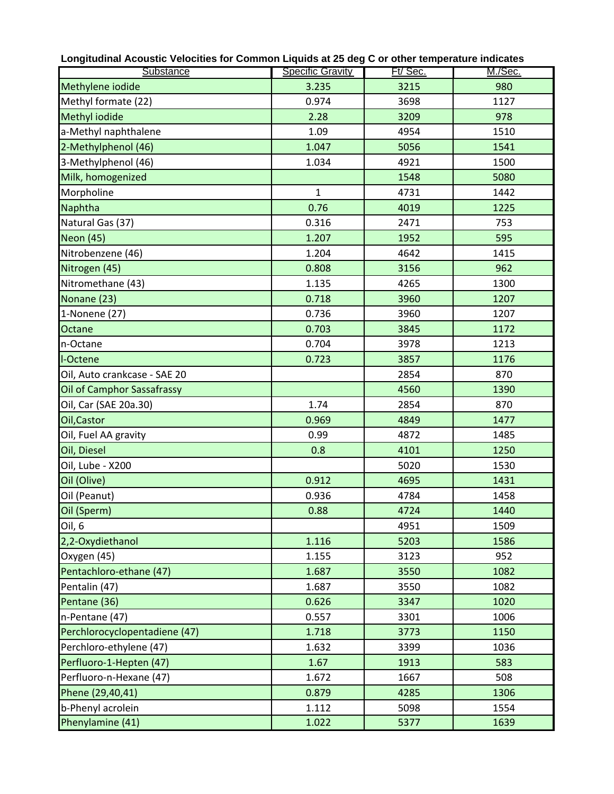| Longnuumar Aoor<br>www.comedition.com/www.comedition.com/www.comedition.com/www.com/www.com/www.com/<br>Substance | <b>Specific Gravity</b> | Ft/Sec. | M./Sec. |
|-------------------------------------------------------------------------------------------------------------------|-------------------------|---------|---------|
| Methylene iodide                                                                                                  | 3.235                   | 3215    | 980     |
| Methyl formate (22)                                                                                               | 0.974                   | 3698    | 1127    |
| Methyl iodide                                                                                                     | 2.28                    | 3209    | 978     |
| a-Methyl naphthalene                                                                                              | 1.09                    | 4954    | 1510    |
| 2-Methylphenol (46)                                                                                               | 1.047                   | 5056    | 1541    |
| 3-Methylphenol (46)                                                                                               | 1.034                   | 4921    | 1500    |
| Milk, homogenized                                                                                                 |                         | 1548    | 5080    |
| Morpholine                                                                                                        | $\mathbf{1}$            | 4731    | 1442    |
| Naphtha                                                                                                           | 0.76                    | 4019    | 1225    |
| Natural Gas (37)                                                                                                  | 0.316                   | 2471    | 753     |
| <b>Neon (45)</b>                                                                                                  | 1.207                   | 1952    | 595     |
| Nitrobenzene (46)                                                                                                 | 1.204                   | 4642    | 1415    |
| Nitrogen (45)                                                                                                     | 0.808                   | 3156    | 962     |
| Nitromethane (43)                                                                                                 | 1.135                   | 4265    | 1300    |
| Nonane (23)                                                                                                       | 0.718                   | 3960    | 1207    |
| 1-Nonene (27)                                                                                                     | 0.736                   | 3960    | 1207    |
| Octane                                                                                                            | 0.703                   | 3845    | 1172    |
| n-Octane                                                                                                          | 0.704                   | 3978    | 1213    |
| I-Octene                                                                                                          | 0.723                   | 3857    | 1176    |
| Oil, Auto crankcase - SAE 20                                                                                      |                         | 2854    | 870     |
| <b>Oil of Camphor Sassafrassy</b>                                                                                 |                         | 4560    | 1390    |
| Oil, Car (SAE 20a.30)                                                                                             | 1.74                    | 2854    | 870     |
| Oil, Castor                                                                                                       | 0.969                   | 4849    | 1477    |
| Oil, Fuel AA gravity                                                                                              | 0.99                    | 4872    | 1485    |
| Oil, Diesel                                                                                                       | 0.8                     | 4101    | 1250    |
| Oil, Lube - X200                                                                                                  |                         | 5020    | 1530    |
| Oil (Olive)                                                                                                       | 0.912                   | 4695    | 1431    |
| Oil (Peanut)                                                                                                      | 0.936                   | 4784    | 1458    |
| Oil (Sperm)                                                                                                       | 0.88                    | 4724    | 1440    |
| Oil, 6                                                                                                            |                         | 4951    | 1509    |
| 2,2-Oxydiethanol                                                                                                  | 1.116                   | 5203    | 1586    |
| Oxygen (45)                                                                                                       | 1.155                   | 3123    | 952     |
| Pentachloro-ethane (47)                                                                                           | 1.687                   | 3550    | 1082    |
| Pentalin (47)                                                                                                     | 1.687                   | 3550    | 1082    |
| Pentane (36)                                                                                                      | 0.626                   | 3347    | 1020    |
| n-Pentane (47)                                                                                                    | 0.557                   | 3301    | 1006    |
| Perchlorocyclopentadiene (47)                                                                                     | 1.718                   | 3773    | 1150    |
| Perchloro-ethylene (47)                                                                                           | 1.632                   | 3399    | 1036    |
| Perfluoro-1-Hepten (47)                                                                                           | 1.67                    | 1913    | 583     |
| Perfluoro-n-Hexane (47)                                                                                           | 1.672                   | 1667    | 508     |
| Phene (29,40,41)                                                                                                  | 0.879                   | 4285    | 1306    |
| b-Phenyl acrolein                                                                                                 | 1.112                   | 5098    | 1554    |
| Phenylamine (41)                                                                                                  | 1.022                   | 5377    | 1639    |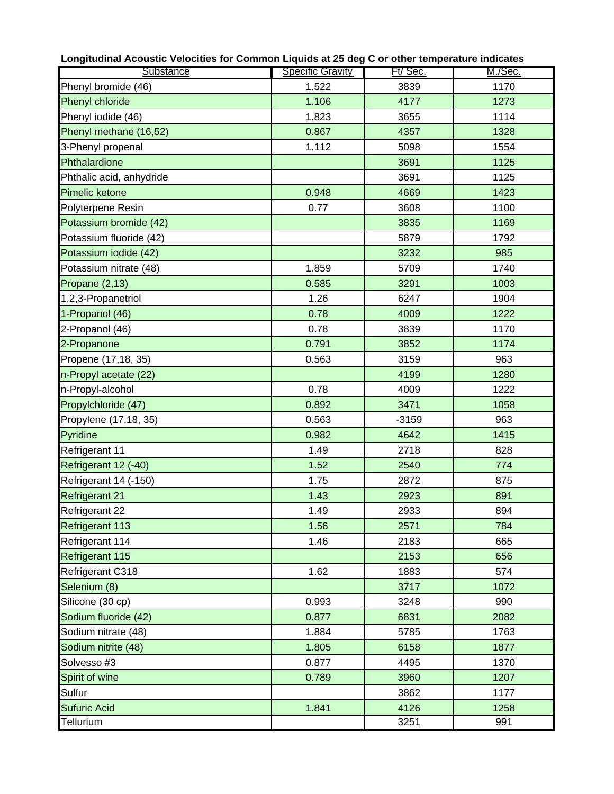| Longitudinal Acoustic Velocities for Common Liquids at 25 deg C or other temperature indicates |                         |         |         |  |  |  |  |  |  |  |  |
|------------------------------------------------------------------------------------------------|-------------------------|---------|---------|--|--|--|--|--|--|--|--|
| Substance                                                                                      | <b>Specific Gravity</b> | Ft/Sec. | M./Sec. |  |  |  |  |  |  |  |  |
| Phenyl bromide (46)                                                                            | 1.522                   | 3839    | 1170    |  |  |  |  |  |  |  |  |
| Phenyl chloride                                                                                | 1.106                   | 4177    | 1273    |  |  |  |  |  |  |  |  |
| Phenyl iodide (46)                                                                             | 1.823                   | 3655    | 1114    |  |  |  |  |  |  |  |  |
| Phenyl methane (16,52)                                                                         | 0.867                   | 4357    | 1328    |  |  |  |  |  |  |  |  |
| 3-Phenyl propenal                                                                              | 1.112                   | 5098    | 1554    |  |  |  |  |  |  |  |  |
| Phthalardione                                                                                  |                         | 3691    | 1125    |  |  |  |  |  |  |  |  |
| Phthalic acid, anhydride                                                                       |                         | 3691    | 1125    |  |  |  |  |  |  |  |  |
| Pimelic ketone                                                                                 | 0.948                   | 4669    | 1423    |  |  |  |  |  |  |  |  |
| Polyterpene Resin                                                                              | 0.77                    | 3608    | 1100    |  |  |  |  |  |  |  |  |
| Potassium bromide (42)                                                                         |                         | 3835    | 1169    |  |  |  |  |  |  |  |  |
| Potassium fluoride (42)                                                                        |                         | 5879    | 1792    |  |  |  |  |  |  |  |  |
| Potassium iodide (42)                                                                          |                         | 3232    | 985     |  |  |  |  |  |  |  |  |
| Potassium nitrate (48)                                                                         | 1.859                   | 5709    | 1740    |  |  |  |  |  |  |  |  |
| Propane (2,13)                                                                                 | 0.585                   | 3291    | 1003    |  |  |  |  |  |  |  |  |
| 1,2,3-Propanetriol                                                                             | 1.26                    | 6247    | 1904    |  |  |  |  |  |  |  |  |
| 1-Propanol (46)                                                                                | 0.78                    | 4009    | 1222    |  |  |  |  |  |  |  |  |
| 2-Propanol (46)                                                                                | 0.78                    | 3839    | 1170    |  |  |  |  |  |  |  |  |
| 2-Propanone                                                                                    | 0.791                   | 3852    | 1174    |  |  |  |  |  |  |  |  |
| Propene (17,18, 35)                                                                            | 0.563                   | 3159    | 963     |  |  |  |  |  |  |  |  |
| n-Propyl acetate (22)                                                                          |                         | 4199    | 1280    |  |  |  |  |  |  |  |  |
| n-Propyl-alcohol                                                                               | 0.78                    | 4009    | 1222    |  |  |  |  |  |  |  |  |
| Propylchloride (47)                                                                            | 0.892                   | 3471    | 1058    |  |  |  |  |  |  |  |  |
| Propylene (17,18, 35)                                                                          | 0.563                   | $-3159$ | 963     |  |  |  |  |  |  |  |  |
| Pyridine                                                                                       | 0.982                   | 4642    | 1415    |  |  |  |  |  |  |  |  |
| Refrigerant 11                                                                                 | 1.49                    | 2718    | 828     |  |  |  |  |  |  |  |  |
| Refrigerant 12 (-40)                                                                           | 1.52                    | 2540    | 774     |  |  |  |  |  |  |  |  |
| Refrigerant 14 (-150)                                                                          | 1.75                    | 2872    | 875     |  |  |  |  |  |  |  |  |
| <b>Refrigerant 21</b>                                                                          | 1.43                    | 2923    | 891     |  |  |  |  |  |  |  |  |
| Refrigerant 22                                                                                 | 1.49                    | 2933    | 894     |  |  |  |  |  |  |  |  |
| Refrigerant 113                                                                                | 1.56                    | 2571    | 784     |  |  |  |  |  |  |  |  |
| Refrigerant 114                                                                                | 1.46                    | 2183    | 665     |  |  |  |  |  |  |  |  |
| Refrigerant 115                                                                                |                         | 2153    | 656     |  |  |  |  |  |  |  |  |
| Refrigerant C318                                                                               | 1.62                    | 1883    | 574     |  |  |  |  |  |  |  |  |
| Selenium (8)                                                                                   |                         | 3717    | 1072    |  |  |  |  |  |  |  |  |
| Silicone (30 cp)                                                                               | 0.993                   | 3248    | 990     |  |  |  |  |  |  |  |  |
| Sodium fluoride (42)                                                                           | 0.877                   | 6831    | 2082    |  |  |  |  |  |  |  |  |
| Sodium nitrate (48)                                                                            | 1.884                   | 5785    | 1763    |  |  |  |  |  |  |  |  |
| Sodium nitrite (48)                                                                            | 1.805                   | 6158    | 1877    |  |  |  |  |  |  |  |  |
| Solvesso #3                                                                                    | 0.877                   | 4495    | 1370    |  |  |  |  |  |  |  |  |
| Spirit of wine                                                                                 | 0.789                   | 3960    | 1207    |  |  |  |  |  |  |  |  |
| Sulfur                                                                                         |                         | 3862    | 1177    |  |  |  |  |  |  |  |  |
| <b>Sufuric Acid</b>                                                                            | 1.841                   | 4126    | 1258    |  |  |  |  |  |  |  |  |
| <b>Tellurium</b>                                                                               |                         | 3251    | 991     |  |  |  |  |  |  |  |  |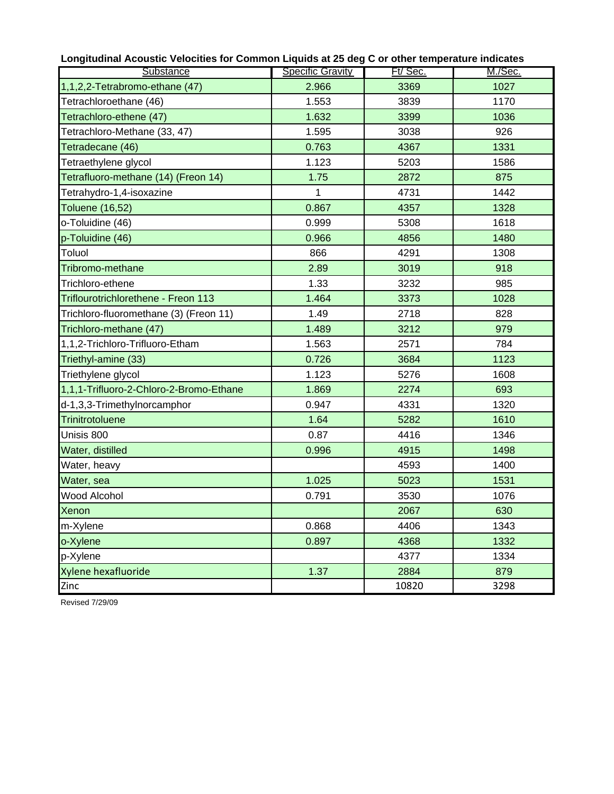| Substance                               | <b>Specific Gravity</b> | Ft/Sec. | M./Sec.      |
|-----------------------------------------|-------------------------|---------|--------------|
| 1,1,2,2-Tetrabromo-ethane (47)          | 2.966                   | 3369    | 1027         |
| Tetrachloroethane (46)                  | 1.553                   | 3839    | 1170         |
| Tetrachloro-ethene (47)                 | 1.632                   | 3399    | 1036         |
| Tetrachloro-Methane (33, 47)            | 1.595                   | 3038    | 926          |
| Tetradecane (46)                        | 0.763                   | 4367    | 1331         |
| Tetraethylene glycol                    | 1.123                   | 5203    | 1586         |
| Tetrafluoro-methane (14) (Freon 14)     | 1.75                    | 2872    | 875          |
| Tetrahydro-1,4-isoxazine                | 1                       | 4731    | 1442         |
|                                         | 0.867                   |         |              |
| <b>Toluene (16,52)</b>                  | 0.999                   | 4357    | 1328<br>1618 |
| o-Toluidine (46)                        |                         | 5308    |              |
| p-Toluidine (46)                        | 0.966                   | 4856    | 1480         |
| Toluol                                  | 866                     | 4291    | 1308         |
| Tribromo-methane                        | 2.89                    | 3019    | 918          |
| Trichloro-ethene                        | 1.33                    | 3232    | 985          |
| Triflourotrichlorethene - Freon 113     | 1.464                   | 3373    | 1028         |
| Trichloro-fluoromethane (3) (Freon 11)  | 1.49                    | 2718    | 828          |
| Trichloro-methane (47)                  | 1.489                   | 3212    | 979          |
| 1,1,2-Trichloro-Trifluoro-Etham         | 1.563                   | 2571    | 784          |
| Triethyl-amine (33)                     | 0.726                   | 3684    | 1123         |
| Triethylene glycol                      | 1.123                   | 5276    | 1608         |
| 1,1,1-Trifluoro-2-Chloro-2-Bromo-Ethane | 1.869                   | 2274    | 693          |
| d-1,3,3-Trimethylnorcamphor             | 0.947                   | 4331    | 1320         |
| Trinitrotoluene                         | 1.64                    | 5282    | 1610         |
| Unisis 800                              | 0.87                    | 4416    | 1346         |
| Water, distilled                        | 0.996                   | 4915    | 1498         |
| Water, heavy                            |                         | 4593    | 1400         |
| Water, sea                              | 1.025                   | 5023    | 1531         |
| <b>Wood Alcohol</b>                     | 0.791                   | 3530    | 1076         |
| Xenon                                   |                         | 2067    | 630          |
| m-Xylene                                | 0.868                   | 4406    | 1343         |
| o-Xylene                                | 0.897                   | 4368    | 1332         |
| p-Xylene                                |                         | 4377    | 1334         |
| Xylene hexafluoride                     | 1.37                    | 2884    | 879          |
| Zinc                                    |                         | 10820   | 3298         |

Revised 7/29/09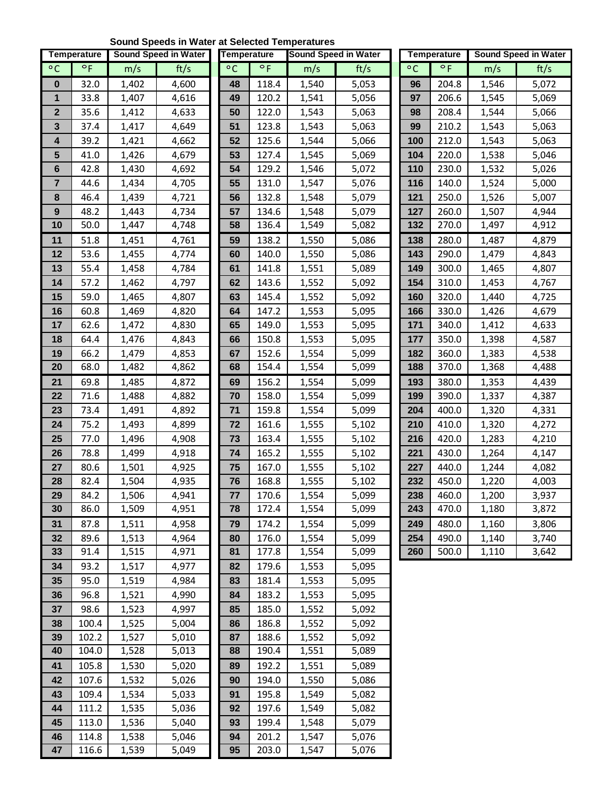# **Sound Speeds in Water at Selected Temperatures**

|                 | Temperature  |                | <b>Sound Speed in Water</b> | <b>Temperature</b> |                | <b>Sound Speed in Water</b> |                |            | <b>Temperature</b> |                | <b>Sound Speed in Water</b> |
|-----------------|--------------|----------------|-----------------------------|--------------------|----------------|-----------------------------|----------------|------------|--------------------|----------------|-----------------------------|
| $\circ$ C       | $\circ$ F    | m/s            | ft/s                        | $\circ$ C          | $^{\circ}$ F   | m/s                         | ft/s           | $\circ$ C  | $\circ$ F          | m/s            | ft/s                        |
| 0               | 32.0         | 1,402          | 4,600                       | 48                 | 118.4          | 1,540                       | 5,053          | 96         | 204.8              | 1,546          | 5,072                       |
| 1               | 33.8         | 1,407          | 4,616                       | 49                 | 120.2          | 1,541                       | 5,056          | 97         | 206.6              | 1,545          | 5,069                       |
| $\mathbf{2}$    | 35.6         | 1,412          | 4,633                       | 50                 | 122.0          | 1,543                       | 5,063          | 98         | 208.4              | 1,544          | 5,066                       |
| 3               | 37.4         | 1,417          | 4,649                       | 51                 | 123.8          | 1,543                       | 5,063          | 99         | 210.2              | 1,543          | 5,063                       |
| 4               | 39.2         | 1,421          | 4,662                       | 52                 | 125.6          | 1,544                       | 5,066          | 100        | 212.0              | 1,543          | 5,063                       |
| $5\phantom{.0}$ | 41.0         | 1,426          | 4,679                       | 53                 | 127.4          | 1,545                       | 5,069          | 104        | 220.0              | 1,538          | 5,046                       |
| 6               | 42.8         | 1,430          | 4,692                       | 54                 | 129.2          | 1,546                       | 5,072          | 110        | 230.0              | 1,532          | 5,026                       |
| $\overline{7}$  | 44.6         | 1,434          | 4,705                       | 55                 | 131.0          | 1,547                       | 5,076          | 116        | 140.0              | 1,524          | 5,000                       |
| 8               | 46.4         | 1,439          | 4,721                       | 56                 | 132.8          | 1,548                       | 5,079          | 121        | 250.0              | 1,526          | 5,007                       |
| 9               | 48.2         | 1,443          | 4,734                       | 57                 | 134.6          | 1,548                       | 5,079          | 127        | 260.0              | 1,507          | 4,944                       |
| 10              | 50.0         | 1,447          | 4,748                       | 58                 | 136.4          | 1,549                       | 5,082          | 132        | 270.0              | 1,497          | 4,912                       |
| 11              | 51.8         | 1,451          | 4,761                       | 59                 | 138.2          | 1,550                       | 5,086          | 138        | 280.0              | 1,487          | 4,879                       |
| 12              | 53.6         | 1,455          | 4,774                       | 60                 | 140.0          | 1,550                       | 5,086          | 143        | 290.0              | 1,479          | 4,843                       |
| 13              | 55.4         | 1,458          | 4,784                       | 61                 | 141.8          | 1,551                       | 5,089          | 149        | 300.0              | 1,465          | 4,807                       |
| 14              | 57.2         | 1,462          | 4,797                       | 62                 | 143.6          | 1,552                       | 5,092          | 154        | 310.0              | 1,453          | 4,767                       |
| 15              | 59.0         | 1,465          | 4,807                       | 63                 | 145.4          | 1,552                       | 5,092          | 160        | 320.0              | 1,440          | 4,725                       |
| 16              | 60.8         | 1,469          | 4,820                       | 64                 | 147.2          | 1,553                       | 5,095          | 166        | 330.0              | 1,426          | 4,679                       |
| 17              | 62.6         | 1,472          | 4,830                       | 65                 | 149.0          | 1,553                       | 5,095          | 171        | 340.0              | 1,412          | 4,633                       |
| 18              | 64.4         | 1,476          | 4,843                       | 66                 | 150.8          | 1,553                       | 5,095          | 177        | 350.0              | 1,398          | 4,587                       |
| 19              | 66.2         | 1,479          | 4,853                       | 67                 | 152.6          | 1,554                       | 5,099          | 182        | 360.0              | 1,383          | 4,538                       |
| 20              | 68.0         | 1,482          | 4,862                       | 68                 | 154.4          | 1,554                       | 5,099          | 188        | 370.0              | 1,368          | 4,488                       |
| 21<br>22        | 69.8<br>71.6 | 1,485          | 4,872                       | 69<br>70           | 156.2<br>158.0 | 1,554                       | 5,099          | 193<br>199 | 380.0<br>390.0     | 1,353          | 4,439                       |
| 23              | 73.4         | 1,488<br>1,491 | 4,882<br>4,892              | $\mathbf{71}$      | 159.8          | 1,554<br>1,554              | 5,099<br>5,099 | 204        | 400.0              | 1,337<br>1,320 | 4,387<br>4,331              |
| 24              | 75.2         | 1,493          | 4,899                       | 72                 | 161.6          | 1,555                       | 5,102          | 210        | 410.0              | 1,320          | 4,272                       |
| 25              | 77.0         | 1,496          | 4,908                       | 73                 | 163.4          | 1,555                       | 5,102          | 216        | 420.0              | 1,283          | 4,210                       |
| 26              | 78.8         | 1,499          | 4,918                       | 74                 | 165.2          | 1,555                       | 5,102          | 221        | 430.0              | 1,264          | 4,147                       |
| 27              | 80.6         | 1,501          | 4,925                       | 75                 | 167.0          | 1,555                       | 5,102          | 227        | 440.0              | 1,244          | 4,082                       |
| 28              | 82.4         | 1,504          | 4,935                       | 76                 | 168.8          | 1,555                       | 5,102          | 232        | 450.0              | 1,220          | 4,003                       |
| 29              | 84.2         | 1,506          | 4,941                       | 77                 | 170.6          | 1,554                       | 5,099          | 238        | 460.0              | 1,200          | 3,937                       |
| 30              | 86.0         | 1,509          | 4,951                       | 78                 | 172.4          | 1,554                       | 5,099          | 243        | 470.0              | 1,180          | 3,872                       |
| 31              | 87.8         | 1,511          | 4,958                       | 79                 | 174.2          | 1,554                       | 5,099          | 249        | 480.0              | 1,160          | 3,806                       |
| 32              | 89.6         | 1,513          | 4,964                       | 80                 | 176.0          | 1,554                       | 5,099          | 254        | 490.0              | 1,140          | 3,740                       |
| 33              | 91.4         | 1,515          | 4,971                       | 81                 | 177.8          | 1,554                       | 5,099          | 260        | 500.0              | 1,110          | 3,642                       |
| 34              | 93.2         | 1,517          | 4,977                       | 82                 | 179.6          | 1,553                       | 5,095          |            |                    |                |                             |
| 35              | 95.0         | 1,519          | 4,984                       | 83                 | 181.4          | 1,553                       | 5,095          |            |                    |                |                             |
| 36              | 96.8         | 1,521          | 4,990                       | 84                 | 183.2          | 1,553                       | 5,095          |            |                    |                |                             |
| 37              | 98.6         | 1,523          | 4,997                       | 85                 | 185.0          | 1,552                       | 5,092          |            |                    |                |                             |
| 38              | 100.4        | 1,525          | 5,004                       | 86                 | 186.8          | 1,552                       | 5,092          |            |                    |                |                             |
| 39              | 102.2        | 1,527          | 5,010                       | 87                 | 188.6          | 1,552                       | 5,092          |            |                    |                |                             |
| 40              | 104.0        | 1,528          | 5,013                       | 88                 | 190.4          | 1,551                       | 5,089          |            |                    |                |                             |
| 41              | 105.8        | 1,530          | 5,020                       | 89                 | 192.2          | 1,551                       | 5,089          |            |                    |                |                             |
| 42              | 107.6        | 1,532          | 5,026                       | 90                 | 194.0          | 1,550                       | 5,086          |            |                    |                |                             |
| 43              | 109.4        | 1,534          | 5,033                       | 91                 | 195.8          | 1,549                       | 5,082          |            |                    |                |                             |
| 44              | 111.2        | 1,535          | 5,036                       | 92                 | 197.6          | 1,549                       | 5,082          |            |                    |                |                             |
| 45              | 113.0        | 1,536          | 5,040                       | 93                 | 199.4          | 1,548                       | 5,079          |            |                    |                |                             |
| 46              | 114.8        | 1,538          | 5,046                       | 94                 | 201.2          | 1,547                       | 5,076          |            |                    |                |                             |
| 47              | 116.6        | 1,539          | 5,049                       | 95                 | 203.0          | 1,547                       | 5,076          |            |                    |                |                             |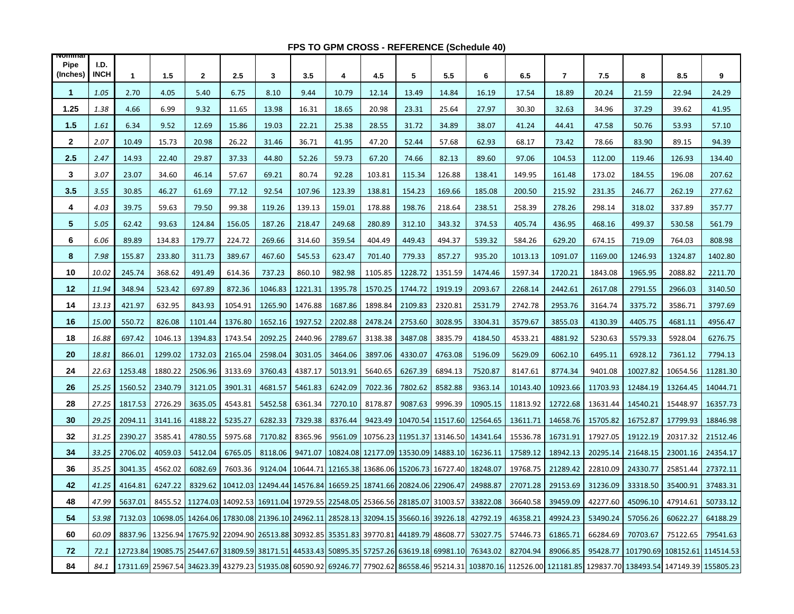#### **FPS TO GPM CROSS - REFERENCE (Schedule 40)**

| <b>NOMMA</b><br><b>Pipe</b><br>(Inches) | I.D.<br><b>INCH</b> | $\mathbf{1}$ | 1.5     | 2       | 2.5     | 3       | 3.5     | 4                                                                                                | 4.5     | 5                                   | 5.5     | 6        | 6.5      | $\overline{7}$                                                                                                                                                                  | 7.5      | 8        | 8.5      | 9                             |
|-----------------------------------------|---------------------|--------------|---------|---------|---------|---------|---------|--------------------------------------------------------------------------------------------------|---------|-------------------------------------|---------|----------|----------|---------------------------------------------------------------------------------------------------------------------------------------------------------------------------------|----------|----------|----------|-------------------------------|
| $\mathbf{1}$                            | 1.05                | 2.70         | 4.05    | 5.40    | 6.75    | 8.10    | 9.44    | 10.79                                                                                            | 12.14   | 13.49                               | 14.84   | 16.19    | 17.54    | 18.89                                                                                                                                                                           | 20.24    | 21.59    | 22.94    | 24.29                         |
| 1.25                                    | 1.38                | 4.66         | 6.99    | 9.32    | 11.65   | 13.98   | 16.31   | 18.65                                                                                            | 20.98   | 23.31                               | 25.64   | 27.97    | 30.30    | 32.63                                                                                                                                                                           | 34.96    | 37.29    | 39.62    | 41.95                         |
| 1.5                                     | 1.61                | 6.34         | 9.52    | 12.69   | 15.86   | 19.03   | 22.21   | 25.38                                                                                            | 28.55   | 31.72                               | 34.89   | 38.07    | 41.24    | 44.41                                                                                                                                                                           | 47.58    | 50.76    | 53.93    | 57.10                         |
| $\mathbf{2}$                            | 2.07                | 10.49        | 15.73   | 20.98   | 26.22   | 31.46   | 36.71   | 41.95                                                                                            | 47.20   | 52.44                               | 57.68   | 62.93    | 68.17    | 73.42                                                                                                                                                                           | 78.66    | 83.90    | 89.15    | 94.39                         |
| 2.5                                     | 2.47                | 14.93        | 22.40   | 29.87   | 37.33   | 44.80   | 52.26   | 59.73                                                                                            | 67.20   | 74.66                               | 82.13   | 89.60    | 97.06    | 104.53                                                                                                                                                                          | 112.00   | 119.46   | 126.93   | 134.40                        |
| 3                                       | 3.07                | 23.07        | 34.60   | 46.14   | 57.67   | 69.21   | 80.74   | 92.28                                                                                            | 103.81  | 115.34                              | 126.88  | 138.41   | 149.95   | 161.48                                                                                                                                                                          | 173.02   | 184.55   | 196.08   | 207.62                        |
| 3.5                                     | 3.55                | 30.85        | 46.27   | 61.69   | 77.12   | 92.54   | 107.96  | 123.39                                                                                           | 138.81  | 154.23                              | 169.66  | 185.08   | 200.50   | 215.92                                                                                                                                                                          | 231.35   | 246.77   | 262.19   | 277.62                        |
| 4                                       | 4.03                | 39.75        | 59.63   | 79.50   | 99.38   | 119.26  | 139.13  | 159.01                                                                                           | 178.88  | 198.76                              | 218.64  | 238.51   | 258.39   | 278.26                                                                                                                                                                          | 298.14   | 318.02   | 337.89   | 357.77                        |
| 5                                       | 5.05                | 62.42        | 93.63   | 124.84  | 156.05  | 187.26  | 218.47  | 249.68                                                                                           | 280.89  | 312.10                              | 343.32  | 374.53   | 405.74   | 436.95                                                                                                                                                                          | 468.16   | 499.37   | 530.58   | 561.79                        |
| 6                                       | 6.06                | 89.89        | 134.83  | 179.77  | 224.72  | 269.66  | 314.60  | 359.54                                                                                           | 404.49  | 449.43                              | 494.37  | 539.32   | 584.26   | 629.20                                                                                                                                                                          | 674.15   | 719.09   | 764.03   | 808.98                        |
| 8                                       | 7.98                | 155.87       | 233.80  | 311.73  | 389.67  | 467.60  | 545.53  | 623.47                                                                                           | 701.40  | 779.33                              | 857.27  | 935.20   | 1013.13  | 1091.07                                                                                                                                                                         | 1169.00  | 1246.93  | 1324.87  | 1402.80                       |
| 10                                      | 10.02               | 245.74       | 368.62  | 491.49  | 614.36  | 737.23  | 860.10  | 982.98                                                                                           | 1105.85 | 1228.72                             | 1351.59 | 1474.46  | 1597.34  | 1720.21                                                                                                                                                                         | 1843.08  | 1965.95  | 2088.82  | 2211.70                       |
| 12                                      | 11.94               | 348.94       | 523.42  | 697.89  | 872.36  | 1046.83 | 1221.31 | 1395.78                                                                                          | 1570.25 | 1744.72                             | 1919.19 | 2093.67  | 2268.14  | 2442.61                                                                                                                                                                         | 2617.08  | 2791.55  | 2966.03  | 3140.50                       |
| 14                                      | 13.13               | 421.97       | 632.95  | 843.93  | 1054.91 | 1265.90 | 1476.88 | 1687.86                                                                                          | 1898.84 | 2109.83                             | 2320.81 | 2531.79  | 2742.78  | 2953.76                                                                                                                                                                         | 3164.74  | 3375.72  | 3586.71  | 3797.69                       |
| 16                                      | 15.00               | 550.72       | 826.08  | 1101.44 | 1376.80 | 1652.16 | 1927.52 | 2202.88                                                                                          | 2478.24 | 2753.60                             | 3028.95 | 3304.31  | 3579.67  | 3855.03                                                                                                                                                                         | 4130.39  | 4405.75  | 4681.11  | 4956.47                       |
| 18                                      | 16.88               | 697.42       | 1046.13 | 1394.83 | 1743.54 | 2092.25 | 2440.96 | 2789.67                                                                                          | 3138.38 | 3487.08                             | 3835.79 | 4184.50  | 4533.21  | 4881.92                                                                                                                                                                         | 5230.63  | 5579.33  | 5928.04  | 6276.75                       |
| 20                                      | 18.81               | 866.01       | 1299.02 | 1732.03 | 2165.04 | 2598.04 | 3031.05 | 3464.06                                                                                          | 3897.06 | 4330.07                             | 4763.08 | 5196.09  | 5629.09  | 6062.10                                                                                                                                                                         | 6495.11  | 6928.12  | 7361.12  | 7794.13                       |
| 24                                      | 22.63               | 1253.48      | 1880.22 | 2506.96 | 3133.69 | 3760.43 | 4387.17 | 5013.91                                                                                          | 5640.65 | 6267.39                             | 6894.13 | 7520.87  | 8147.61  | 8774.34                                                                                                                                                                         | 9401.08  | 10027.82 | 10654.56 | 11281.30                      |
| 26                                      | 25.25               | 1560.52      | 2340.79 | 3121.05 | 3901.31 | 4681.57 | 5461.83 | 6242.09                                                                                          | 7022.36 | 7802.62                             | 8582.88 | 9363.14  | 10143.40 | 10923.66                                                                                                                                                                        | 11703.93 | 12484.19 | 13264.45 | 14044.71                      |
| 28                                      | 27.25               | 1817.53      | 2726.29 | 3635.05 | 4543.81 | 5452.58 | 6361.34 | 7270.10                                                                                          | 8178.87 | 9087.63                             | 9996.39 | 10905.15 | 11813.92 | 12722.68                                                                                                                                                                        | 13631.44 | 14540.21 | 15448.97 | 16357.73                      |
| 30                                      | 29.25               | 2094.11      | 3141.16 | 4188.22 | 5235.27 | 6282.33 | 7329.38 | 8376.44                                                                                          | 9423.49 | 10470.54 11517.60                   |         | 12564.65 | 13611.71 | 14658.76                                                                                                                                                                        | 15705.82 | 16752.87 | 17799.93 | 18846.98                      |
| 32                                      | 31.25               | 2390.27      | 3585.41 | 4780.55 | 5975.68 | 7170.82 | 8365.96 | 9561.09                                                                                          |         | 10756.23 11951.37 13146.50          |         | 14341.64 | 15536.78 | 16731.91                                                                                                                                                                        | 17927.05 | 19122.19 | 20317.32 | 21512.46                      |
| 34                                      | 33.25               | 2706.02      | 4059.03 | 5412.04 | 6765.05 | 8118.06 | 9471.07 |                                                                                                  |         | 10824.08 12177.09 13530.09 14883.10 |         | 16236.11 | 17589.12 | 18942.13                                                                                                                                                                        | 20295.14 | 21648.15 | 23001.16 | 24354.17                      |
| 36                                      | 35.25               | 3041.35      | 4562.02 | 6082.69 | 7603.36 |         |         | 9124.04   10644.71   12165.38   13686.06   15206.73   16727.40                                   |         |                                     |         | 18248.07 | 19768.75 | 21289.42                                                                                                                                                                        | 22810.09 | 24330.77 | 25851.44 | 27372.11                      |
| 42                                      | 41.25               | 4164.81      | 6247.22 | 8329.62 |         |         |         | 10412.03 12494.44 14576.84 16659.25 18741.66 20824.06 22906.47                                   |         |                                     |         | 24988.87 | 27071.28 | 29153.69                                                                                                                                                                        | 31236.09 | 33318.50 | 35400.91 | 37483.31                      |
| 48                                      | 47.99               | 5637.01      | 8455.52 |         |         |         |         | 11274.03  14092.53  16911.04  19729.55  22548.05  25366.56  28185.07  31003.57                   |         |                                     |         | 33822.08 | 36640.58 | 39459.09                                                                                                                                                                        | 42277.60 | 45096.10 | 47914.61 | 50733.12                      |
| 54                                      | 53.98               | 7132.03      |         |         |         |         |         | 10698.05 14264.06 17830.08 21396.10 24962.11 28528.13 32094.15 35660.16 39226.18                 |         |                                     |         | 42792.19 | 46358.21 | 49924.23                                                                                                                                                                        | 53490.24 | 57056.26 | 60622.27 | 64188.29                      |
| 60                                      | 60.09               | 8837.96      |         |         |         |         |         | 13256.94   17675.92   22094.90   26513.88   30932.85   35351.83   39770.81   44189.79   48608.77 |         |                                     |         | 53027.75 | 57446.73 | 61865.71                                                                                                                                                                        | 66284.69 | 70703.67 | 75122.65 | 79541.63                      |
| 72                                      | 72.1                |              |         |         |         |         |         | 12723.84 19085.75 25447.67 31809.59 38171.51 44533.43 50895.35 57257.26 63619.18 69981.10        |         |                                     |         | 76343.02 | 82704.94 | 89066.85                                                                                                                                                                        | 95428.77 |          |          | 101790.69 108152.61 114514.53 |
| 84                                      | 84.1                |              |         |         |         |         |         |                                                                                                  |         |                                     |         |          |          | 17311.69  25967.54  34623.39  43279.23  51935.08  60590.92  69246.77  77902.62  86558.46  95214.31  103870.16  112526.00  121181.85  129837.70  138493.54  147149.39  155805.23 |          |          |          |                               |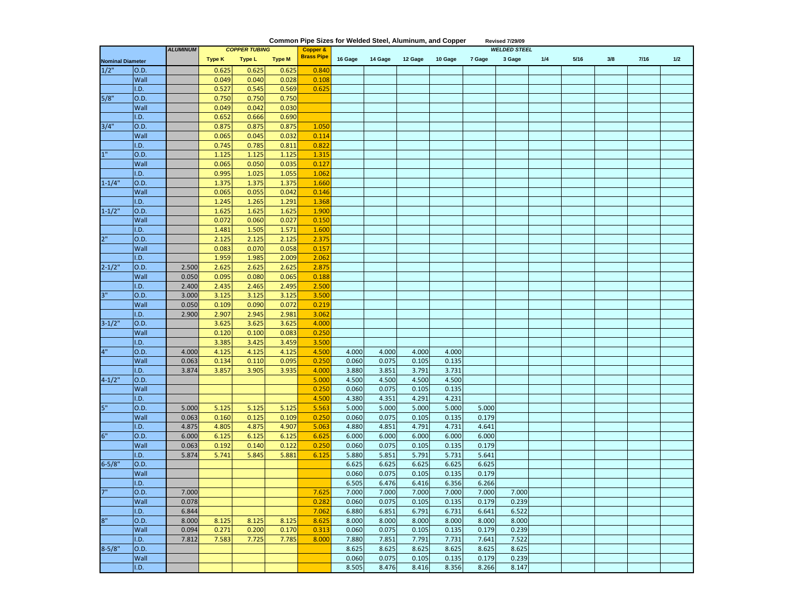| Common Pipe Sizes for Welded Steel, Aluminum, and Copper<br><b>Revised 7/29/09</b> |      |                 |               |                      |               |                     |                     |         |         |         |        |        |     |      |     |      |     |  |
|------------------------------------------------------------------------------------|------|-----------------|---------------|----------------------|---------------|---------------------|---------------------|---------|---------|---------|--------|--------|-----|------|-----|------|-----|--|
|                                                                                    |      | <b>ALUMINUM</b> |               | <b>COPPER TUBING</b> |               | <b>Copper &amp;</b> | <b>WELDED STEEL</b> |         |         |         |        |        |     |      |     |      |     |  |
| <b>Nominal Diameter</b>                                                            |      |                 | <b>Type K</b> | <b>Type L</b>        | <b>Type M</b> | <b>Brass Pipe</b>   | 16 Gage             | 14 Gage | 12 Gage | 10 Gage | 7 Gage | 3 Gage | 1/4 | 5/16 | 3/8 | 7/16 | 1/2 |  |
| 1/2"                                                                               | O.D. |                 | 0.625         | 0.625                | 0.625         | 0.840               |                     |         |         |         |        |        |     |      |     |      |     |  |
|                                                                                    | Wall |                 | 0.049         | 0.040                | 0.028         | 0.108               |                     |         |         |         |        |        |     |      |     |      |     |  |
|                                                                                    | I.D. |                 | 0.527         | 0.545                | 0.569         | 0.625               |                     |         |         |         |        |        |     |      |     |      |     |  |
| 5/8"                                                                               | O.D. |                 | 0.750         | 0.750                | 0.750         |                     |                     |         |         |         |        |        |     |      |     |      |     |  |
|                                                                                    | Wall |                 | 0.049         | 0.042                | 0.030         |                     |                     |         |         |         |        |        |     |      |     |      |     |  |
|                                                                                    | I.D. |                 | 0.652         | 0.666                | 0.690         |                     |                     |         |         |         |        |        |     |      |     |      |     |  |
| 3/4"                                                                               | O.D. |                 | 0.875         | 0.875                | 0.875         | 1.050               |                     |         |         |         |        |        |     |      |     |      |     |  |
|                                                                                    | Wall |                 | 0.065         | 0.045                | 0.032         | 0.114               |                     |         |         |         |        |        |     |      |     |      |     |  |
|                                                                                    | I.D. |                 | 0.745         | 0.785                | 0.811         | 0.822               |                     |         |         |         |        |        |     |      |     |      |     |  |
| 1 <sup>0</sup>                                                                     | O.D. |                 | 1.125         | 1.125                | 1.125         | 1.315               |                     |         |         |         |        |        |     |      |     |      |     |  |
|                                                                                    | Wall |                 | 0.065         | 0.050                | 0.035         | 0.127               |                     |         |         |         |        |        |     |      |     |      |     |  |
|                                                                                    | I.D. |                 | 0.995         | 1.025                | 1.055         | 1.062               |                     |         |         |         |        |        |     |      |     |      |     |  |
| $1 - 1/4"$                                                                         | O.D. |                 | 1.375         | 1.375                | 1.375         | 1.660               |                     |         |         |         |        |        |     |      |     |      |     |  |
|                                                                                    | Wall |                 | 0.065         | 0.055                | 0.042         | 0.146               |                     |         |         |         |        |        |     |      |     |      |     |  |
|                                                                                    | I.D. |                 | 1.245         | 1.265                | 1.291         | 1.368               |                     |         |         |         |        |        |     |      |     |      |     |  |
| $1 - 1/2"$                                                                         | O.D. |                 | 1.625         | 1.625                | 1.625         | 1.900               |                     |         |         |         |        |        |     |      |     |      |     |  |
|                                                                                    | Wall |                 | 0.072         | 0.060                | 0.027         | 0.150               |                     |         |         |         |        |        |     |      |     |      |     |  |
|                                                                                    | I.D. |                 | 1.481         | 1.505                | 1.571         | 1.600               |                     |         |         |         |        |        |     |      |     |      |     |  |
| 2 <sup>0</sup>                                                                     | O.D. |                 | 2.125         | 2.125                | 2.125         | 2.375               |                     |         |         |         |        |        |     |      |     |      |     |  |
|                                                                                    | Wall |                 | 0.083         | 0.070                | 0.058         | 0.157               |                     |         |         |         |        |        |     |      |     |      |     |  |
|                                                                                    | I.D. |                 | 1.959         | 1.985                | 2.009         | 2.062               |                     |         |         |         |        |        |     |      |     |      |     |  |
| $2 - 1/2"$                                                                         | O.D. | 2.500           | 2.625         | 2.625                | 2.625         | 2.875               |                     |         |         |         |        |        |     |      |     |      |     |  |
|                                                                                    | Wall | 0.050           | 0.095         | 0.080                | 0.065         | 0.188               |                     |         |         |         |        |        |     |      |     |      |     |  |
|                                                                                    | I.D. | 2.400           | 2.435         | 2.465                | 2.495         | 2.500               |                     |         |         |         |        |        |     |      |     |      |     |  |
| 3"                                                                                 | O.D. | 3.000           | 3.125         | 3.125                | 3.125         | 3.500               |                     |         |         |         |        |        |     |      |     |      |     |  |
|                                                                                    | Wall | 0.050           | 0.109         | 0.090                | 0.072         | 0.219               |                     |         |         |         |        |        |     |      |     |      |     |  |
|                                                                                    | I.D. | 2.900           | 2.907         | 2.945                | 2.981         | 3.062               |                     |         |         |         |        |        |     |      |     |      |     |  |
| $3 - 1/2"$                                                                         | O.D. |                 | 3.625         | 3.625                | 3.625         | 4.000               |                     |         |         |         |        |        |     |      |     |      |     |  |
|                                                                                    | Wall |                 | 0.120         | 0.100                | 0.083         | 0.250               |                     |         |         |         |        |        |     |      |     |      |     |  |
|                                                                                    | I.D. |                 | 3.385         | 3.425                | 3.459         | 3.500               |                     |         |         |         |        |        |     |      |     |      |     |  |
| 4"                                                                                 | O.D. | 4.000           | 4.125         | 4.125                | 4.125         | 4.500               | 4.000               | 4.000   | 4.000   | 4.000   |        |        |     |      |     |      |     |  |
|                                                                                    | Wall | 0.063           | 0.134         | 0.110                | 0.095         | 0.25C               | 0.060               | 0.075   | 0.105   | 0.135   |        |        |     |      |     |      |     |  |
|                                                                                    | I.D. | 3.874           | 3.857         | 3.905                | 3.935         | 4.000               | 3.880               | 3.851   | 3.791   | 3.731   |        |        |     |      |     |      |     |  |
| $4 - 1/2$ "                                                                        | O.D. |                 |               |                      |               | 5.000               | 4.500               | 4.500   | 4.500   | 4.500   |        |        |     |      |     |      |     |  |
|                                                                                    | Wall |                 |               |                      |               | 0.250               | 0.060               | 0.075   | 0.105   | 0.135   |        |        |     |      |     |      |     |  |
|                                                                                    | I.D. |                 |               |                      |               | 4.500               | 4.380               | 4.351   | 4.291   | 4.231   |        |        |     |      |     |      |     |  |
| ia.                                                                                | O.D. | 5.000           | 5.125         | 5.125                | 5.125         | 5.563               | 5.000               | 5.000   | 5.000   | 5.000   | 5.000  |        |     |      |     |      |     |  |
|                                                                                    | Wall | 0.063           | 0.160         | 0.125                | 0.109         | 0.25C               | 0.060               | 0.075   | 0.105   | 0.135   | 0.179  |        |     |      |     |      |     |  |
|                                                                                    | I.D. | 4.875           | 4.805         | 4.875                | 4.907         | 5.063               | 4.880               | 4.851   | 4.791   | 4.731   | 4.641  |        |     |      |     |      |     |  |
| 6"                                                                                 | O.D. | 6.000           | 6.125         | 6.125                | 6.125         | 6.625               | 6.000               | 6.000   | 6.000   | 6.000   | 6.000  |        |     |      |     |      |     |  |
|                                                                                    | Wall | 0.063           | 0.192         | 0.140                | 0.122         | 0.250               | 0.060               | 0.075   | 0.105   | 0.135   | 0.179  |        |     |      |     |      |     |  |
|                                                                                    | I.D. | 5.874           | 5.741         | 5.845                | 5.881         | 6.125               | 5.880               | 5.851   | 5.791   | 5.731   | 5.641  |        |     |      |     |      |     |  |
| $6 - 5/8"$                                                                         | O.D. |                 |               |                      |               |                     | 6.625               | 6.625   | 6.625   | 6.625   | 6.625  |        |     |      |     |      |     |  |
|                                                                                    | Wall |                 |               |                      |               |                     | 0.060               | 0.075   | 0.105   | 0.135   | 0.179  |        |     |      |     |      |     |  |
|                                                                                    | I.D. |                 |               |                      |               |                     | 6.505               | 6.476   | 6.416   | 6.356   | 6.266  |        |     |      |     |      |     |  |
| 7"                                                                                 | O.D. | 7.000           |               |                      |               | 7.625               | 7.000               | 7.000   | 7.000   | 7.000   | 7.000  | 7.000  |     |      |     |      |     |  |
|                                                                                    | Wall | 0.078           |               |                      |               | 0.282               | 0.060               | 0.075   | 0.105   | 0.135   | 0.179  | 0.239  |     |      |     |      |     |  |
|                                                                                    | I.D. | 6.844           |               |                      |               | 7.062               | 6.880               | 6.851   | 6.791   | 6.731   | 6.641  | 6.522  |     |      |     |      |     |  |
| io                                                                                 | O.D. | 8.000           | 8.125         | 8.125                | 8.125         | 8.625               | 8.000               | 8.000   | 8.000   | 8.000   | 8.000  | 8.000  |     |      |     |      |     |  |
|                                                                                    | Wall | 0.094           | 0.271         | 0.200                | 0.170         | 0.313               | 0.060               | 0.075   | 0.105   | 0.135   | 0.179  | 0.239  |     |      |     |      |     |  |
|                                                                                    | I.D. | 7.812           | 7.583         | 7.725                | 7.785         | 8.000               | 7.880               | 7.851   | 7.791   | 7.731   | 7.641  | 7.522  |     |      |     |      |     |  |
| $8 - 5/8"$                                                                         | 0.D. |                 |               |                      |               |                     | 8.625               | 8.625   | 8.625   | 8.625   | 8.625  | 8.625  |     |      |     |      |     |  |
|                                                                                    | Wall |                 |               |                      |               |                     | 0.060               | 0.075   | 0.105   | 0.135   | 0.179  | 0.239  |     |      |     |      |     |  |
|                                                                                    | I.D. |                 |               |                      |               |                     | 8.505               | 8.476   | 8.416   | 8.356   | 8.266  | 8.147  |     |      |     |      |     |  |

Ш.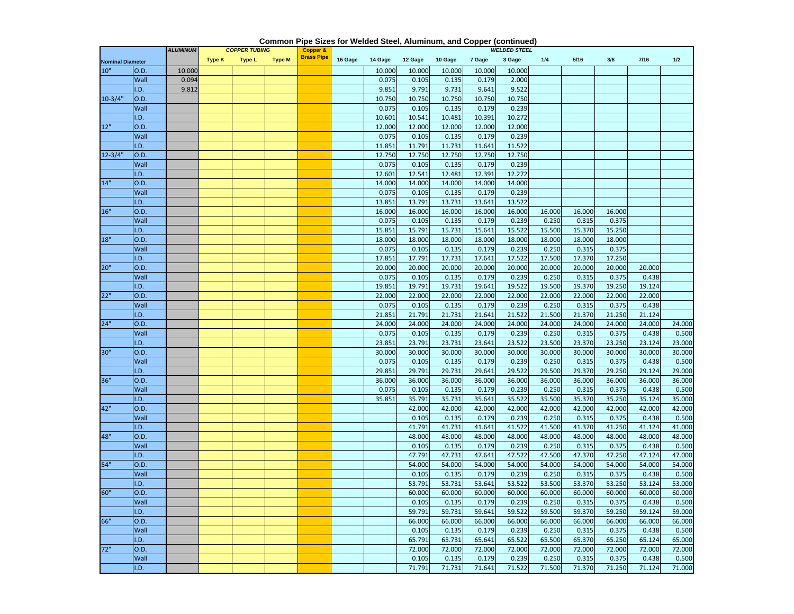|                         | <b>ALUMINUM</b><br><b>COPPER TUBING</b> |        |               | <b>Copper &amp;</b> |               |                   | <b>WELDED STEEL</b> |         |         |         |        |        |        |        |        |        |        |
|-------------------------|-----------------------------------------|--------|---------------|---------------------|---------------|-------------------|---------------------|---------|---------|---------|--------|--------|--------|--------|--------|--------|--------|
| <b>Nominal Diameter</b> |                                         |        | <b>Type K</b> | Type L              | <b>Type M</b> | <b>Brass Pipe</b> | 16 Gage             | 14 Gage | 12 Gage | 10 Gage | 7 Gage | 3 Gage | 1/4    | 5/16   | 3/8    | 7/16   | 1/2    |
| 10"                     | 0.D.                                    | 10.000 |               |                     |               |                   |                     | 10.000  | 10.000  | 10.000  | 10.000 | 10.000 |        |        |        |        |        |
|                         | Wall                                    | 0.094  |               |                     |               |                   |                     | 0.075   | 0.105   | 0.135   | 0.179  | 2.000  |        |        |        |        |        |
|                         | I.D.                                    | 9.812  |               |                     |               |                   |                     | 9.851   | 9.791   | 9.731   | 9.641  | 9.522  |        |        |        |        |        |
| $10-3/4"$               | O.D.                                    |        |               |                     |               |                   |                     | 10.750  | 10.750  | 10.750  | 10.750 | 10.750 |        |        |        |        |        |
|                         | Wall                                    |        |               |                     |               |                   |                     | 0.075   | 0.105   | 0.135   | 0.179  | 0.239  |        |        |        |        |        |
|                         | I.D.                                    |        |               |                     |               |                   |                     | 10.601  | 10.541  | 10.481  | 10.391 | 10.272 |        |        |        |        |        |
| 12"                     | O.D.                                    |        |               |                     |               |                   |                     | 12.000  | 12.000  | 12.000  | 12.000 | 12.000 |        |        |        |        |        |
|                         | Wall                                    |        |               |                     |               |                   |                     | 0.075   | 0.105   | 0.135   | 0.179  | 0.239  |        |        |        |        |        |
|                         | I.D.                                    |        |               |                     |               |                   |                     | 11.851  | 11.791  | 11.731  | 11.641 | 11.522 |        |        |        |        |        |
| $12 - 3/4"$             | O.D.                                    |        |               |                     |               |                   |                     | 12.750  | 12.750  | 12.750  | 12.750 | 12.750 |        |        |        |        |        |
|                         | Wall                                    |        |               |                     |               |                   |                     | 0.075   | 0.105   | 0.135   | 0.179  | 0.239  |        |        |        |        |        |
|                         | I.D.                                    |        |               |                     |               |                   |                     | 12.601  | 12.541  | 12.481  | 12.391 | 12.272 |        |        |        |        |        |
| 14"                     | O.D.                                    |        |               |                     |               |                   |                     | 14.000  | 14.000  | 14.000  | 14.000 | 14.000 |        |        |        |        |        |
|                         | Wall                                    |        |               |                     |               |                   |                     | 0.075   | 0.105   | 0.135   | 0.179  | 0.239  |        |        |        |        |        |
|                         | I.D.                                    |        |               |                     |               |                   |                     | 13.851  | 13.791  | 13.731  | 13.641 | 13.522 |        |        |        |        |        |
| 16"                     | O.D.                                    |        |               |                     |               |                   |                     | 16.000  | 16.000  | 16.000  | 16.000 | 16.000 | 16.000 | 16.000 | 16.000 |        |        |
|                         | Wall                                    |        |               |                     |               |                   |                     | 0.075   | 0.105   | 0.135   | 0.179  | 0.239  | 0.250  | 0.315  | 0.375  |        |        |
|                         | I.D.                                    |        |               |                     |               |                   |                     | 15.851  | 15.791  | 15.731  | 15.641 | 15.522 | 15.500 | 15.370 | 15.250 |        |        |
| 18"                     | O.D.                                    |        |               |                     |               |                   |                     | 18.000  | 18.000  | 18.000  | 18.000 | 18.000 | 18.000 | 18.000 | 18.000 |        |        |
|                         | Wall                                    |        |               |                     |               |                   |                     | 0.075   | 0.105   | 0.135   | 0.179  | 0.239  | 0.250  | 0.315  | 0.375  |        |        |
|                         | I.D.                                    |        |               |                     |               |                   |                     | 17.851  | 17.791  | 17.731  | 17.641 | 17.522 | 17.500 | 17.370 | 17.250 |        |        |
| 20"                     | O.D.                                    |        |               |                     |               |                   |                     | 20.000  | 20.000  | 20.000  | 20.000 | 20.000 | 20.000 | 20.000 | 20.000 | 20.000 |        |
|                         | Wall                                    |        |               |                     |               |                   |                     | 0.075   | 0.105   | 0.135   | 0.179  | 0.239  | 0.250  | 0.315  | 0.375  | 0.438  |        |
|                         | I.D.                                    |        |               |                     |               |                   |                     | 19.851  | 19.791  | 19.731  | 19.641 | 19.522 | 19.500 | 19.370 | 19.250 | 19.124 |        |
| 22"                     | O.D.                                    |        |               |                     |               |                   |                     | 22.000  | 22.000  | 22.000  | 22.000 | 22.000 | 22.000 | 22.000 | 22.000 | 22.000 |        |
|                         | Wall                                    |        |               |                     |               |                   |                     | 0.075   | 0.105   | 0.135   | 0.179  | 0.239  | 0.250  | 0.315  | 0.375  | 0.438  |        |
|                         | I.D.                                    |        |               |                     |               |                   |                     | 21.851  | 21.791  | 21.731  | 21.641 | 21.522 | 21.500 | 21.370 | 21.250 | 21.124 |        |
| 24"                     | O.D.                                    |        |               |                     |               |                   |                     | 24.000  | 24.000  | 24.000  | 24.000 | 24.000 | 24.000 | 24.000 | 24.000 | 24.000 | 24.000 |
|                         | Wall                                    |        |               |                     |               |                   |                     | 0.075   | 0.105   | 0.135   | 0.179  | 0.239  | 0.250  | 0.315  | 0.375  | 0.438  | 0.500  |
|                         | I.D.                                    |        |               |                     |               |                   |                     | 23.851  | 23.791  | 23.731  | 23.641 | 23.522 | 23.500 | 23.370 | 23.250 | 23.124 | 23.000 |
| 30"                     | O.D.                                    |        |               |                     |               |                   |                     | 30.000  | 30.000  | 30.000  | 30.000 | 30.000 | 30.000 | 30.000 | 30.000 | 30.000 | 30.000 |
|                         | Wall                                    |        |               |                     |               |                   |                     | 0.075   | 0.105   | 0.135   | 0.179  | 0.239  | 0.250  | 0.315  | 0.375  | 0.438  | 0.500  |
|                         | I.D.                                    |        |               |                     |               |                   |                     | 29.851  | 29.791  | 29.731  | 29.641 | 29.522 | 29.500 | 29.370 | 29.250 | 29.124 | 29.000 |
| 36"                     | O.D.                                    |        |               |                     |               |                   |                     | 36.000  | 36.000  | 36.000  | 36.000 | 36.000 | 36.000 | 36.000 | 36.000 | 36.000 | 36.000 |
|                         | Wall                                    |        |               |                     |               |                   |                     | 0.075   | 0.105   | 0.135   | 0.179  | 0.239  | 0.250  | 0.315  | 0.375  | 0.438  | 0.500  |
|                         | I.D.                                    |        |               |                     |               |                   |                     | 35.851  | 35.791  | 35.731  | 35.641 | 35.522 | 35.500 | 35.370 | 35.250 | 35.124 | 35.000 |
| 42"                     | O.D.                                    |        |               |                     |               |                   |                     |         | 42.000  | 42.000  | 42.000 | 42.000 | 42.000 | 42.000 | 42.000 | 42.000 | 42.000 |
|                         | Wall                                    |        |               |                     |               |                   |                     |         | 0.105   | 0.135   | 0.179  | 0.239  | 0.250  | 0.315  | 0.375  | 0.438  | 0.500  |
|                         | I.D.                                    |        |               |                     |               |                   |                     |         | 41.791  | 41.731  | 41.641 | 41.522 | 41.500 | 41.370 | 41.250 | 41.124 | 41.000 |
| 48"                     | O.D.                                    |        |               |                     |               |                   |                     |         | 48.000  | 48.000  | 48.000 | 48.000 | 48.000 | 48.000 | 48.000 | 48.000 | 48.000 |
|                         | Wall                                    |        |               |                     |               |                   |                     |         | 0.105   | 0.135   | 0.179  | 0.239  | 0.250  | 0.315  | 0.375  | 0.438  | 0.500  |
|                         | I.D.                                    |        |               |                     |               |                   |                     |         | 47.791  | 47.731  | 47.641 | 47.522 | 47.500 | 47.370 | 47.250 | 47.124 | 47.000 |
| 54"                     | O.D.                                    |        |               |                     |               |                   |                     |         | 54.000  | 54.000  | 54.000 | 54.000 | 54.000 | 54.000 | 54.000 | 54.000 | 54.000 |
|                         | Wall                                    |        |               |                     |               |                   |                     |         | 0.105   | 0.135   | 0.179  | 0.239  | 0.250  | 0.315  | 0.375  | 0.438  | 0.500  |
|                         | I.D.                                    |        |               |                     |               |                   |                     |         | 53.791  | 53.731  | 53.641 | 53.522 | 53.500 | 53.370 | 53.250 | 53.124 | 53.000 |
| 60"                     | O.D.                                    |        |               |                     |               |                   |                     |         | 60.000  | 60.000  | 60.000 | 60.000 | 60.000 | 60.000 | 60.000 | 60.000 | 60.000 |
|                         | Wall                                    |        |               |                     |               |                   |                     |         | 0.105   | 0.135   | 0.179  | 0.239  | 0.250  | 0.315  | 0.375  | 0.438  | 0.500  |
|                         | I.D.                                    |        |               |                     |               |                   |                     |         | 59.791  | 59.731  | 59.641 | 59.522 | 59.500 | 59.370 | 59.250 | 59.124 | 59.000 |
| 66"                     | O.D.                                    |        |               |                     |               |                   |                     |         | 66.000  | 66.000  | 66.000 | 66.000 | 66.000 | 66.000 | 66.000 | 66.000 | 66.000 |
|                         | Wall                                    |        |               |                     |               |                   |                     |         | 0.105   | 0.135   | 0.179  | 0.239  | 0.250  | 0.315  | 0.375  | 0.438  | 0.500  |
|                         | I.D.                                    |        |               |                     |               |                   |                     |         | 65.791  | 65.731  | 65.641 | 65.522 | 65.500 | 65.370 | 65.250 | 65.124 | 65.000 |
| 72"                     | O.D.                                    |        |               |                     |               |                   |                     |         | 72.000  | 72.000  | 72.000 | 72.000 | 72.000 | 72.000 | 72.000 | 72.000 | 72.000 |
|                         | Wall                                    |        |               |                     |               |                   |                     |         | 0.105   | 0.135   | 0.179  | 0.239  | 0.250  | 0.315  | 0.375  | 0.438  | 0.500  |
|                         | I.D.                                    |        |               |                     |               |                   |                     |         | 71.791  | 71.731  | 71.641 | 71.522 | 71.500 | 71.370 | 71.250 | 71.124 | 71.000 |

#### **Common Pipe Sizes for Welded Steel, Aluminum, and Copper (continued)**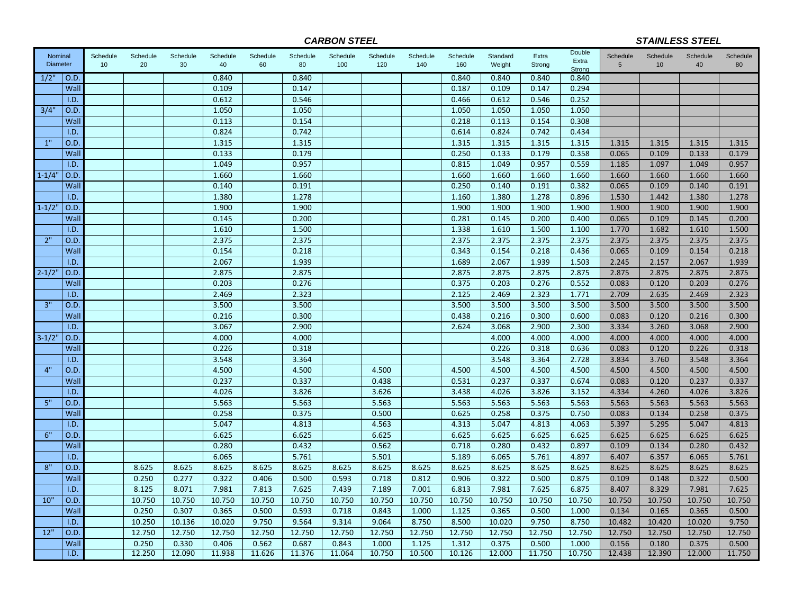*CARBON STEEL*

*STAINLESS STEEL*

| Nominal<br><b>Diameter</b> |              | Schedule<br>10 | Schedule<br>20 | Schedule<br>30 | Schedule<br>40 | Schedule<br>60 | Schedule<br>80 | Schedule<br>100 | Schedule<br>120 | Schedule<br>140 | Schedule<br>160 | Standard<br>Weight | Extra<br>Strong | Double<br>Extra | Schedule<br>5  | Schedule<br>10 | Schedule<br>40 | Schedule<br>80 |
|----------------------------|--------------|----------------|----------------|----------------|----------------|----------------|----------------|-----------------|-----------------|-----------------|-----------------|--------------------|-----------------|-----------------|----------------|----------------|----------------|----------------|
| 1/2"                       | O.D.         |                |                |                | 0.840          |                | 0.840          |                 |                 |                 | 0.840           | 0.840              | 0.840           | Strong<br>0.840 |                |                |                |                |
|                            | Wall         |                |                |                | 0.109          |                | 0.147          |                 |                 |                 | 0.187           | 0.109              | 0.147           | 0.294           |                |                |                |                |
|                            | I.D.         |                |                |                | 0.612          |                | 0.546          |                 |                 |                 | 0.466           | 0.612              | 0.546           | 0.252           |                |                |                |                |
| 3/4'                       | O.D.         |                |                |                | 1.050          |                | 1.050          |                 |                 |                 | 1.050           | 1.050              | 1.050           | 1.050           |                |                |                |                |
|                            | Wall         |                |                |                | 0.113          |                | 0.154          |                 |                 |                 | 0.218           | 0.113              | 0.154           | 0.308           |                |                |                |                |
|                            | I.D.         |                |                |                | 0.824          |                | 0.742          |                 |                 |                 | 0.614           | 0.824              | 0.742           | 0.434           |                |                |                |                |
| 1"                         | O.D.         |                |                |                | 1.315          |                | 1.315          |                 |                 |                 | 1.315           | 1.315              | 1.315           | 1.315           | 1.315          | 1.315          | 1.315          | 1.315          |
|                            | Wall         |                |                |                | 0.133          |                | 0.179          |                 |                 |                 | 0.250           | 0.133              | 0.179           | 0.358           | 0.065          | 0.109          | 0.133          | 0.179          |
|                            | I.D.         |                |                |                | 1.049          |                | 0.957          |                 |                 |                 | 0.815           | 1.049              | 0.957           | 0.559           | 1.185          | 1.097          | 1.049          | 0.957          |
| $1 - 1/4'$                 | O.D.         |                |                |                | 1.660          |                | 1.660          |                 |                 |                 | 1.660           | 1.660              | 1.660           | 1.660           | 1.660          | 1.660          | 1.660          | 1.660          |
|                            | Wall         |                |                |                | 0.140          |                | 0.191          |                 |                 |                 | 0.250           | 0.140              | 0.191           | 0.382           | 0.065          | 0.109          | 0.140          | 0.191          |
|                            | I.D.         |                |                |                | 1.380          |                | 1.278          |                 |                 |                 | 1.160           | 1.380              | 1.278           | 0.896           | 1.530          | 1.442          | 1.380          | 1.278          |
| $1 - 1/2$                  | O.D.         |                |                |                | 1.900          |                | 1.900          |                 |                 |                 | 1.900           | 1.900              | 1.900           | 1.900           | 1.900          | 1.900          | 1.900          | 1.900          |
|                            | Wall         |                |                |                | 0.145          |                | 0.200          |                 |                 |                 | 0.281           | 0.145              | 0.200           | 0.400           | 0.065          | 0.109          | 0.145          | 0.200          |
|                            | I.D.         |                |                |                | 1.610          |                | 1.500          |                 |                 |                 | 1.338           | 1.610              | 1.500           | 1.100           | 1.770          | 1.682          | 1.610          | 1.500          |
| 2"                         | O.D.         |                |                |                | 2.375          |                | 2.375          |                 |                 |                 | 2.375           | 2.375              | 2.375           | 2.375           | 2.375          | 2.375          | 2.375          | 2.375          |
|                            | Wall         |                |                |                | 0.154          |                | 0.218          |                 |                 |                 | 0.343           | 0.154              | 0.218           | 0.436           | 0.065          | 0.109          | 0.154          | 0.218          |
|                            | I.D.         |                |                |                | 2.067          |                | 1.939          |                 |                 |                 | 1.689           | 2.067              | 1.939           | 1.503           | 2.245          | 2.157          | 2.067          | 1.939          |
| $2 - 1/2$                  | O.D.         |                |                |                | 2.875          |                | 2.875          |                 |                 |                 | 2.875           | 2.875              | 2.875           | 2.875           | 2.875          | 2.875          | 2.875          | 2.875          |
|                            | Wall         |                |                |                | 0.203          |                | 0.276          |                 |                 |                 | 0.375           | 0.203              | 0.276           | 0.552           | 0.083          | 0.120          | 0.203          | 0.276          |
|                            | I.D.         |                |                |                | 2.469          |                | 2.323          |                 |                 |                 | 2.125           | 2.469              | 2.323           | 1.771           | 2.709          | 2.635          | 2.469          | 2.323          |
| 3"                         | O.D.         |                |                |                | 3.500          |                | 3.500          |                 |                 |                 | 3.500           | 3.500              | 3.500           | 3.500           | 3.500          | 3.500          | 3.500          | 3.500          |
|                            | Wall         |                |                |                | 0.216          |                | 0.300          |                 |                 |                 | 0.438           | 0.216              | 0.300           | 0.600           | 0.083          | 0.120          | 0.216          | 0.300          |
|                            | I.D.         |                |                |                | 3.067<br>4.000 |                | 2.900          |                 |                 |                 | 2.624           | 3.068              | 2.900           | 2.300           | 3.334          | 3.260          | 3.068          | 2.900          |
| $3 - 1/2'$                 | O.D.<br>Wall |                |                |                | 0.226          |                | 4.000<br>0.318 |                 |                 |                 |                 | 4.000<br>0.226     | 4.000<br>0.318  | 4.000<br>0.636  | 4.000<br>0.083 | 4.000<br>0.120 | 4.000<br>0.226 | 4.000<br>0.318 |
|                            | I.D.         |                |                |                | 3.548          |                | 3.364          |                 |                 |                 |                 | 3.548              | 3.364           | 2.728           | 3.834          | 3.760          | 3.548          | 3.364          |
| 4"                         | O.D.         |                |                |                | 4.500          |                | 4.500          |                 | 4.500           |                 | 4.500           | 4.500              | 4.500           | 4.500           | 4.500          | 4.500          | 4.500          | 4.500          |
|                            | Wall         |                |                |                | 0.237          |                | 0.337          |                 | 0.438           |                 | 0.531           | 0.237              | 0.337           | 0.674           | 0.083          | 0.120          | 0.237          | 0.337          |
|                            | I.D.         |                |                |                | 4.026          |                | 3.826          |                 | 3.626           |                 | 3.438           | 4.026              | 3.826           | 3.152           | 4.334          | 4.260          | 4.026          | 3.826          |
| 5"                         | O.D.         |                |                |                | 5.563          |                | 5.563          |                 | 5.563           |                 | 5.563           | 5.563              | 5.563           | 5.563           | 5.563          | 5.563          | 5.563          | 5.563          |
|                            | Wall         |                |                |                | 0.258          |                | 0.375          |                 | 0.500           |                 | 0.625           | 0.258              | 0.375           | 0.750           | 0.083          | 0.134          | 0.258          | 0.375          |
|                            | I.D.         |                |                |                | 5.047          |                | 4.813          |                 | 4.563           |                 | 4.313           | 5.047              | 4.813           | 4.063           | 5.397          | 5.295          | 5.047          | 4.813          |
| 6"                         | O.D.         |                |                |                | 6.625          |                | 6.625          |                 | 6.625           |                 | 6.625           | 6.625              | 6.625           | 6.625           | 6.625          | 6.625          | 6.625          | 6.625          |
|                            | Wall         |                |                |                | 0.280          |                | 0.432          |                 | 0.562           |                 | 0.718           | 0.280              | 0.432           | 0.897           | 0.109          | 0.134          | 0.280          | 0.432          |
|                            | I.D.         |                |                |                | 6.065          |                | 5.761          |                 | 5.501           |                 | 5.189           | 6.065              | 5.761           | 4.897           | 6.407          | 6.357          | 6.065          | 5.761          |
| 8"                         | O.D.         |                | 8.625          | 8.625          | 8.625          | 8.625          | 8.625          | 8.625           | 8.625           | 8.625           | 8.625           | 8.625              | 8.625           | 8.625           | 8.625          | 8.625          | 8.625          | 8.625          |
|                            | Wall         |                | 0.250          | 0.277          | 0.322          | 0.406          | 0.500          | 0.593           | 0.718           | 0.812           | 0.906           | 0.322              | 0.500           | 0.875           | 0.109          | 0.148          | 0.322          | 0.500          |
|                            | I.D.         |                | 8.125          | 8.071          | 7.981          | 7.813          | 7.625          | 7.439           | 7.189           | 7.001           | 6.813           | 7.981              | 7.625           | 6.875           | 8.407          | 8.329          | 7.981          | 7.625          |
| 10"                        | O.D.         |                | 10.750         | 10.750         | 10.750         | 10.750         | 10.750         | 10.750          | 10.750          | 10.750          | 10.750          | 10.750             | 10.750          | 10.750          | 10.750         | 10.750         | 10.750         | 10.750         |
|                            | Wall         |                | 0.250          | 0.307          | 0.365          | 0.500          | 0.593          | 0.718           | 0.843           | 1.000           | 1.125           | 0.365              | 0.500           | 1.000           | 0.134          | 0.165          | 0.365          | 0.500          |
|                            | I.D.         |                | 10.250         | 10.136         | 10.020         | 9.750          | 9.564          | 9.314           | 9.064           | 8.750           | 8.500           | 10.020             | 9.750           | 8.750           | 10.482         | 10.420         | 10.020         | 9.750          |
| 12"                        | O.D          |                | 12.750         | 12.750         | 12.750         | 12.750         | 12.750         | 12.750          | 12.750          | 12.750          | 12.750          | 12.750             | 12.750          | 12.750          | 12.750         | 12.750         | 12.750         | 12.750         |
|                            | Wall         |                | 0.250          | 0.330          | 0.406          | 0.562          | 0.687          | 0.843           | 1.000           | 1.125           | 1.312           | 0.375              | 0.500           | 1.000           | 0.156          | 0.180          | 0.375          | 0.500          |
|                            | I.D.         |                | 12.250         | 12.090         | 11.938         | 11.626         | 11.376         | 11.064          | 10.750          | 10.500          | 10.126          | 12.000             | 11.750          | 10.750          | 12.438         | 12.390         | 12.000         | 11.750         |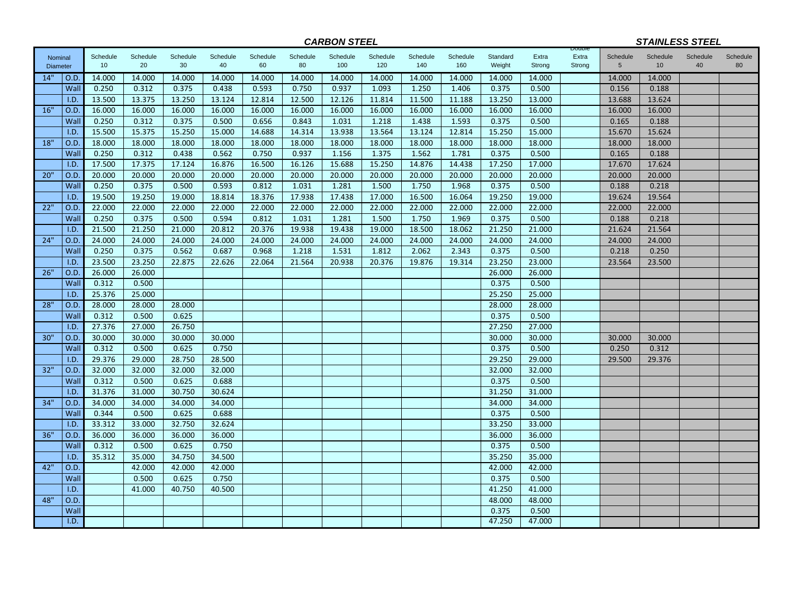|                 |      |          |          |          |          |          |          | <b>CARBON STEEL</b> |          |          |          |          |        |                 |                 | <b>STAINLESS STEEL</b> |          |          |
|-----------------|------|----------|----------|----------|----------|----------|----------|---------------------|----------|----------|----------|----------|--------|-----------------|-----------------|------------------------|----------|----------|
| Nominal         |      | Schedule | Schedule | Schedule | Schedule | Schedule | Schedule | Schedule            | Schedule | Schedule | Schedule | Standard | Extra  | Double<br>Extra | Schedule        | Schedule               | Schedule | Schedule |
| <b>Diameter</b> |      | 10       | 20       | 30       | 40       | 60       | 80       | 100                 | 120      | 140      | 160      | Weight   | Strong | Strong          | $5\phantom{.0}$ | 10                     | 40       | 80       |
| 14"             | O.D  | 14.000   | 14.000   | 14.000   | 14.000   | 14.000   | 14.000   | 14.000              | 14.000   | 14.000   | 14.000   | 14.000   | 14.000 |                 | 14.000          | 14.000                 |          |          |
|                 | Wall | 0.250    | 0.312    | 0.375    | 0.438    | 0.593    | 0.750    | 0.937               | 1.093    | 1.250    | 1.406    | 0.375    | 0.500  |                 | 0.156           | 0.188                  |          |          |
|                 | I.D. | 13.500   | 13.375   | 13.250   | 13.124   | 12.814   | 12.500   | 12.126              | 11.814   | 11.500   | 11.188   | 13.250   | 13.000 |                 | 13.688          | 13.624                 |          |          |
| 16"             | O.D  | 16.000   | 16.000   | 16.000   | 16.000   | 16.000   | 16.000   | 16.000              | 16.000   | 16.000   | 16.000   | 16.000   | 16.000 |                 | 16.000          | 16.000                 |          |          |
|                 | Wall | 0.250    | 0.312    | 0.375    | 0.500    | 0.656    | 0.843    | 1.031               | 1.218    | 1.438    | 1.593    | 0.375    | 0.500  |                 | 0.165           | 0.188                  |          |          |
|                 | I.D. | 15.500   | 15.375   | 15.250   | 15.000   | 14.688   | 14.314   | 13.938              | 13.564   | 13.124   | 12.814   | 15.250   | 15.000 |                 | 15.670          | 15.624                 |          |          |
| 18"             | O.D  | 18.000   | 18.000   | 18.000   | 18.000   | 18.000   | 18.000   | 18.000              | 18.000   | 18.000   | 18.000   | 18.000   | 18.000 |                 | 18.000          | 18.000                 |          |          |
|                 | Wall | 0.250    | 0.312    | 0.438    | 0.562    | 0.750    | 0.937    | 1.156               | 1.375    | 1.562    | 1.781    | 0.375    | 0.500  |                 | 0.165           | 0.188                  |          |          |
|                 | I.D. | 17.500   | 17.375   | 17.124   | 16.876   | 16.500   | 16.126   | 15.688              | 15.250   | 14.876   | 14.438   | 17.250   | 17.000 |                 | 17.670          | 17.624                 |          |          |
| 20"             | O.D  | 20.000   | 20.000   | 20.000   | 20.000   | 20.000   | 20.000   | 20.000              | 20.000   | 20.000   | 20.000   | 20.000   | 20.000 |                 | 20.000          | 20.000                 |          |          |
|                 | Wall | 0.250    | 0.375    | 0.500    | 0.593    | 0.812    | 1.031    | 1.281               | 1.500    | 1.750    | 1.968    | 0.375    | 0.500  |                 | 0.188           | 0.218                  |          |          |
|                 | I.D. | 19.500   | 19.250   | 19.000   | 18.814   | 18.376   | 17.938   | 17.438              | 17.000   | 16.500   | 16.064   | 19.250   | 19.000 |                 | 19.624          | 19.564                 |          |          |
| 22"             | O.D  | 22.000   | 22.000   | 22.000   | 22.000   | 22.000   | 22.000   | 22.000              | 22.000   | 22.000   | 22.000   | 22.000   | 22.000 |                 | 22.000          | 22.000                 |          |          |
|                 | Wall | 0.250    | 0.375    | 0.500    | 0.594    | 0.812    | 1.031    | 1.281               | 1.500    | 1.750    | 1.969    | 0.375    | 0.500  |                 | 0.188           | 0.218                  |          |          |
|                 | I.D. | 21.500   | 21.250   | 21.000   | 20.812   | 20.376   | 19.938   | 19.438              | 19.000   | 18.500   | 18.062   | 21.250   | 21.000 |                 | 21.624          | 21.564                 |          |          |
| 24"             | O.D  | 24.000   | 24.000   | 24.000   | 24.000   | 24.000   | 24.000   | 24.000              | 24.000   | 24.000   | 24.000   | 24.000   | 24.000 |                 | 24.000          | 24.000                 |          |          |
|                 | Wall | 0.250    | 0.375    | 0.562    | 0.687    | 0.968    | 1.218    | 1.531               | 1.812    | 2.062    | 2.343    | 0.375    | 0.500  |                 | 0.218           | 0.250                  |          |          |
|                 | I.D. | 23.500   | 23.250   | 22.875   | 22.626   | 22.064   | 21.564   | 20.938              | 20.376   | 19.876   | 19.314   | 23.250   | 23.000 |                 | 23.564          | 23.500                 |          |          |
| 26"             | O.D  | 26.000   | 26.000   |          |          |          |          |                     |          |          |          | 26.000   | 26.000 |                 |                 |                        |          |          |
|                 | Wall | 0.312    | 0.500    |          |          |          |          |                     |          |          |          | 0.375    | 0.500  |                 |                 |                        |          |          |
|                 | I.D. | 25.376   | 25.000   |          |          |          |          |                     |          |          |          | 25.250   | 25.000 |                 |                 |                        |          |          |
| 28"             | O.D  | 28.000   | 28.000   | 28.000   |          |          |          |                     |          |          |          | 28.000   | 28.000 |                 |                 |                        |          |          |
|                 | Wall | 0.312    | 0.500    | 0.625    |          |          |          |                     |          |          |          | 0.375    | 0.500  |                 |                 |                        |          |          |
|                 | I.D. | 27.376   | 27.000   | 26.750   |          |          |          |                     |          |          |          | 27.250   | 27.000 |                 |                 |                        |          |          |
| 30"             | O.D. | 30.000   | 30.000   | 30.000   | 30.000   |          |          |                     |          |          |          | 30.000   | 30.000 |                 | 30.000          | 30.000                 |          |          |
|                 | Wall | 0.312    | 0.500    | 0.625    | 0.750    |          |          |                     |          |          |          | 0.375    | 0.500  |                 | 0.250           | 0.312                  |          |          |
|                 | I.D. | 29.376   | 29.000   | 28.750   | 28.500   |          |          |                     |          |          |          | 29.250   | 29.000 |                 | 29.500          | 29.376                 |          |          |
| 32"             | O.D. | 32.000   | 32.000   | 32.000   | 32.000   |          |          |                     |          |          |          | 32.000   | 32.000 |                 |                 |                        |          |          |
|                 | Wall | 0.312    | 0.500    | 0.625    | 0.688    |          |          |                     |          |          |          | 0.375    | 0.500  |                 |                 |                        |          |          |
|                 | I.D. | 31.376   | 31.000   | 30.750   | 30.624   |          |          |                     |          |          |          | 31.250   | 31.000 |                 |                 |                        |          |          |
| 34"             | O.D. | 34.000   | 34.000   | 34.000   | 34.000   |          |          |                     |          |          |          | 34.000   | 34.000 |                 |                 |                        |          |          |
|                 | Wall | 0.344    | 0.500    | 0.625    | 0.688    |          |          |                     |          |          |          | 0.375    | 0.500  |                 |                 |                        |          |          |
|                 | I.D. | 33.312   | 33.000   | 32.750   | 32.624   |          |          |                     |          |          |          | 33.250   | 33.000 |                 |                 |                        |          |          |
| 36"             | O.D  | 36.000   | 36.000   | 36.000   | 36.000   |          |          |                     |          |          |          | 36.000   | 36.000 |                 |                 |                        |          |          |
|                 | Wall | 0.312    | 0.500    | 0.625    | 0.750    |          |          |                     |          |          |          | 0.375    | 0.500  |                 |                 |                        |          |          |
|                 | I.D. | 35.312   | 35.000   | 34.750   | 34.500   |          |          |                     |          |          |          | 35.250   | 35.000 |                 |                 |                        |          |          |
| 42"             | O.D  |          | 42.000   | 42.000   | 42.000   |          |          |                     |          |          |          | 42.000   | 42.000 |                 |                 |                        |          |          |
|                 | Wall |          | 0.500    | 0.625    | 0.750    |          |          |                     |          |          |          | 0.375    | 0.500  |                 |                 |                        |          |          |
|                 | I.D. |          | 41.000   | 40.750   | 40.500   |          |          |                     |          |          |          | 41.250   | 41.000 |                 |                 |                        |          |          |
| 48"             | O.D. |          |          |          |          |          |          |                     |          |          |          | 48.000   | 48.000 |                 |                 |                        |          |          |
|                 | Wall |          |          |          |          |          |          |                     |          |          |          | 0.375    | 0.500  |                 |                 |                        |          |          |
|                 | I.D. |          |          |          |          |          |          |                     |          |          |          | 47.250   | 47.000 |                 |                 |                        |          |          |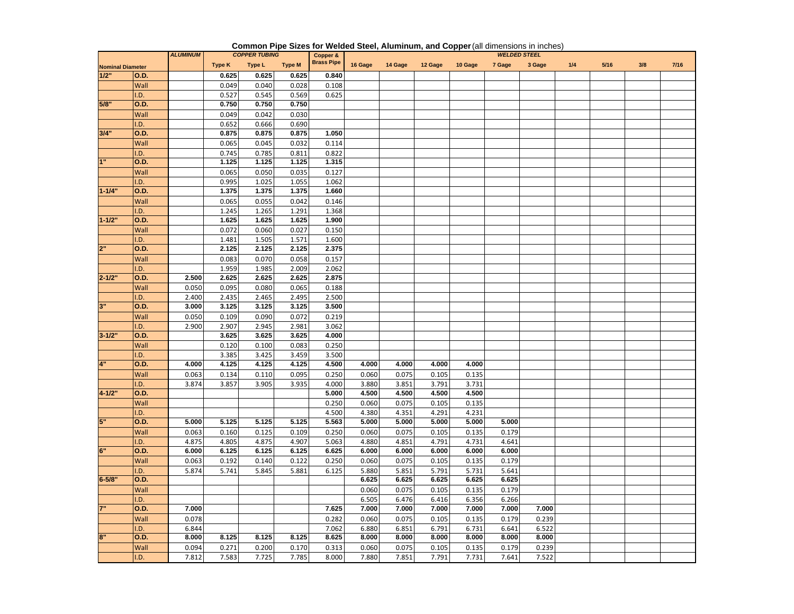| Type K<br>Type L<br><b>Type M</b><br>16 Gage<br>14 Gage<br>12 Gage<br>10 Gage<br>7 Gage<br>3 Gage<br>1/4<br>$5/16$<br>3/8<br>7/16<br><b>Nominal Diameter</b><br>1/2"<br>0.625<br>0.625<br>0.625<br>0.840<br><b>O.D.</b><br>Wall<br>0.049<br>0.040<br>0.028<br>0.108<br>I.D.<br>0.527<br>0.545<br>0.569<br>0.625<br>5/8"<br>O.D.<br>0.750<br>0.750<br>0.750<br>Wall<br>0.049<br>0.042<br>0.030<br>.D.<br>0.652<br>0.690<br>0.666<br>3/4"<br>0.875<br>0.875<br>0.875<br>1.050<br>O.D.<br>0.065<br>0.032<br>Wall<br>0.045<br>0.114<br>.D.<br>0.745<br>0.785<br>0.811<br>0.822<br>1"<br>O.D.<br>1.125<br>1.125<br>1.125<br>1.315<br>0.065<br>0.050<br>0.035<br>0.127<br>Wall<br>0.995<br>1.025<br>1.055<br>1.062<br>.D.<br>$1 - 1/4"$<br>1.375<br>1.375<br>1.660<br>O.D.<br>1.375<br>0.055<br>0.042<br>0.065<br>0.146<br>Wall<br>.D.<br>1.245<br>1.265<br>1.291<br>1.368<br>$1 - 1/2"$<br>1.625<br>1.625<br>1.900<br>O.D.<br>1.625<br>0.072<br>0.027<br>0.150<br>0.060<br>Wall<br>.D.<br>1.481<br>1.505<br>1.571<br>1.600<br>2"<br>O.D.<br>2.125<br>2.125<br>2.125<br>2.375<br>0.083<br>0.070<br>0.058<br>0.157<br>Wall<br>1.959<br>1.985<br>2.009<br>2.062<br>.D.<br>$2 - 1/2"$<br>2.500<br>2.625<br>2.625<br>0.D.<br>2.625<br>2.875<br>0.095<br>0.065<br>Wall<br>0.050<br>0.080<br>0.188<br>.D.<br>2.400<br>2.435<br>2.465<br>2.495<br>2.500<br>3"<br>O.D.<br>3.000<br>3.125<br>3.125<br>3.125<br>3.500<br>Wall<br>0.050<br>0.109<br>0.090<br>0.072<br>0.219<br>.D.<br>2.900<br>2.907<br>2.945<br>2.981<br>3.062<br>$3 - 1/2"$<br>O.D.<br>3.625<br>3.625<br>3.625<br>4.000<br>Wall<br>0.120<br>0.100<br>0.083<br>0.250<br>.D.<br>3.385<br>3.425<br>3.459<br>3.500<br>4"<br><b>O.D.</b><br>4.000<br>4.125<br>4.125<br>4.125<br>4.500<br>4.000<br>4.000<br>4.000<br>4.000<br>Wall<br>0.095<br>0.250<br>0.063<br>0.134<br>0.110<br>0.060<br>0.075<br>0.105<br>0.135<br>3.874<br>3.857<br>3.905<br>3.935<br>4.000<br>3.880<br>3.851<br>3.791<br>3.731<br>I.D.<br>$4 - 1/2"$<br>5.000<br>4.500<br>4.500<br>4.500<br>4.500<br>0.D.<br>0.250<br>0.075<br>0.105<br>0.135<br>Wall<br>0.060<br>.D.<br>4.500<br>4.380<br>4.351<br>4.291<br>4.231<br>5"<br>5.000<br>O.D.<br>5.000<br>5.125<br>5.125<br>5.125<br>5.563<br>5.000<br>5.000<br>5.000<br>5.000<br>Wall<br>0.063<br>0.160<br>0.125<br>0.109<br>0.250<br>0.060<br>0.075<br>0.105<br>0.135<br>0.179<br>.D.<br>4.875<br>4.805<br>4.875<br>4.907<br>5.063<br>4.880<br>4.851<br>4.791<br>4.731<br>4.641<br>6"<br>O.D.<br>6.000<br>6.125<br>6.125<br>6.125<br>6.625<br>6.000<br>6.000<br>6.000<br>6.000<br>6.000<br>Wall<br>0.063<br>0.192<br>0.140<br>0.122<br>0.250<br>0.060<br>0.075<br>0.105<br>0.135<br>0.179<br>.D.<br>5.874<br>5.741<br>5.845<br>6.125<br>5.851<br>5.791<br>5.731<br>5.641<br>5.881<br>5.880<br>$6 - 5/8"$<br>O.D.<br>6.625<br>6.625<br>6.625<br>6.625<br>6.625<br>0.075<br>Wall<br>0.060<br>0.105<br>0.135<br>0.179<br>.D.<br>6.505<br>6.476<br>6.416<br>6.356<br>6.266<br>7"<br>7.000<br>7.625<br>7.000<br>7.000<br>7.000<br>7.000<br>7.000<br>7.000<br>O.D.<br>0.282<br>0.075<br>0.105<br>0.135<br>0.179<br>Wall<br>0.078<br>0.060<br>0.239<br>.D.<br>6.844<br>7.062<br>6.880<br>6.851<br>6.791<br>6.731<br>6.522<br>6.641<br>8"<br>O.D.<br>8.000<br>8.125<br>8.125<br>8.625<br>8.000<br>8.000<br>8.000<br>8.000<br>8.125<br>8.000<br>8.000<br>0.094<br>0.170<br>0.060<br>0.075<br>0.135<br>Wall<br>0.271<br>0.200<br>0.313<br>0.105<br>0.179<br>0.239 |     | <b>ALUMINUM</b> |       | <b>COPPER TUBING</b> |       | Copper &          |       |       |       |       | <b>WELDED STEEL</b> |       |  |  |
|------------------------------------------------------------------------------------------------------------------------------------------------------------------------------------------------------------------------------------------------------------------------------------------------------------------------------------------------------------------------------------------------------------------------------------------------------------------------------------------------------------------------------------------------------------------------------------------------------------------------------------------------------------------------------------------------------------------------------------------------------------------------------------------------------------------------------------------------------------------------------------------------------------------------------------------------------------------------------------------------------------------------------------------------------------------------------------------------------------------------------------------------------------------------------------------------------------------------------------------------------------------------------------------------------------------------------------------------------------------------------------------------------------------------------------------------------------------------------------------------------------------------------------------------------------------------------------------------------------------------------------------------------------------------------------------------------------------------------------------------------------------------------------------------------------------------------------------------------------------------------------------------------------------------------------------------------------------------------------------------------------------------------------------------------------------------------------------------------------------------------------------------------------------------------------------------------------------------------------------------------------------------------------------------------------------------------------------------------------------------------------------------------------------------------------------------------------------------------------------------------------------------------------------------------------------------------------------------------------------------------------------------------------------------------------------------------------------------------------------------------------------------------------------------------------------------------------------------------------------------------------------------------------------------------------------------------------------------------------------------------------------------------------------------------------------------------------------------------------------------------------------------------------------------------------------------------------------------------------------------------------------------------------------------------------------------------------------------------------------------------------------------------------------------|-----|-----------------|-------|----------------------|-------|-------------------|-------|-------|-------|-------|---------------------|-------|--|--|
|                                                                                                                                                                                                                                                                                                                                                                                                                                                                                                                                                                                                                                                                                                                                                                                                                                                                                                                                                                                                                                                                                                                                                                                                                                                                                                                                                                                                                                                                                                                                                                                                                                                                                                                                                                                                                                                                                                                                                                                                                                                                                                                                                                                                                                                                                                                                                                                                                                                                                                                                                                                                                                                                                                                                                                                                                                                                                                                                                                                                                                                                                                                                                                                                                                                                                                                                                                                                                        |     |                 |       |                      |       | <b>Brass Pipe</b> |       |       |       |       |                     |       |  |  |
|                                                                                                                                                                                                                                                                                                                                                                                                                                                                                                                                                                                                                                                                                                                                                                                                                                                                                                                                                                                                                                                                                                                                                                                                                                                                                                                                                                                                                                                                                                                                                                                                                                                                                                                                                                                                                                                                                                                                                                                                                                                                                                                                                                                                                                                                                                                                                                                                                                                                                                                                                                                                                                                                                                                                                                                                                                                                                                                                                                                                                                                                                                                                                                                                                                                                                                                                                                                                                        |     |                 |       |                      |       |                   |       |       |       |       |                     |       |  |  |
|                                                                                                                                                                                                                                                                                                                                                                                                                                                                                                                                                                                                                                                                                                                                                                                                                                                                                                                                                                                                                                                                                                                                                                                                                                                                                                                                                                                                                                                                                                                                                                                                                                                                                                                                                                                                                                                                                                                                                                                                                                                                                                                                                                                                                                                                                                                                                                                                                                                                                                                                                                                                                                                                                                                                                                                                                                                                                                                                                                                                                                                                                                                                                                                                                                                                                                                                                                                                                        |     |                 |       |                      |       |                   |       |       |       |       |                     |       |  |  |
|                                                                                                                                                                                                                                                                                                                                                                                                                                                                                                                                                                                                                                                                                                                                                                                                                                                                                                                                                                                                                                                                                                                                                                                                                                                                                                                                                                                                                                                                                                                                                                                                                                                                                                                                                                                                                                                                                                                                                                                                                                                                                                                                                                                                                                                                                                                                                                                                                                                                                                                                                                                                                                                                                                                                                                                                                                                                                                                                                                                                                                                                                                                                                                                                                                                                                                                                                                                                                        |     |                 |       |                      |       |                   |       |       |       |       |                     |       |  |  |
|                                                                                                                                                                                                                                                                                                                                                                                                                                                                                                                                                                                                                                                                                                                                                                                                                                                                                                                                                                                                                                                                                                                                                                                                                                                                                                                                                                                                                                                                                                                                                                                                                                                                                                                                                                                                                                                                                                                                                                                                                                                                                                                                                                                                                                                                                                                                                                                                                                                                                                                                                                                                                                                                                                                                                                                                                                                                                                                                                                                                                                                                                                                                                                                                                                                                                                                                                                                                                        |     |                 |       |                      |       |                   |       |       |       |       |                     |       |  |  |
|                                                                                                                                                                                                                                                                                                                                                                                                                                                                                                                                                                                                                                                                                                                                                                                                                                                                                                                                                                                                                                                                                                                                                                                                                                                                                                                                                                                                                                                                                                                                                                                                                                                                                                                                                                                                                                                                                                                                                                                                                                                                                                                                                                                                                                                                                                                                                                                                                                                                                                                                                                                                                                                                                                                                                                                                                                                                                                                                                                                                                                                                                                                                                                                                                                                                                                                                                                                                                        |     |                 |       |                      |       |                   |       |       |       |       |                     |       |  |  |
|                                                                                                                                                                                                                                                                                                                                                                                                                                                                                                                                                                                                                                                                                                                                                                                                                                                                                                                                                                                                                                                                                                                                                                                                                                                                                                                                                                                                                                                                                                                                                                                                                                                                                                                                                                                                                                                                                                                                                                                                                                                                                                                                                                                                                                                                                                                                                                                                                                                                                                                                                                                                                                                                                                                                                                                                                                                                                                                                                                                                                                                                                                                                                                                                                                                                                                                                                                                                                        |     |                 |       |                      |       |                   |       |       |       |       |                     |       |  |  |
|                                                                                                                                                                                                                                                                                                                                                                                                                                                                                                                                                                                                                                                                                                                                                                                                                                                                                                                                                                                                                                                                                                                                                                                                                                                                                                                                                                                                                                                                                                                                                                                                                                                                                                                                                                                                                                                                                                                                                                                                                                                                                                                                                                                                                                                                                                                                                                                                                                                                                                                                                                                                                                                                                                                                                                                                                                                                                                                                                                                                                                                                                                                                                                                                                                                                                                                                                                                                                        |     |                 |       |                      |       |                   |       |       |       |       |                     |       |  |  |
|                                                                                                                                                                                                                                                                                                                                                                                                                                                                                                                                                                                                                                                                                                                                                                                                                                                                                                                                                                                                                                                                                                                                                                                                                                                                                                                                                                                                                                                                                                                                                                                                                                                                                                                                                                                                                                                                                                                                                                                                                                                                                                                                                                                                                                                                                                                                                                                                                                                                                                                                                                                                                                                                                                                                                                                                                                                                                                                                                                                                                                                                                                                                                                                                                                                                                                                                                                                                                        |     |                 |       |                      |       |                   |       |       |       |       |                     |       |  |  |
|                                                                                                                                                                                                                                                                                                                                                                                                                                                                                                                                                                                                                                                                                                                                                                                                                                                                                                                                                                                                                                                                                                                                                                                                                                                                                                                                                                                                                                                                                                                                                                                                                                                                                                                                                                                                                                                                                                                                                                                                                                                                                                                                                                                                                                                                                                                                                                                                                                                                                                                                                                                                                                                                                                                                                                                                                                                                                                                                                                                                                                                                                                                                                                                                                                                                                                                                                                                                                        |     |                 |       |                      |       |                   |       |       |       |       |                     |       |  |  |
|                                                                                                                                                                                                                                                                                                                                                                                                                                                                                                                                                                                                                                                                                                                                                                                                                                                                                                                                                                                                                                                                                                                                                                                                                                                                                                                                                                                                                                                                                                                                                                                                                                                                                                                                                                                                                                                                                                                                                                                                                                                                                                                                                                                                                                                                                                                                                                                                                                                                                                                                                                                                                                                                                                                                                                                                                                                                                                                                                                                                                                                                                                                                                                                                                                                                                                                                                                                                                        |     |                 |       |                      |       |                   |       |       |       |       |                     |       |  |  |
|                                                                                                                                                                                                                                                                                                                                                                                                                                                                                                                                                                                                                                                                                                                                                                                                                                                                                                                                                                                                                                                                                                                                                                                                                                                                                                                                                                                                                                                                                                                                                                                                                                                                                                                                                                                                                                                                                                                                                                                                                                                                                                                                                                                                                                                                                                                                                                                                                                                                                                                                                                                                                                                                                                                                                                                                                                                                                                                                                                                                                                                                                                                                                                                                                                                                                                                                                                                                                        |     |                 |       |                      |       |                   |       |       |       |       |                     |       |  |  |
|                                                                                                                                                                                                                                                                                                                                                                                                                                                                                                                                                                                                                                                                                                                                                                                                                                                                                                                                                                                                                                                                                                                                                                                                                                                                                                                                                                                                                                                                                                                                                                                                                                                                                                                                                                                                                                                                                                                                                                                                                                                                                                                                                                                                                                                                                                                                                                                                                                                                                                                                                                                                                                                                                                                                                                                                                                                                                                                                                                                                                                                                                                                                                                                                                                                                                                                                                                                                                        |     |                 |       |                      |       |                   |       |       |       |       |                     |       |  |  |
|                                                                                                                                                                                                                                                                                                                                                                                                                                                                                                                                                                                                                                                                                                                                                                                                                                                                                                                                                                                                                                                                                                                                                                                                                                                                                                                                                                                                                                                                                                                                                                                                                                                                                                                                                                                                                                                                                                                                                                                                                                                                                                                                                                                                                                                                                                                                                                                                                                                                                                                                                                                                                                                                                                                                                                                                                                                                                                                                                                                                                                                                                                                                                                                                                                                                                                                                                                                                                        |     |                 |       |                      |       |                   |       |       |       |       |                     |       |  |  |
|                                                                                                                                                                                                                                                                                                                                                                                                                                                                                                                                                                                                                                                                                                                                                                                                                                                                                                                                                                                                                                                                                                                                                                                                                                                                                                                                                                                                                                                                                                                                                                                                                                                                                                                                                                                                                                                                                                                                                                                                                                                                                                                                                                                                                                                                                                                                                                                                                                                                                                                                                                                                                                                                                                                                                                                                                                                                                                                                                                                                                                                                                                                                                                                                                                                                                                                                                                                                                        |     |                 |       |                      |       |                   |       |       |       |       |                     |       |  |  |
|                                                                                                                                                                                                                                                                                                                                                                                                                                                                                                                                                                                                                                                                                                                                                                                                                                                                                                                                                                                                                                                                                                                                                                                                                                                                                                                                                                                                                                                                                                                                                                                                                                                                                                                                                                                                                                                                                                                                                                                                                                                                                                                                                                                                                                                                                                                                                                                                                                                                                                                                                                                                                                                                                                                                                                                                                                                                                                                                                                                                                                                                                                                                                                                                                                                                                                                                                                                                                        |     |                 |       |                      |       |                   |       |       |       |       |                     |       |  |  |
|                                                                                                                                                                                                                                                                                                                                                                                                                                                                                                                                                                                                                                                                                                                                                                                                                                                                                                                                                                                                                                                                                                                                                                                                                                                                                                                                                                                                                                                                                                                                                                                                                                                                                                                                                                                                                                                                                                                                                                                                                                                                                                                                                                                                                                                                                                                                                                                                                                                                                                                                                                                                                                                                                                                                                                                                                                                                                                                                                                                                                                                                                                                                                                                                                                                                                                                                                                                                                        |     |                 |       |                      |       |                   |       |       |       |       |                     |       |  |  |
|                                                                                                                                                                                                                                                                                                                                                                                                                                                                                                                                                                                                                                                                                                                                                                                                                                                                                                                                                                                                                                                                                                                                                                                                                                                                                                                                                                                                                                                                                                                                                                                                                                                                                                                                                                                                                                                                                                                                                                                                                                                                                                                                                                                                                                                                                                                                                                                                                                                                                                                                                                                                                                                                                                                                                                                                                                                                                                                                                                                                                                                                                                                                                                                                                                                                                                                                                                                                                        |     |                 |       |                      |       |                   |       |       |       |       |                     |       |  |  |
|                                                                                                                                                                                                                                                                                                                                                                                                                                                                                                                                                                                                                                                                                                                                                                                                                                                                                                                                                                                                                                                                                                                                                                                                                                                                                                                                                                                                                                                                                                                                                                                                                                                                                                                                                                                                                                                                                                                                                                                                                                                                                                                                                                                                                                                                                                                                                                                                                                                                                                                                                                                                                                                                                                                                                                                                                                                                                                                                                                                                                                                                                                                                                                                                                                                                                                                                                                                                                        |     |                 |       |                      |       |                   |       |       |       |       |                     |       |  |  |
|                                                                                                                                                                                                                                                                                                                                                                                                                                                                                                                                                                                                                                                                                                                                                                                                                                                                                                                                                                                                                                                                                                                                                                                                                                                                                                                                                                                                                                                                                                                                                                                                                                                                                                                                                                                                                                                                                                                                                                                                                                                                                                                                                                                                                                                                                                                                                                                                                                                                                                                                                                                                                                                                                                                                                                                                                                                                                                                                                                                                                                                                                                                                                                                                                                                                                                                                                                                                                        |     |                 |       |                      |       |                   |       |       |       |       |                     |       |  |  |
|                                                                                                                                                                                                                                                                                                                                                                                                                                                                                                                                                                                                                                                                                                                                                                                                                                                                                                                                                                                                                                                                                                                                                                                                                                                                                                                                                                                                                                                                                                                                                                                                                                                                                                                                                                                                                                                                                                                                                                                                                                                                                                                                                                                                                                                                                                                                                                                                                                                                                                                                                                                                                                                                                                                                                                                                                                                                                                                                                                                                                                                                                                                                                                                                                                                                                                                                                                                                                        |     |                 |       |                      |       |                   |       |       |       |       |                     |       |  |  |
|                                                                                                                                                                                                                                                                                                                                                                                                                                                                                                                                                                                                                                                                                                                                                                                                                                                                                                                                                                                                                                                                                                                                                                                                                                                                                                                                                                                                                                                                                                                                                                                                                                                                                                                                                                                                                                                                                                                                                                                                                                                                                                                                                                                                                                                                                                                                                                                                                                                                                                                                                                                                                                                                                                                                                                                                                                                                                                                                                                                                                                                                                                                                                                                                                                                                                                                                                                                                                        |     |                 |       |                      |       |                   |       |       |       |       |                     |       |  |  |
|                                                                                                                                                                                                                                                                                                                                                                                                                                                                                                                                                                                                                                                                                                                                                                                                                                                                                                                                                                                                                                                                                                                                                                                                                                                                                                                                                                                                                                                                                                                                                                                                                                                                                                                                                                                                                                                                                                                                                                                                                                                                                                                                                                                                                                                                                                                                                                                                                                                                                                                                                                                                                                                                                                                                                                                                                                                                                                                                                                                                                                                                                                                                                                                                                                                                                                                                                                                                                        |     |                 |       |                      |       |                   |       |       |       |       |                     |       |  |  |
|                                                                                                                                                                                                                                                                                                                                                                                                                                                                                                                                                                                                                                                                                                                                                                                                                                                                                                                                                                                                                                                                                                                                                                                                                                                                                                                                                                                                                                                                                                                                                                                                                                                                                                                                                                                                                                                                                                                                                                                                                                                                                                                                                                                                                                                                                                                                                                                                                                                                                                                                                                                                                                                                                                                                                                                                                                                                                                                                                                                                                                                                                                                                                                                                                                                                                                                                                                                                                        |     |                 |       |                      |       |                   |       |       |       |       |                     |       |  |  |
|                                                                                                                                                                                                                                                                                                                                                                                                                                                                                                                                                                                                                                                                                                                                                                                                                                                                                                                                                                                                                                                                                                                                                                                                                                                                                                                                                                                                                                                                                                                                                                                                                                                                                                                                                                                                                                                                                                                                                                                                                                                                                                                                                                                                                                                                                                                                                                                                                                                                                                                                                                                                                                                                                                                                                                                                                                                                                                                                                                                                                                                                                                                                                                                                                                                                                                                                                                                                                        |     |                 |       |                      |       |                   |       |       |       |       |                     |       |  |  |
|                                                                                                                                                                                                                                                                                                                                                                                                                                                                                                                                                                                                                                                                                                                                                                                                                                                                                                                                                                                                                                                                                                                                                                                                                                                                                                                                                                                                                                                                                                                                                                                                                                                                                                                                                                                                                                                                                                                                                                                                                                                                                                                                                                                                                                                                                                                                                                                                                                                                                                                                                                                                                                                                                                                                                                                                                                                                                                                                                                                                                                                                                                                                                                                                                                                                                                                                                                                                                        |     |                 |       |                      |       |                   |       |       |       |       |                     |       |  |  |
|                                                                                                                                                                                                                                                                                                                                                                                                                                                                                                                                                                                                                                                                                                                                                                                                                                                                                                                                                                                                                                                                                                                                                                                                                                                                                                                                                                                                                                                                                                                                                                                                                                                                                                                                                                                                                                                                                                                                                                                                                                                                                                                                                                                                                                                                                                                                                                                                                                                                                                                                                                                                                                                                                                                                                                                                                                                                                                                                                                                                                                                                                                                                                                                                                                                                                                                                                                                                                        |     |                 |       |                      |       |                   |       |       |       |       |                     |       |  |  |
|                                                                                                                                                                                                                                                                                                                                                                                                                                                                                                                                                                                                                                                                                                                                                                                                                                                                                                                                                                                                                                                                                                                                                                                                                                                                                                                                                                                                                                                                                                                                                                                                                                                                                                                                                                                                                                                                                                                                                                                                                                                                                                                                                                                                                                                                                                                                                                                                                                                                                                                                                                                                                                                                                                                                                                                                                                                                                                                                                                                                                                                                                                                                                                                                                                                                                                                                                                                                                        |     |                 |       |                      |       |                   |       |       |       |       |                     |       |  |  |
|                                                                                                                                                                                                                                                                                                                                                                                                                                                                                                                                                                                                                                                                                                                                                                                                                                                                                                                                                                                                                                                                                                                                                                                                                                                                                                                                                                                                                                                                                                                                                                                                                                                                                                                                                                                                                                                                                                                                                                                                                                                                                                                                                                                                                                                                                                                                                                                                                                                                                                                                                                                                                                                                                                                                                                                                                                                                                                                                                                                                                                                                                                                                                                                                                                                                                                                                                                                                                        |     |                 |       |                      |       |                   |       |       |       |       |                     |       |  |  |
|                                                                                                                                                                                                                                                                                                                                                                                                                                                                                                                                                                                                                                                                                                                                                                                                                                                                                                                                                                                                                                                                                                                                                                                                                                                                                                                                                                                                                                                                                                                                                                                                                                                                                                                                                                                                                                                                                                                                                                                                                                                                                                                                                                                                                                                                                                                                                                                                                                                                                                                                                                                                                                                                                                                                                                                                                                                                                                                                                                                                                                                                                                                                                                                                                                                                                                                                                                                                                        |     |                 |       |                      |       |                   |       |       |       |       |                     |       |  |  |
|                                                                                                                                                                                                                                                                                                                                                                                                                                                                                                                                                                                                                                                                                                                                                                                                                                                                                                                                                                                                                                                                                                                                                                                                                                                                                                                                                                                                                                                                                                                                                                                                                                                                                                                                                                                                                                                                                                                                                                                                                                                                                                                                                                                                                                                                                                                                                                                                                                                                                                                                                                                                                                                                                                                                                                                                                                                                                                                                                                                                                                                                                                                                                                                                                                                                                                                                                                                                                        |     |                 |       |                      |       |                   |       |       |       |       |                     |       |  |  |
|                                                                                                                                                                                                                                                                                                                                                                                                                                                                                                                                                                                                                                                                                                                                                                                                                                                                                                                                                                                                                                                                                                                                                                                                                                                                                                                                                                                                                                                                                                                                                                                                                                                                                                                                                                                                                                                                                                                                                                                                                                                                                                                                                                                                                                                                                                                                                                                                                                                                                                                                                                                                                                                                                                                                                                                                                                                                                                                                                                                                                                                                                                                                                                                                                                                                                                                                                                                                                        |     |                 |       |                      |       |                   |       |       |       |       |                     |       |  |  |
|                                                                                                                                                                                                                                                                                                                                                                                                                                                                                                                                                                                                                                                                                                                                                                                                                                                                                                                                                                                                                                                                                                                                                                                                                                                                                                                                                                                                                                                                                                                                                                                                                                                                                                                                                                                                                                                                                                                                                                                                                                                                                                                                                                                                                                                                                                                                                                                                                                                                                                                                                                                                                                                                                                                                                                                                                                                                                                                                                                                                                                                                                                                                                                                                                                                                                                                                                                                                                        |     |                 |       |                      |       |                   |       |       |       |       |                     |       |  |  |
|                                                                                                                                                                                                                                                                                                                                                                                                                                                                                                                                                                                                                                                                                                                                                                                                                                                                                                                                                                                                                                                                                                                                                                                                                                                                                                                                                                                                                                                                                                                                                                                                                                                                                                                                                                                                                                                                                                                                                                                                                                                                                                                                                                                                                                                                                                                                                                                                                                                                                                                                                                                                                                                                                                                                                                                                                                                                                                                                                                                                                                                                                                                                                                                                                                                                                                                                                                                                                        |     |                 |       |                      |       |                   |       |       |       |       |                     |       |  |  |
|                                                                                                                                                                                                                                                                                                                                                                                                                                                                                                                                                                                                                                                                                                                                                                                                                                                                                                                                                                                                                                                                                                                                                                                                                                                                                                                                                                                                                                                                                                                                                                                                                                                                                                                                                                                                                                                                                                                                                                                                                                                                                                                                                                                                                                                                                                                                                                                                                                                                                                                                                                                                                                                                                                                                                                                                                                                                                                                                                                                                                                                                                                                                                                                                                                                                                                                                                                                                                        |     |                 |       |                      |       |                   |       |       |       |       |                     |       |  |  |
|                                                                                                                                                                                                                                                                                                                                                                                                                                                                                                                                                                                                                                                                                                                                                                                                                                                                                                                                                                                                                                                                                                                                                                                                                                                                                                                                                                                                                                                                                                                                                                                                                                                                                                                                                                                                                                                                                                                                                                                                                                                                                                                                                                                                                                                                                                                                                                                                                                                                                                                                                                                                                                                                                                                                                                                                                                                                                                                                                                                                                                                                                                                                                                                                                                                                                                                                                                                                                        |     |                 |       |                      |       |                   |       |       |       |       |                     |       |  |  |
|                                                                                                                                                                                                                                                                                                                                                                                                                                                                                                                                                                                                                                                                                                                                                                                                                                                                                                                                                                                                                                                                                                                                                                                                                                                                                                                                                                                                                                                                                                                                                                                                                                                                                                                                                                                                                                                                                                                                                                                                                                                                                                                                                                                                                                                                                                                                                                                                                                                                                                                                                                                                                                                                                                                                                                                                                                                                                                                                                                                                                                                                                                                                                                                                                                                                                                                                                                                                                        |     |                 |       |                      |       |                   |       |       |       |       |                     |       |  |  |
|                                                                                                                                                                                                                                                                                                                                                                                                                                                                                                                                                                                                                                                                                                                                                                                                                                                                                                                                                                                                                                                                                                                                                                                                                                                                                                                                                                                                                                                                                                                                                                                                                                                                                                                                                                                                                                                                                                                                                                                                                                                                                                                                                                                                                                                                                                                                                                                                                                                                                                                                                                                                                                                                                                                                                                                                                                                                                                                                                                                                                                                                                                                                                                                                                                                                                                                                                                                                                        |     |                 |       |                      |       |                   |       |       |       |       |                     |       |  |  |
|                                                                                                                                                                                                                                                                                                                                                                                                                                                                                                                                                                                                                                                                                                                                                                                                                                                                                                                                                                                                                                                                                                                                                                                                                                                                                                                                                                                                                                                                                                                                                                                                                                                                                                                                                                                                                                                                                                                                                                                                                                                                                                                                                                                                                                                                                                                                                                                                                                                                                                                                                                                                                                                                                                                                                                                                                                                                                                                                                                                                                                                                                                                                                                                                                                                                                                                                                                                                                        |     |                 |       |                      |       |                   |       |       |       |       |                     |       |  |  |
|                                                                                                                                                                                                                                                                                                                                                                                                                                                                                                                                                                                                                                                                                                                                                                                                                                                                                                                                                                                                                                                                                                                                                                                                                                                                                                                                                                                                                                                                                                                                                                                                                                                                                                                                                                                                                                                                                                                                                                                                                                                                                                                                                                                                                                                                                                                                                                                                                                                                                                                                                                                                                                                                                                                                                                                                                                                                                                                                                                                                                                                                                                                                                                                                                                                                                                                                                                                                                        |     |                 |       |                      |       |                   |       |       |       |       |                     |       |  |  |
|                                                                                                                                                                                                                                                                                                                                                                                                                                                                                                                                                                                                                                                                                                                                                                                                                                                                                                                                                                                                                                                                                                                                                                                                                                                                                                                                                                                                                                                                                                                                                                                                                                                                                                                                                                                                                                                                                                                                                                                                                                                                                                                                                                                                                                                                                                                                                                                                                                                                                                                                                                                                                                                                                                                                                                                                                                                                                                                                                                                                                                                                                                                                                                                                                                                                                                                                                                                                                        |     |                 |       |                      |       |                   |       |       |       |       |                     |       |  |  |
|                                                                                                                                                                                                                                                                                                                                                                                                                                                                                                                                                                                                                                                                                                                                                                                                                                                                                                                                                                                                                                                                                                                                                                                                                                                                                                                                                                                                                                                                                                                                                                                                                                                                                                                                                                                                                                                                                                                                                                                                                                                                                                                                                                                                                                                                                                                                                                                                                                                                                                                                                                                                                                                                                                                                                                                                                                                                                                                                                                                                                                                                                                                                                                                                                                                                                                                                                                                                                        |     |                 |       |                      |       |                   |       |       |       |       |                     |       |  |  |
|                                                                                                                                                                                                                                                                                                                                                                                                                                                                                                                                                                                                                                                                                                                                                                                                                                                                                                                                                                                                                                                                                                                                                                                                                                                                                                                                                                                                                                                                                                                                                                                                                                                                                                                                                                                                                                                                                                                                                                                                                                                                                                                                                                                                                                                                                                                                                                                                                                                                                                                                                                                                                                                                                                                                                                                                                                                                                                                                                                                                                                                                                                                                                                                                                                                                                                                                                                                                                        |     |                 |       |                      |       |                   |       |       |       |       |                     |       |  |  |
|                                                                                                                                                                                                                                                                                                                                                                                                                                                                                                                                                                                                                                                                                                                                                                                                                                                                                                                                                                                                                                                                                                                                                                                                                                                                                                                                                                                                                                                                                                                                                                                                                                                                                                                                                                                                                                                                                                                                                                                                                                                                                                                                                                                                                                                                                                                                                                                                                                                                                                                                                                                                                                                                                                                                                                                                                                                                                                                                                                                                                                                                                                                                                                                                                                                                                                                                                                                                                        |     |                 |       |                      |       |                   |       |       |       |       |                     |       |  |  |
|                                                                                                                                                                                                                                                                                                                                                                                                                                                                                                                                                                                                                                                                                                                                                                                                                                                                                                                                                                                                                                                                                                                                                                                                                                                                                                                                                                                                                                                                                                                                                                                                                                                                                                                                                                                                                                                                                                                                                                                                                                                                                                                                                                                                                                                                                                                                                                                                                                                                                                                                                                                                                                                                                                                                                                                                                                                                                                                                                                                                                                                                                                                                                                                                                                                                                                                                                                                                                        |     |                 |       |                      |       |                   |       |       |       |       |                     |       |  |  |
|                                                                                                                                                                                                                                                                                                                                                                                                                                                                                                                                                                                                                                                                                                                                                                                                                                                                                                                                                                                                                                                                                                                                                                                                                                                                                                                                                                                                                                                                                                                                                                                                                                                                                                                                                                                                                                                                                                                                                                                                                                                                                                                                                                                                                                                                                                                                                                                                                                                                                                                                                                                                                                                                                                                                                                                                                                                                                                                                                                                                                                                                                                                                                                                                                                                                                                                                                                                                                        |     |                 |       |                      |       |                   |       |       |       |       |                     |       |  |  |
|                                                                                                                                                                                                                                                                                                                                                                                                                                                                                                                                                                                                                                                                                                                                                                                                                                                                                                                                                                                                                                                                                                                                                                                                                                                                                                                                                                                                                                                                                                                                                                                                                                                                                                                                                                                                                                                                                                                                                                                                                                                                                                                                                                                                                                                                                                                                                                                                                                                                                                                                                                                                                                                                                                                                                                                                                                                                                                                                                                                                                                                                                                                                                                                                                                                                                                                                                                                                                        |     |                 |       |                      |       |                   |       |       |       |       |                     |       |  |  |
|                                                                                                                                                                                                                                                                                                                                                                                                                                                                                                                                                                                                                                                                                                                                                                                                                                                                                                                                                                                                                                                                                                                                                                                                                                                                                                                                                                                                                                                                                                                                                                                                                                                                                                                                                                                                                                                                                                                                                                                                                                                                                                                                                                                                                                                                                                                                                                                                                                                                                                                                                                                                                                                                                                                                                                                                                                                                                                                                                                                                                                                                                                                                                                                                                                                                                                                                                                                                                        |     |                 |       |                      |       |                   |       |       |       |       |                     |       |  |  |
|                                                                                                                                                                                                                                                                                                                                                                                                                                                                                                                                                                                                                                                                                                                                                                                                                                                                                                                                                                                                                                                                                                                                                                                                                                                                                                                                                                                                                                                                                                                                                                                                                                                                                                                                                                                                                                                                                                                                                                                                                                                                                                                                                                                                                                                                                                                                                                                                                                                                                                                                                                                                                                                                                                                                                                                                                                                                                                                                                                                                                                                                                                                                                                                                                                                                                                                                                                                                                        |     |                 |       |                      |       |                   |       |       |       |       |                     |       |  |  |
|                                                                                                                                                                                                                                                                                                                                                                                                                                                                                                                                                                                                                                                                                                                                                                                                                                                                                                                                                                                                                                                                                                                                                                                                                                                                                                                                                                                                                                                                                                                                                                                                                                                                                                                                                                                                                                                                                                                                                                                                                                                                                                                                                                                                                                                                                                                                                                                                                                                                                                                                                                                                                                                                                                                                                                                                                                                                                                                                                                                                                                                                                                                                                                                                                                                                                                                                                                                                                        |     |                 |       |                      |       |                   |       |       |       |       |                     |       |  |  |
|                                                                                                                                                                                                                                                                                                                                                                                                                                                                                                                                                                                                                                                                                                                                                                                                                                                                                                                                                                                                                                                                                                                                                                                                                                                                                                                                                                                                                                                                                                                                                                                                                                                                                                                                                                                                                                                                                                                                                                                                                                                                                                                                                                                                                                                                                                                                                                                                                                                                                                                                                                                                                                                                                                                                                                                                                                                                                                                                                                                                                                                                                                                                                                                                                                                                                                                                                                                                                        |     |                 |       |                      |       |                   |       |       |       |       |                     |       |  |  |
|                                                                                                                                                                                                                                                                                                                                                                                                                                                                                                                                                                                                                                                                                                                                                                                                                                                                                                                                                                                                                                                                                                                                                                                                                                                                                                                                                                                                                                                                                                                                                                                                                                                                                                                                                                                                                                                                                                                                                                                                                                                                                                                                                                                                                                                                                                                                                                                                                                                                                                                                                                                                                                                                                                                                                                                                                                                                                                                                                                                                                                                                                                                                                                                                                                                                                                                                                                                                                        |     |                 |       |                      |       |                   |       |       |       |       |                     |       |  |  |
|                                                                                                                                                                                                                                                                                                                                                                                                                                                                                                                                                                                                                                                                                                                                                                                                                                                                                                                                                                                                                                                                                                                                                                                                                                                                                                                                                                                                                                                                                                                                                                                                                                                                                                                                                                                                                                                                                                                                                                                                                                                                                                                                                                                                                                                                                                                                                                                                                                                                                                                                                                                                                                                                                                                                                                                                                                                                                                                                                                                                                                                                                                                                                                                                                                                                                                                                                                                                                        | .D. | 7.812           | 7.583 | 7.725                | 7.785 | 8.000             | 7.880 | 7.851 | 7.791 | 7.731 | 7.641               | 7.522 |  |  |

**Common Pipe Sizes for Welded Steel, Aluminum, and Copper (all dimensions in inches)**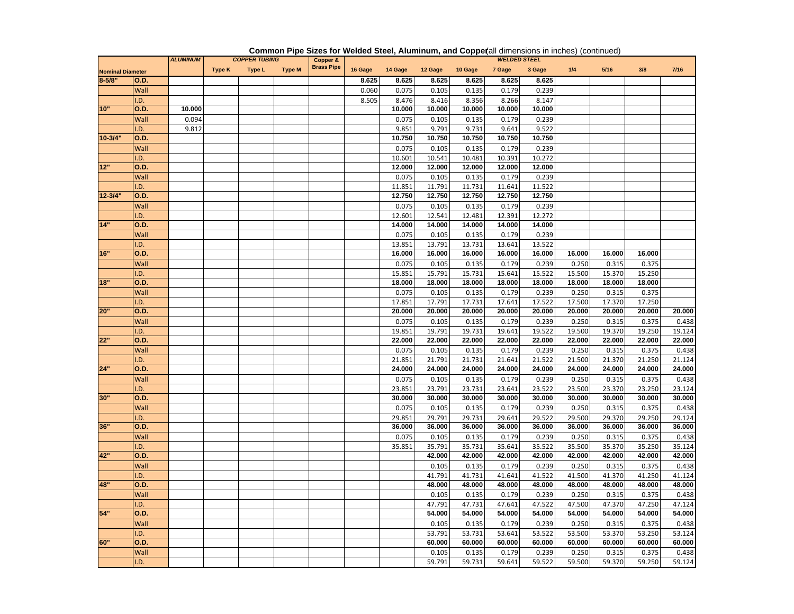|                         |             | <b>ALUMINUM</b> |        | <b>COPPER TUBING</b> |               | Copper &          |         |                  |                  |                  | <b>WELDED STEEL</b> |                  |                  |                  |                  |                  |
|-------------------------|-------------|-----------------|--------|----------------------|---------------|-------------------|---------|------------------|------------------|------------------|---------------------|------------------|------------------|------------------|------------------|------------------|
| <b>Nominal Diameter</b> |             |                 | Type K | Type L               | <b>Type M</b> | <b>Brass Pipe</b> | 16 Gage | 14 Gage          | 12 Gage          | 10 Gage          | 7 Gage              | 3 Gage           | 1/4              | $5/16$           | 3/8              | 7/16             |
| $8 - 5/8"$              | O.D.        |                 |        |                      |               |                   | 8.625   | 8.625            | 8.625            | 8.625            | 8.625               | 8.625            |                  |                  |                  |                  |
|                         | Wall        |                 |        |                      |               |                   | 0.060   | 0.075            | 0.105            | 0.135            | 0.179               | 0.239            |                  |                  |                  |                  |
|                         | .D.         |                 |        |                      |               |                   | 8.505   | 8.476            | 8.416            | 8.356            | 8.266               | 8.147            |                  |                  |                  |                  |
| 10"                     | O.D.        | 10.000          |        |                      |               |                   |         | 10.000           | 10.000           | 10.000           | 10.000              | 10.000           |                  |                  |                  |                  |
|                         | Wall        | 0.094           |        |                      |               |                   |         | 0.075            | 0.105            | 0.135            | 0.179               | 0.239            |                  |                  |                  |                  |
|                         | .D.         | 9.812           |        |                      |               |                   |         | 9.851            | 9.791            | 9.731            | 9.641               | 9.522            |                  |                  |                  |                  |
| $10 - 3/4'$             | O.D.        |                 |        |                      |               |                   |         | 10.750           | 10.750           | 10.750           | 10.750              | 10.750           |                  |                  |                  |                  |
|                         | Wall        |                 |        |                      |               |                   |         | 0.075            | 0.105            | 0.135            | 0.179               | 0.239            |                  |                  |                  |                  |
|                         | .D.         |                 |        |                      |               |                   |         | 10.601           | 10.541           | 10.481           | 10.391              | 10.272           |                  |                  |                  |                  |
| 12"                     | O.D.        |                 |        |                      |               |                   |         | 12.000           | 12.000           | 12.000           | 12.000              | 12.000           |                  |                  |                  |                  |
|                         | Wall        |                 |        |                      |               |                   |         | 0.075            | 0.105            | 0.135            | 0.179               | 0.239            |                  |                  |                  |                  |
|                         | .D.         |                 |        |                      |               |                   |         | 11.851           | 11.791           | 11.731           | 11.641              | 11.522           |                  |                  |                  |                  |
| $12 - 3/4$              | O.D.        |                 |        |                      |               |                   |         | 12.750           | 12.750           | 12.750           | 12.750              | 12.750           |                  |                  |                  |                  |
|                         | Wall        |                 |        |                      |               |                   |         | 0.075            | 0.105            | 0.135            | 0.179               | 0.239            |                  |                  |                  |                  |
|                         | .D.         |                 |        |                      |               |                   |         | 12.601           | 12.541           | 12.481           | 12.391              | 12.272           |                  |                  |                  |                  |
| 14"                     | O.D.        |                 |        |                      |               |                   |         | 14.000           | 14.000           | 14.000           | 14.000              | 14.000           |                  |                  |                  |                  |
|                         | Wall        |                 |        |                      |               |                   |         | 0.075            | 0.105            | 0.135            | 0.179               | 0.239            |                  |                  |                  |                  |
|                         | .D.         |                 |        |                      |               |                   |         | 13.851           | 13.791           | 13.731           | 13.641              | 13.522           |                  |                  |                  |                  |
| 16"                     | O.D.        |                 |        |                      |               |                   |         | 16.000           | 16.000           | 16.000           | 16.000              | 16.000           | 16.000           | 16.000           | 16.000           |                  |
|                         | Wall        |                 |        |                      |               |                   |         | 0.075            | 0.105            | 0.135            | 0.179               | 0.239            | 0.250            | 0.315            | 0.375            |                  |
|                         | .D.         |                 |        |                      |               |                   |         | 15.851           | 15.791           | 15.731           | 15.641              | 15.522           | 15.500           | 15.370           | 15.250           |                  |
| 18"                     | O.D.        |                 |        |                      |               |                   |         | 18.000           | 18.000           | 18.000           | 18.000              | 18.000           | 18.000           | 18.000           | 18.000           |                  |
|                         | Wall        |                 |        |                      |               |                   |         | 0.075            | 0.105            | 0.135            | 0.179               | 0.239            | 0.250            | 0.315            | 0.375            |                  |
|                         | .D.         |                 |        |                      |               |                   |         | 17.851           | 17.791           | 17.731           | 17.641              | 17.522           | 17.500           | 17.370           | 17.250           |                  |
| 20"                     | O.D.        |                 |        |                      |               |                   |         | 20.000           | 20.000           | 20.000           | 20.000              | 20.000           | 20.000           | 20.000           | 20.000           | 20.000           |
|                         | Wall        |                 |        |                      |               |                   |         | 0.075            | 0.105            | 0.135            | 0.179               | 0.239            | 0.250            | 0.315            | 0.375            | 0.438            |
|                         | .D.         |                 |        |                      |               |                   |         | 19.851           | 19.791           | 19.731           | 19.641              | 19.522           | 19.500           | 19.370           | 19.250           | 19.124           |
| 22"                     | O.D.        |                 |        |                      |               |                   |         | 22.000           | 22.000           | 22.000           | 22.000              | 22.000           | 22.000           | 22.000           | 22.000           | 22.000           |
|                         | Wall        |                 |        |                      |               |                   |         | 0.075            | 0.105            | 0.135            | 0.179               | 0.239            | 0.250            | 0.315            | 0.375            | 0.438            |
| 24"                     | .D.<br>O.D. |                 |        |                      |               |                   |         | 21.851<br>24.000 | 21.791<br>24.000 | 21.731<br>24.000 | 21.641<br>24.000    | 21.522<br>24.000 | 21.500<br>24.000 | 21.370<br>24.000 | 21.250<br>24.000 | 21.124<br>24.000 |
|                         |             |                 |        |                      |               |                   |         |                  |                  |                  |                     |                  |                  |                  |                  |                  |
|                         | Wall<br>.D. |                 |        |                      |               |                   |         | 0.075            | 0.105<br>23.791  | 0.135            | 0.179<br>23.641     | 0.239<br>23.522  | 0.250            | 0.315<br>23.370  | 0.375            | 0.438            |
| 30"                     | O.D.        |                 |        |                      |               |                   |         | 23.851<br>30.000 | 30.000           | 23.731<br>30.000 | 30.000              | 30.000           | 23.500<br>30.000 | 30.000           | 23.250<br>30.000 | 23.124<br>30.000 |
|                         | Wall        |                 |        |                      |               |                   |         | 0.075            | 0.105            | 0.135            | 0.179               | 0.239            | 0.250            | 0.315            | 0.375            | 0.438            |
|                         | .D.         |                 |        |                      |               |                   |         | 29.851           | 29.791           | 29.731           | 29.641              | 29.522           | 29.500           | 29.370           | 29.250           | 29.124           |
| 36"                     | O.D.        |                 |        |                      |               |                   |         | 36,000           | 36.000           | 36.000           | 36.000              | 36.000           | 36.000           | 36.000           | 36.000           | 36.000           |
|                         | Wall        |                 |        |                      |               |                   |         | 0.075            | 0.105            | 0.135            | 0.179               | 0.239            | 0.250            | 0.315            | 0.375            | 0.438            |
|                         | .D.         |                 |        |                      |               |                   |         | 35.851           | 35.791           | 35.731           | 35.641              | 35.522           | 35.500           | 35.370           | 35.250           | 35.124           |
| 42"                     | O.D.        |                 |        |                      |               |                   |         |                  | 42.000           | 42.000           | 42.000              | 42.000           | 42.000           | 42.000           | 42.000           | 42.000           |
|                         | Wall        |                 |        |                      |               |                   |         |                  | 0.105            | 0.135            | 0.179               | 0.239            | 0.250            | 0.315            | 0.375            | 0.438            |
|                         | .D.         |                 |        |                      |               |                   |         |                  | 41.791           | 41.731           | 41.641              | 41.522           | 41.500           | 41.370           | 41.250           | 41.124           |
| 48"                     | O.D.        |                 |        |                      |               |                   |         |                  | 48.000           | 48.000           | 48.000              | 48.000           | 48.000           | 48.000           | 48.000           | 48.000           |
|                         | Wall        |                 |        |                      |               |                   |         |                  | 0.105            | 0.135            | 0.179               | 0.239            | 0.250            | 0.315            | 0.375            | 0.438            |
|                         | .D.         |                 |        |                      |               |                   |         |                  | 47.791           | 47.731           | 47.641              | 47.522           | 47.500           | 47.370           | 47.250           | 47.124           |
| 54"                     | O.D.        |                 |        |                      |               |                   |         |                  | 54.000           | 54.000           | 54.000              | 54.000           | 54.000           | 54.000           | 54.000           | 54.000           |
|                         | Wall        |                 |        |                      |               |                   |         |                  | 0.105            | 0.135            | 0.179               | 0.239            | 0.250            | 0.315            | 0.375            | 0.438            |
|                         | .D.         |                 |        |                      |               |                   |         |                  | 53.791           | 53.731           | 53.641              | 53.522           | 53.500           | 53.370           | 53.250           | 53.124           |
| 60"                     | O.D.        |                 |        |                      |               |                   |         |                  | 60.000           | 60.000           | 60.000              | 60.000           | 60.000           | 60.000           | 60.000           | 60.000           |
|                         | Wall        |                 |        |                      |               |                   |         |                  | 0.105            | 0.135            | 0.179               | 0.239            | 0.250            | 0.315            | 0.375            | 0.438            |
|                         | I.D.        |                 |        |                      |               |                   |         |                  | 59.791           | 59.731           | 59.641              | 59.522           | 59.500           | 59.370           | 59.250           | 59.124           |

#### **Common Pipe Sizes for Welded Steel, Aluminum, and Coppe(all dimensions in inches) (continued)**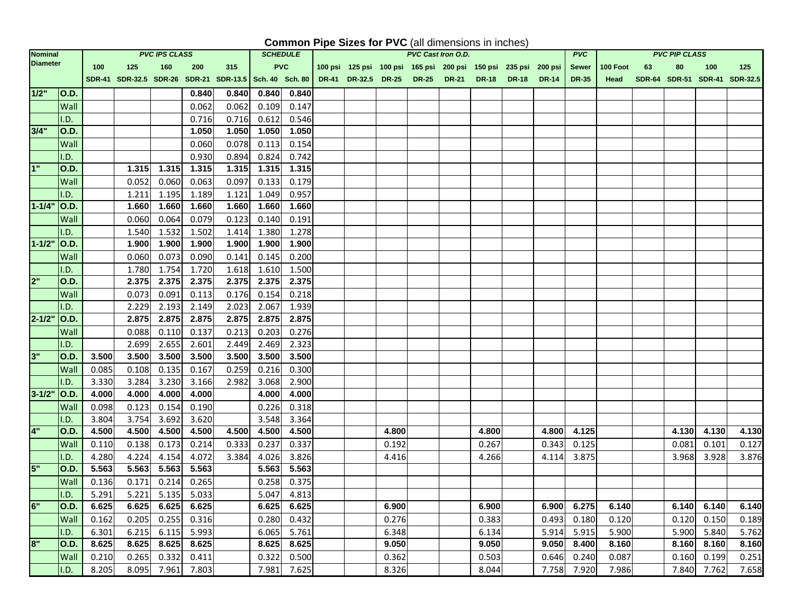### **Common Pipe Sizes for PVC** (all dimensions in inches)

| <b>Nominal</b>  |             |       |                                                                                              | <b>PVC IPS CLASS</b> |             |       | <b>SCHEDULE</b> |             |                                                                 |       | PVC Cast Iron O.D. |       |             | <b>PVC</b>   |          |    | <b>PVC PIP CLASS</b> |       |                               |
|-----------------|-------------|-------|----------------------------------------------------------------------------------------------|----------------------|-------------|-------|-----------------|-------------|-----------------------------------------------------------------|-------|--------------------|-------|-------------|--------------|----------|----|----------------------|-------|-------------------------------|
| <b>Diameter</b> |             | 100   | 125                                                                                          | 160                  | 200         | 315   | <b>PVC</b>      |             | 100 psi 125 psi 100 psi 165 psi 200 psi 150 psi 235 psi 200 psi |       |                    |       |             | Sewer        | 100 Foot | 63 | 80                   | 100   | 125                           |
|                 |             |       | SDR-41 SDR-32.5 SDR-26 SDR-21 SDR-13.5 Sch. 40 Sch. 80 DR-41 DR-32.5 DR-25 DR-25 DR-21 DR-18 |                      |             |       |                 |             |                                                                 |       |                    |       | DR-18 DR-14 | <b>DR-35</b> | Head     |    |                      |       | SDR-64 SDR-51 SDR-41 SDR-32.5 |
| $1/2$ "   O.D.  |             |       |                                                                                              |                      | 0.840       | 0.840 | 0.840           | 0.840       |                                                                 |       |                    |       |             |              |          |    |                      |       |                               |
|                 | Wall        |       |                                                                                              |                      | 0.062       | 0.062 | 0.109           | 0.147       |                                                                 |       |                    |       |             |              |          |    |                      |       |                               |
|                 | I.D.        |       |                                                                                              |                      | 0.716       | 0.716 | 0.612           | 0.546       |                                                                 |       |                    |       |             |              |          |    |                      |       |                               |
| 3/4"            | <b>O.D.</b> |       |                                                                                              |                      | 1.050       | 1.050 | 1.050           | 1.050       |                                                                 |       |                    |       |             |              |          |    |                      |       |                               |
|                 | Wall        |       |                                                                                              |                      | 0.060       | 0.078 | 0.113           | 0.154       |                                                                 |       |                    |       |             |              |          |    |                      |       |                               |
|                 | I.D.        |       |                                                                                              |                      | 0.930       | 0.894 | 0.824           | 0.742       |                                                                 |       |                    |       |             |              |          |    |                      |       |                               |
| 1"              | <b>O.D.</b> |       | 1.315                                                                                        | 1.315                | 1.315       | 1.315 | 1.315           | 1.315       |                                                                 |       |                    |       |             |              |          |    |                      |       |                               |
|                 | Wall        |       | 0.052                                                                                        | 0.060                | 0.063       | 0.097 | 0.133           | 0.179       |                                                                 |       |                    |       |             |              |          |    |                      |       |                               |
|                 | I.D.        |       | 1.211                                                                                        | 1.195                | 1.189       | 1.121 | 1.049           | 0.957       |                                                                 |       |                    |       |             |              |          |    |                      |       |                               |
| $1 - 1/4"$      | O.D.        |       | 1.660                                                                                        | 1.660                | 1.660       | 1.660 | 1.660           | 1.660       |                                                                 |       |                    |       |             |              |          |    |                      |       |                               |
|                 | Wall        |       | 0.060                                                                                        | 0.064                | 0.079       | 0.123 | 0.140           | 0.191       |                                                                 |       |                    |       |             |              |          |    |                      |       |                               |
|                 | I.D.        |       | 1.540                                                                                        | 1.532                | 1.502       | 1.414 | 1.380           | 1.278       |                                                                 |       |                    |       |             |              |          |    |                      |       |                               |
| 1-1/2" O.D.     |             |       | 1.900                                                                                        | 1.900                | 1.900       | 1.900 | 1.900           | 1.900       |                                                                 |       |                    |       |             |              |          |    |                      |       |                               |
|                 | Wall        |       | 0.060                                                                                        | 0.073                | 0.090       | 0.141 | 0.145           | 0.200       |                                                                 |       |                    |       |             |              |          |    |                      |       |                               |
|                 | I.D.        |       | 1.780                                                                                        | 1.754                | 1.720       | 1.618 | 1.610           | 1.500       |                                                                 |       |                    |       |             |              |          |    |                      |       |                               |
| 2"              | O.D.        |       | 2.375                                                                                        | 2.375                | 2.375       | 2.375 | 2.375           | 2.375       |                                                                 |       |                    |       |             |              |          |    |                      |       |                               |
|                 | Wall        |       | 0.073                                                                                        | 0.091                | 0.113       | 0.176 | 0.154           | 0.218       |                                                                 |       |                    |       |             |              |          |    |                      |       |                               |
|                 | I.D.        |       | 2.229                                                                                        | 2.193                | 2.149       | 2.023 | 2.067           | 1.939       |                                                                 |       |                    |       |             |              |          |    |                      |       |                               |
| 2-1/2" O.D.     |             |       | 2.875                                                                                        | 2.875                | 2.875       | 2.875 | 2.875           | 2.875       |                                                                 |       |                    |       |             |              |          |    |                      |       |                               |
|                 | Wall        |       | 0.088                                                                                        | 0.110                | 0.137       | 0.213 | 0.203           | 0.276       |                                                                 |       |                    |       |             |              |          |    |                      |       |                               |
|                 | I.D.        |       | 2.699                                                                                        | 2.655                | 2.601       | 2.449 | 2.469           | 2.323       |                                                                 |       |                    |       |             |              |          |    |                      |       |                               |
| 3"              | <b>O.D.</b> | 3.500 | 3.500                                                                                        | 3.500                | 3.500       | 3.500 | 3.500           | 3.500       |                                                                 |       |                    |       |             |              |          |    |                      |       |                               |
|                 | Wall        | 0.085 | 0.108                                                                                        | 0.135                | 0.167       | 0.259 | 0.216           | 0.300       |                                                                 |       |                    |       |             |              |          |    |                      |       |                               |
|                 | I.D.        | 3.330 | 3.284                                                                                        | 3.230                | 3.166       | 2.982 | 3.068           | 2.900       |                                                                 |       |                    |       |             |              |          |    |                      |       |                               |
| 3-1/2" O.D.     |             | 4.000 | 4.000                                                                                        | 4.000                | 4.000       |       | 4.000           | 4.000       |                                                                 |       |                    |       |             |              |          |    |                      |       |                               |
|                 | Wall        | 0.098 | 0.123                                                                                        | 0.154                | 0.190       |       | 0.226           | 0.318       |                                                                 |       |                    |       |             |              |          |    |                      |       |                               |
|                 | I.D.        | 3.804 | 3.754                                                                                        | 3.692                | 3.620       |       | 3.548           | 3.364       |                                                                 |       |                    |       |             |              |          |    |                      |       |                               |
| 4"              | <b>O.D.</b> | 4.500 | 4.500                                                                                        | 4.500                | 4.500       | 4.500 | 4.500           | 4.500       |                                                                 | 4.800 |                    | 4.800 | 4.800       | 4.125        |          |    | 4.130                | 4.130 | 4.130                         |
|                 | Wall        | 0.110 | 0.138                                                                                        | 0.173                | 0.214       | 0.333 | 0.237           | 0.337       |                                                                 | 0.192 |                    | 0.267 | 0.343       | 0.125        |          |    | 0.081                | 0.101 | 0.127                         |
|                 | I.D.        | 4.280 | 4.224                                                                                        | 4.154                | 4.072       | 3.384 | 4.026           | 3.826       |                                                                 | 4.416 |                    | 4.266 | 4.114       | 3.875        |          |    | 3.968                | 3.928 | 3.876                         |
| 5"              | <b>O.D.</b> | 5.563 | 5.563                                                                                        | 5.563                | 5.563       |       | 5.563           | 5.563       |                                                                 |       |                    |       |             |              |          |    |                      |       |                               |
|                 | Wall        | 0.136 | 0.171                                                                                        | 0.214                | 0.265       |       | 0.258           | 0.375       |                                                                 |       |                    |       |             |              |          |    |                      |       |                               |
|                 | I.D.        | 5.291 | 5.221                                                                                        |                      | 5.135 5.033 |       |                 | 5.047 4.813 |                                                                 |       |                    |       |             |              |          |    |                      |       |                               |
| 6"              | <b>O.D.</b> | 6.625 | 6.625                                                                                        | 6.625                | 6.625       |       | 6.625           | 6.625       |                                                                 | 6.900 |                    | 6.900 | 6.900       | 6.275        | 6.140    |    | 6.140                | 6.140 | 6.140                         |
|                 | Wall        | 0.162 | 0.205                                                                                        | 0.255                | 0.316       |       | 0.280           | 0.432       |                                                                 | 0.276 |                    | 0.383 | 0.493       | 0.180        | 0.120    |    | 0.120                | 0.150 | 0.189                         |
|                 | I.D.        | 6.301 | 6.215                                                                                        | 6.115                | 5.993       |       | 6.065           | 5.761       |                                                                 | 6.348 |                    | 6.134 | 5.914       | 5.915        | 5.900    |    | 5.900                | 5.840 | 5.762                         |
| 8"              | <b>O.D.</b> | 8.625 | 8.625                                                                                        | 8.625                | 8.625       |       | 8.625           | 8.625       |                                                                 | 9.050 |                    | 9.050 | 9.050       | 8.400        | 8.160    |    | 8.160                | 8.160 | 8.160                         |
|                 | Wall        | 0.210 | 0.265                                                                                        | 0.332                | 0.411       |       | 0.322           | 0.500       |                                                                 | 0.362 |                    | 0.503 | 0.646       | 0.240        | 0.087    |    | 0.160                | 0.199 | 0.251                         |
|                 | I.D.        | 8.205 | 8.095                                                                                        | 7.961                | 7.803       |       | 7.981           | 7.625       |                                                                 | 8.326 |                    | 8.044 | 7.758       | 7.920        | 7.986    |    | 7.840                | 7.762 | 7.658                         |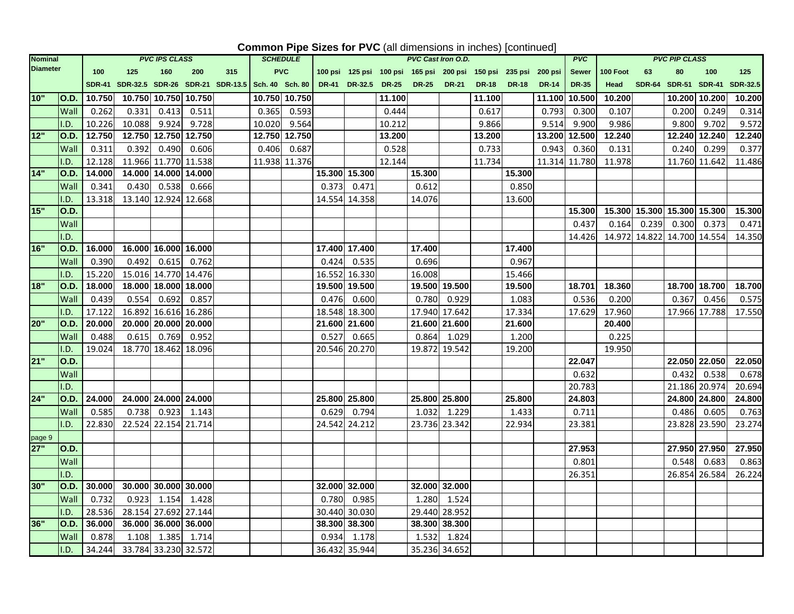## **Common Pipe Sizes for PVC** (all dimensions in inches) [continued]

| <b>Nominal</b>  |             |        |        | <b>PVC IPS CLASS</b> |        |                                        | <b>SCHEDULE</b> |               |       |                 |              | <b>PVC Cast Iron O.D.</b> |               |                                         |              |                | <b>PVC</b>    |          |                             | <b>PVC PIP CLASS</b> |               |                 |
|-----------------|-------------|--------|--------|----------------------|--------|----------------------------------------|-----------------|---------------|-------|-----------------|--------------|---------------------------|---------------|-----------------------------------------|--------------|----------------|---------------|----------|-----------------------------|----------------------|---------------|-----------------|
| <b>Diameter</b> |             | 100    | 125    | 160                  | 200    | 315                                    |                 | <b>PVC</b>    |       | 100 psi 125 psi |              |                           |               | 100 psi 165 psi 200 psi 150 psi 235 psi |              | <b>200 psi</b> | <b>Sewer</b>  | 100 Foot | 63                          | 80                   | 100           | 125             |
|                 |             |        |        |                      |        | SDR-41 SDR-32.5 SDR-26 SDR-21 SDR-13.5 | Sch. 40 Sch. 80 |               |       | DR-41 DR-32.5   | <b>DR-25</b> | <b>DR-25</b>              | <b>DR-21</b>  | <b>DR-18</b>                            | <b>DR-18</b> | <b>DR-14</b>   | <b>DR-35</b>  | Head     |                             | SDR-64 SDR-51 SDR-41 |               | <b>SDR-32.5</b> |
| 10"             | O.D.        | 10.750 |        | 10.750 10.750        | 10.750 |                                        |                 | 10.750 10.750 |       |                 | 11.100       |                           |               | 11.100                                  |              | 11.100         | 10.500        | 10.200   |                             | 10.200 10.200        |               | 10.200          |
|                 | Wall        | 0.262  | 0.331  | 0.413                | 0.511  |                                        | 0.365           | 0.593         |       |                 | 0.444        |                           |               | 0.617                                   |              | 0.793          | 0.300         | 0.107    |                             | 0.200                | 0.249         | 0.314           |
|                 | I.D.        | 10.226 | 10.088 | 9.924                | 9.728  |                                        | 10.020          | 9.564         |       |                 | 10.212       |                           |               | 9.866                                   |              | 9.514          | 9.900         | 9.986    |                             | 9.800                | 9.702         | 9.572           |
| 12"             | O.D.        | 12.750 |        | 12.750 12.750        | 12.750 |                                        |                 | 12.750 12.750 |       |                 | 13.200       |                           |               | 13.200                                  |              | 13.200         | 12.500        | 12.240   |                             | 12.240 12.240        |               | 12.240          |
|                 | Wall        | 0.311  | 0.392  | 0.490                | 0.606  |                                        | 0.406           | 0.687         |       |                 | 0.528        |                           |               | 0.733                                   |              | 0.943          | 0.360         | 0.131    |                             | 0.240                | 0.299         | 0.377           |
|                 | I.D.        | 12.128 |        | 11.966 11.770 11.538 |        |                                        |                 | 11.938 11.376 |       |                 | 12.144       |                           |               | 11.734                                  |              |                | 11.314 11.780 | 11.978   |                             |                      | 11.760 11.642 | 11.486          |
| 14"             | <b>O.D.</b> | 14.000 |        | 14.000 14.000 14.000 |        |                                        |                 |               |       | 15.300 15.300   |              | 15.300                    |               |                                         | 15.300       |                |               |          |                             |                      |               |                 |
|                 | Wall        | 0.341  | 0.430  | 0.538                | 0.666  |                                        |                 |               | 0.373 | 0.471           |              | 0.612                     |               |                                         | 0.850        |                |               |          |                             |                      |               |                 |
|                 | I.D.        | 13.318 |        | 13.140 12.924 12.668 |        |                                        |                 |               |       | 14.554 14.358   |              | 14.076                    |               |                                         | 13.600       |                |               |          |                             |                      |               |                 |
| 15"             | O.D.        |        |        |                      |        |                                        |                 |               |       |                 |              |                           |               |                                         |              |                | 15.300        |          | 15.300 15.300 15.300 15.300 |                      |               | 15.300          |
|                 | Wall        |        |        |                      |        |                                        |                 |               |       |                 |              |                           |               |                                         |              |                | 0.437         | 0.164    | 0.239                       | 0.300                | 0.373         | 0.471           |
|                 | I.D.        |        |        |                      |        |                                        |                 |               |       |                 |              |                           |               |                                         |              |                | 14.426        |          | 14.972 14.822 14.700 14.554 |                      |               | 14.350          |
| 16"             | <b>O.D.</b> | 16.000 |        | 16.000 16.000 16.000 |        |                                        |                 |               |       | 17.400 17.400   |              | 17.400                    |               |                                         | 17.400       |                |               |          |                             |                      |               |                 |
|                 | Wall        | 0.390  | 0.492  | 0.615                | 0.762  |                                        |                 |               | 0.424 | 0.535           |              | 0.696                     |               |                                         | 0.967        |                |               |          |                             |                      |               |                 |
|                 | I.D.        | 15.220 |        | 15.016 14.770 14.476 |        |                                        |                 |               |       | 16.552 16.330   |              | 16.008                    |               |                                         | 15.466       |                |               |          |                             |                      |               |                 |
| 18"             | <b>O.D.</b> | 18.000 |        | 18.000 18.000 18.000 |        |                                        |                 |               |       | 19.500 19.500   |              |                           | 19.500 19.500 |                                         | 19.500       |                | 18.701        | 18.360   |                             |                      | 18.700 18.700 | 18.700          |
|                 | Wall        | 0.439  | 0.554  | 0.692                | 0.857  |                                        |                 |               | 0.476 | 0.600           |              | 0.780                     | 0.929         |                                         | 1.083        |                | 0.536         | 0.200    |                             | 0.367                | 0.456         | 0.575           |
|                 | I.D.        | 17.122 |        | 16.892 16.616        | 16.286 |                                        |                 |               |       | 18.548 18.300   |              |                           | 17.940 17.642 |                                         | 17.334       |                | 17.629        | 17.960   |                             |                      | 17.966 17.788 | 17.550          |
| 20"             | <b>O.D.</b> | 20.000 |        | 20.000 20.000        | 20.000 |                                        |                 |               |       | 21.600 21.600   |              |                           | 21.600 21.600 |                                         | 21.600       |                |               | 20.400   |                             |                      |               |                 |
|                 | Wall        | 0.488  | 0.615  | 0.769                | 0.952  |                                        |                 |               | 0.527 | 0.665           |              | 0.864                     | 1.029         |                                         | 1.200        |                |               | 0.225    |                             |                      |               |                 |
|                 | I.D.        | 19.024 |        | 18.770 18.462 18.096 |        |                                        |                 |               |       | 20.546 20.270   |              |                           | 19.872 19.542 |                                         | 19.200       |                |               | 19.950   |                             |                      |               |                 |
| 21"             | <b>O.D.</b> |        |        |                      |        |                                        |                 |               |       |                 |              |                           |               |                                         |              |                | 22.047        |          |                             |                      | 22.050 22.050 | 22.050          |
|                 | Wall        |        |        |                      |        |                                        |                 |               |       |                 |              |                           |               |                                         |              |                | 0.632         |          |                             | 0.432                | 0.538         | 0.678           |
|                 | I.D.        |        |        |                      |        |                                        |                 |               |       |                 |              |                           |               |                                         |              |                | 20.783        |          |                             |                      | 21.186 20.974 | 20.694          |
| 24"             | <b>O.D.</b> | 24.000 |        | 24.000 24.000 24.000 |        |                                        |                 |               |       | 25.800 25.800   |              |                           | 25.800 25.800 |                                         | 25.800       |                | 24.803        |          |                             |                      | 24.800 24.800 | 24.800          |
|                 | Wall        | 0.585  | 0.738  | 0.923                | 1.143  |                                        |                 |               | 0.629 | 0.794           |              | 1.032                     | 1.229         |                                         | 1.433        |                | 0.711         |          |                             | 0.486                | 0.605         | 0.763           |
|                 | I.D.        | 22.830 |        | 22.524 22.154 21.714 |        |                                        |                 |               |       | 24.542 24.212   |              |                           | 23.736 23.342 |                                         | 22.934       |                | 23.381        |          |                             |                      | 23.828 23.590 | 23.274          |
| page 9          |             |        |        |                      |        |                                        |                 |               |       |                 |              |                           |               |                                         |              |                |               |          |                             |                      |               |                 |
| 27"             | <b>O.D.</b> |        |        |                      |        |                                        |                 |               |       |                 |              |                           |               |                                         |              |                | 27.953        |          |                             |                      | 27.950 27.950 | 27.950          |
|                 | Wall        |        |        |                      |        |                                        |                 |               |       |                 |              |                           |               |                                         |              |                | 0.801         |          |                             | 0.548                | 0.683         | 0.863           |
|                 | I.D.        |        |        |                      |        |                                        |                 |               |       |                 |              |                           |               |                                         |              |                | 26.351        |          |                             |                      | 26.854 26.584 | 26.224          |
| 30"             | <b>O.D.</b> | 30.000 |        | 30.000 30.000        | 30.000 |                                        |                 |               |       | 32.000 32.000   |              |                           | 32.000 32.000 |                                         |              |                |               |          |                             |                      |               |                 |
|                 | Wall        | 0.732  | 0.923  | 1.154                | 1.428  |                                        |                 |               | 0.780 | 0.985           |              | 1.280                     | 1.524         |                                         |              |                |               |          |                             |                      |               |                 |
|                 | I.D.        | 28.536 |        | 28.154 27.692 27.144 |        |                                        |                 |               |       | 30.440 30.030   |              |                           | 29.440 28.952 |                                         |              |                |               |          |                             |                      |               |                 |
| 36"             | <b>O.D.</b> | 36.000 |        | 36.000 36.000        | 36.000 |                                        |                 |               |       | 38.300 38.300   |              |                           | 38.300 38.300 |                                         |              |                |               |          |                             |                      |               |                 |
|                 | Wall        | 0.878  | 1.108  | 1.385                | 1.714  |                                        |                 |               | 0.934 | 1.178           |              | 1.532                     | 1.824         |                                         |              |                |               |          |                             |                      |               |                 |
|                 | I.D.        | 34.244 |        | 33.784 33.230 32.572 |        |                                        |                 |               |       | 36.432 35.944   |              |                           | 35.236 34.652 |                                         |              |                |               |          |                             |                      |               |                 |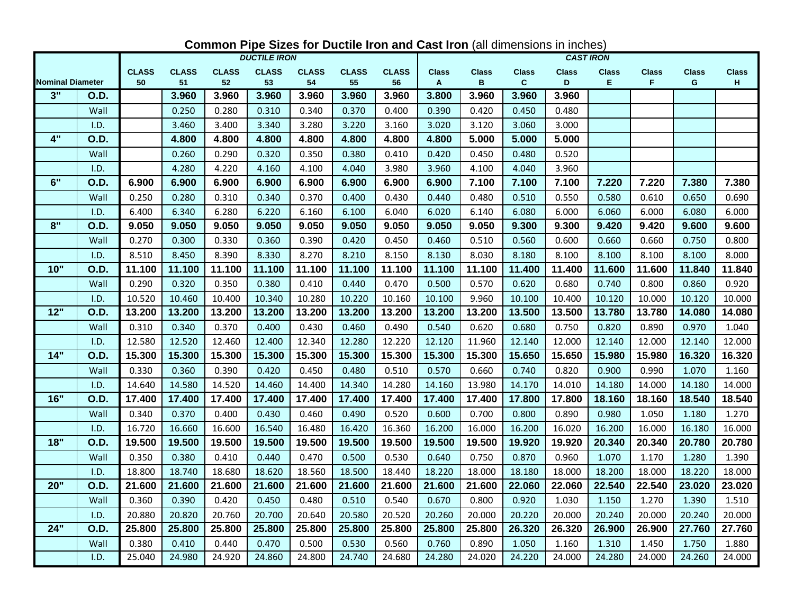|                         |             | <b>DUCTILE IRON</b><br><b>CAST IRON</b> |                    |                    |                    |                    |                    |                    |                              |                   |                   |                   |                    |                   |                   |                    |
|-------------------------|-------------|-----------------------------------------|--------------------|--------------------|--------------------|--------------------|--------------------|--------------------|------------------------------|-------------------|-------------------|-------------------|--------------------|-------------------|-------------------|--------------------|
| <b>Nominal Diameter</b> |             | <b>CLASS</b><br>50                      | <b>CLASS</b><br>51 | <b>CLASS</b><br>52 | <b>CLASS</b><br>53 | <b>CLASS</b><br>54 | <b>CLASS</b><br>55 | <b>CLASS</b><br>56 | <b>Class</b><br>$\mathbf{A}$ | <b>Class</b><br>B | <b>Class</b><br>C | <b>Class</b><br>D | <b>Class</b><br>E. | <b>Class</b><br>F | <b>Class</b><br>G | <b>Class</b><br>Н. |
| 3"                      | O.D.        |                                         | 3.960              | 3.960              | 3.960              | 3.960              | 3.960              | 3.960              | 3.800                        | 3.960             | 3.960             | 3.960             |                    |                   |                   |                    |
|                         | Wall        |                                         | 0.250              | 0.280              | 0.310              | 0.340              | 0.370              | 0.400              | 0.390                        | 0.420             | 0.450             | 0.480             |                    |                   |                   |                    |
|                         | I.D.        |                                         | 3.460              | 3.400              | 3.340              | 3.280              | 3.220              | 3.160              | 3.020                        | 3.120             | 3.060             | 3.000             |                    |                   |                   |                    |
| 4"                      | <b>O.D.</b> |                                         | 4.800              | 4.800              | 4.800              | 4.800              | 4.800              | 4.800              | 4.800                        | 5.000             | 5.000             | 5.000             |                    |                   |                   |                    |
|                         | Wall        |                                         | 0.260              | 0.290              | 0.320              | 0.350              | 0.380              | 0.410              | 0.420                        | 0.450             | 0.480             | 0.520             |                    |                   |                   |                    |
|                         | I.D.        |                                         | 4.280              | 4.220              | 4.160              | 4.100              | 4.040              | 3.980              | 3.960                        | 4.100             | 4.040             | 3.960             |                    |                   |                   |                    |
| 6"                      | O.D.        | 6.900                                   | 6.900              | 6.900              | 6.900              | 6.900              | 6.900              | 6.900              | 6.900                        | 7.100             | 7.100             | 7.100             | 7.220              | 7.220             | 7.380             | 7.380              |
|                         | Wall        | 0.250                                   | 0.280              | 0.310              | 0.340              | 0.370              | 0.400              | 0.430              | 0.440                        | 0.480             | 0.510             | 0.550             | 0.580              | 0.610             | 0.650             | 0.690              |
|                         | I.D.        | 6.400                                   | 6.340              | 6.280              | 6.220              | 6.160              | 6.100              | 6.040              | 6.020                        | 6.140             | 6.080             | 6.000             | 6.060              | 6.000             | 6.080             | 6.000              |
| 8"                      | <b>O.D.</b> | 9.050                                   | 9.050              | 9.050              | 9.050              | 9.050              | 9.050              | 9.050              | 9.050                        | 9.050             | 9.300             | 9.300             | 9.420              | 9.420             | 9.600             | 9.600              |
|                         | Wall        | 0.270                                   | 0.300              | 0.330              | 0.360              | 0.390              | 0.420              | 0.450              | 0.460                        | 0.510             | 0.560             | 0.600             | 0.660              | 0.660             | 0.750             | 0.800              |
|                         | I.D.        | 8.510                                   | 8.450              | 8.390              | 8.330              | 8.270              | 8.210              | 8.150              | 8.130                        | 8.030             | 8.180             | 8.100             | 8.100              | 8.100             | 8.100             | 8.000              |
| 10"                     | <b>O.D.</b> | 11.100                                  | 11.100             | 11.100             | 11.100             | 11.100             | 11.100             | 11.100             | 11.100                       | 11.100            | 11.400            | 11.400            | 11.600             | 11.600            | 11.840            | 11.840             |
|                         | Wall        | 0.290                                   | 0.320              | 0.350              | 0.380              | 0.410              | 0.440              | 0.470              | 0.500                        | 0.570             | 0.620             | 0.680             | 0.740              | 0.800             | 0.860             | 0.920              |
|                         | I.D.        | 10.520                                  | 10.460             | 10.400             | 10.340             | 10.280             | 10.220             | 10.160             | 10.100                       | 9.960             | 10.100            | 10.400            | 10.120             | 10.000            | 10.120            | 10.000             |
| 12"                     | O.D.        | 13.200                                  | 13.200             | 13.200             | 13.200             | 13.200             | 13.200             | 13.200             | 13.200                       | 13.200            | 13.500            | 13.500            | 13.780             | 13.780            | 14.080            | 14.080             |
|                         | Wall        | 0.310                                   | 0.340              | 0.370              | 0.400              | 0.430              | 0.460              | 0.490              | 0.540                        | 0.620             | 0.680             | 0.750             | 0.820              | 0.890             | 0.970             | 1.040              |
|                         | I.D.        | 12.580                                  | 12.520             | 12.460             | 12.400             | 12.340             | 12.280             | 12.220             | 12.120                       | 11.960            | 12.140            | 12.000            | 12.140             | 12.000            | 12.140            | 12.000             |
| 14"                     | O.D         | 15.300                                  | 15.300             | 15.300             | 15.300             | 15.300             | 15.300             | 15.300             | 15.300                       | 15.300            | 15.650            | 15.650            | 15.980             | 15.980            | 16.320            | 16.320             |
|                         | Wall        | 0.330                                   | 0.360              | 0.390              | 0.420              | 0.450              | 0.480              | 0.510              | 0.570                        | 0.660             | 0.740             | 0.820             | 0.900              | 0.990             | 1.070             | 1.160              |
|                         | I.D.        | 14.640                                  | 14.580             | 14.520             | 14.460             | 14.400             | 14.340             | 14.280             | 14.160                       | 13.980            | 14.170            | 14.010            | 14.180             | 14.000            | 14.180            | 14.000             |
| 16"                     | O.D.        | 17.400                                  | 17.400             | 17.400             | 17.400             | 17.400             | 17.400             | 17.400             | 17.400                       | 17.400            | 17.800            | 17.800            | 18.160             | 18.160            | 18.540            | 18.540             |
|                         | Wall        | 0.340                                   | 0.370              | 0.400              | 0.430              | 0.460              | 0.490              | 0.520              | 0.600                        | 0.700             | 0.800             | 0.890             | 0.980              | 1.050             | 1.180             | 1.270              |
|                         | I.D.        | 16.720                                  | 16.660             | 16.600             | 16.540             | 16.480             | 16.420             | 16.360             | 16.200                       | 16.000            | 16.200            | 16.020            | 16.200             | 16.000            | 16.180            | 16.000             |
| 18"                     | 0.D.        | 19.500                                  | 19.500             | 19.500             | 19.500             | 19.500             | 19.500             | 19.500             | 19.500                       | 19.500            | 19.920            | 19.920            | 20.340             | 20.340            | 20.780            | 20.780             |
|                         | Wall        | 0.350                                   | 0.380              | 0.410              | 0.440              | 0.470              | 0.500              | 0.530              | 0.640                        | 0.750             | 0.870             | 0.960             | 1.070              | 1.170             | 1.280             | 1.390              |
|                         | I.D.        | 18.800                                  | 18.740             | 18.680             | 18.620             | 18.560             | 18.500             | 18.440             | 18.220                       | 18.000            | 18.180            | 18.000            | 18.200             | 18.000            | 18.220            | 18.000             |
| 20"                     | 0.D.        | 21.600                                  | 21.600             | 21.600             | 21.600             | 21.600             | 21.600             | 21.600             | 21.600                       | 21.600            | 22.060            | 22.060            | 22.540             | 22.540            | 23.020            | 23.020             |
|                         | Wall        | 0.360                                   | 0.390              | 0.420              | 0.450              | 0.480              | 0.510              | 0.540              | 0.670                        | 0.800             | 0.920             | 1.030             | 1.150              | 1.270             | 1.390             | 1.510              |
|                         | I.D.        | 20.880                                  | 20.820             | 20.760             | 20.700             | 20.640             | 20.580             | 20.520             | 20.260                       | 20.000            | 20.220            | 20.000            | 20.240             | 20.000            | 20.240            | 20.000             |
| 24"                     | <b>O.D.</b> | 25.800                                  | 25.800             | 25.800             | 25.800             | 25.800             | 25.800             | 25.800             | 25.800                       | 25.800            | 26.320            | 26.320            | 26.900             | 26.900            | 27.760            | 27.760             |
|                         | Wall        | 0.380                                   | 0.410              | 0.440              | 0.470              | 0.500              | 0.530              | 0.560              | 0.760                        | 0.890             | 1.050             | 1.160             | 1.310              | 1.450             | 1.750             | 1.880              |
|                         | I.D.        | 25.040                                  | 24.980             | 24.920             | 24.860             | 24.800             | 24.740             | 24.680             | 24.280                       | 24.020            | 24.220            | 24.000            | 24.280             | 24.000            | 24.260            | 24.000             |

# **Common Pipe Sizes for Ductile Iron and Cast Iron** (all dimensions in inches)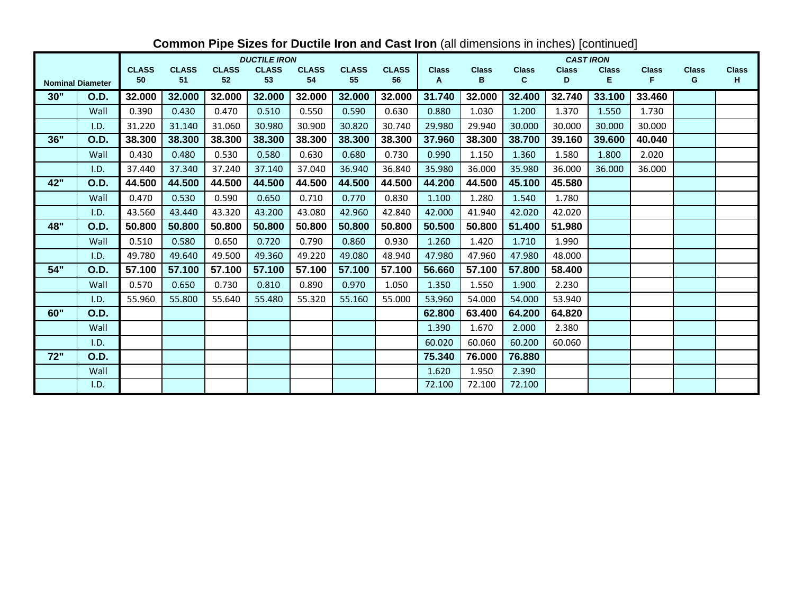|     |                         |              |              |              | <b>DUCTILE IRON</b> |              |              |              |              |              |              | <b>CAST IRON</b> |              |              |              |              |
|-----|-------------------------|--------------|--------------|--------------|---------------------|--------------|--------------|--------------|--------------|--------------|--------------|------------------|--------------|--------------|--------------|--------------|
|     |                         | <b>CLASS</b> | <b>CLASS</b> | <b>CLASS</b> | <b>CLASS</b>        | <b>CLASS</b> | <b>CLASS</b> | <b>CLASS</b> | <b>Class</b> | <b>Class</b> | <b>Class</b> | <b>Class</b>     | <b>Class</b> | <b>Class</b> | <b>Class</b> | <b>Class</b> |
|     | <b>Nominal Diameter</b> | 50           | 51           | 52           | 53                  | 54           | 55           | 56           | A            | в            | $\mathbf{C}$ | D                | E.           | F.           | G            | H            |
| 30" | O.D.                    | 32.000       | 32.000       | 32.000       | 32.000              | 32.000       | 32.000       | 32.000       | 31.740       | 32.000       | 32.400       | 32.740           | 33.100       | 33.460       |              |              |
|     | Wall                    | 0.390        | 0.430        | 0.470        | 0.510               | 0.550        | 0.590        | 0.630        | 0.880        | 1.030        | 1.200        | 1.370            | 1.550        | 1.730        |              |              |
|     | I.D.                    | 31.220       | 31.140       | 31.060       | 30.980              | 30.900       | 30.820       | 30.740       | 29.980       | 29.940       | 30.000       | 30.000           | 30.000       | 30.000       |              |              |
| 36" | O.D.                    | 38.300       | 38.300       | 38.300       | 38.300              | 38,300       | 38.300       | 38.300       | 37.960       | 38.300       | 38.700       | 39.160           | 39.600       | 40.040       |              |              |
|     | Wall                    | 0.430        | 0.480        | 0.530        | 0.580               | 0.630        | 0.680        | 0.730        | 0.990        | 1.150        | 1.360        | 1.580            | 1.800        | 2.020        |              |              |
|     | I.D.                    | 37.440       | 37.340       | 37.240       | 37.140              | 37.040       | 36.940       | 36.840       | 35.980       | 36.000       | 35.980       | 36.000           | 36.000       | 36.000       |              |              |
| 42" | <b>O.D.</b>             | 44.500       | 44.500       | 44.500       | 44.500              | 44.500       | 44.500       | 44.500       | 44.200       | 44.500       | 45.100       | 45.580           |              |              |              |              |
|     | Wall                    | 0.470        | 0.530        | 0.590        | 0.650               | 0.710        | 0.770        | 0.830        | 1.100        | 1.280        | 1.540        | 1.780            |              |              |              |              |
|     | I.D.                    | 43.560       | 43.440       | 43.320       | 43.200              | 43.080       | 42.960       | 42.840       | 42.000       | 41.940       | 42.020       | 42.020           |              |              |              |              |
| 48" | <b>O.D.</b>             | 50.800       | 50.800       | 50.800       | 50.800              | 50.800       | 50.800       | 50.800       | 50.500       | 50.800       | 51.400       | 51.980           |              |              |              |              |
|     | Wall                    | 0.510        | 0.580        | 0.650        | 0.720               | 0.790        | 0.860        | 0.930        | 1.260        | 1.420        | 1.710        | 1.990            |              |              |              |              |
|     | I.D.                    | 49.780       | 49.640       | 49.500       | 49.360              | 49.220       | 49.080       | 48.940       | 47.980       | 47.960       | 47.980       | 48.000           |              |              |              |              |
| 54" | <b>O.D.</b>             | 57.100       | 57.100       | 57.100       | 57.100              | 57.100       | 57.100       | 57.100       | 56.660       | 57.100       | 57.800       | 58.400           |              |              |              |              |
|     | Wall                    | 0.570        | 0.650        | 0.730        | 0.810               | 0.890        | 0.970        | 1.050        | 1.350        | 1.550        | 1.900        | 2.230            |              |              |              |              |
|     | I.D.                    | 55.960       | 55.800       | 55.640       | 55.480              | 55.320       | 55.160       | 55.000       | 53.960       | 54.000       | 54.000       | 53.940           |              |              |              |              |
| 60" | <b>O.D.</b>             |              |              |              |                     |              |              |              | 62.800       | 63.400       | 64.200       | 64.820           |              |              |              |              |
|     | Wall                    |              |              |              |                     |              |              |              | 1.390        | 1.670        | 2.000        | 2.380            |              |              |              |              |
|     | I.D.                    |              |              |              |                     |              |              |              | 60.020       | 60.060       | 60.200       | 60.060           |              |              |              |              |
| 72" | <b>O.D.</b>             |              |              |              |                     |              |              |              | 75.340       | 76.000       | 76.880       |                  |              |              |              |              |
|     | Wall                    |              |              |              |                     |              |              |              | 1.620        | 1.950        | 2.390        |                  |              |              |              |              |
|     | I.D.                    |              |              |              |                     |              |              |              | 72.100       | 72.100       | 72.100       |                  |              |              |              |              |

# **Common Pipe Sizes for Ductile Iron and Cast Iron** (all dimensions in inches) [continued]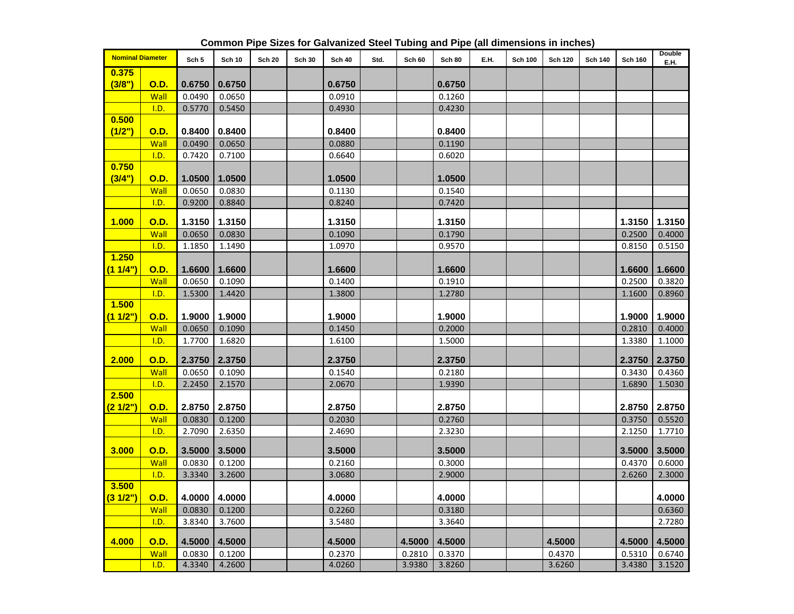| <b>Nominal Diameter</b> |             | Sch 5  | <b>Sch 10</b> | <b>Sch 20</b> | <b>Sch 30</b> | <b>Sch 40</b> | Std. | Sch 60 | <b>Sch 80</b> | E.H. | <b>Sch 100</b> | <b>Sch 120</b> | <b>Sch 140</b> | <b>Sch 160</b> | Double<br>E.H. |
|-------------------------|-------------|--------|---------------|---------------|---------------|---------------|------|--------|---------------|------|----------------|----------------|----------------|----------------|----------------|
| 0.375                   |             |        |               |               |               |               |      |        |               |      |                |                |                |                |                |
| (3/8")                  | <b>O.D.</b> | 0.6750 | 0.6750        |               |               | 0.6750        |      |        | 0.6750        |      |                |                |                |                |                |
|                         | Wall        | 0.0490 | 0.0650        |               |               | 0.0910        |      |        | 0.1260        |      |                |                |                |                |                |
|                         | I.D.        | 0.5770 | 0.5450        |               |               | 0.4930        |      |        | 0.4230        |      |                |                |                |                |                |
| 0.500                   |             |        |               |               |               |               |      |        |               |      |                |                |                |                |                |
| (1/2")                  | <b>O.D.</b> | 0.8400 | 0.8400        |               |               | 0.8400        |      |        | 0.8400        |      |                |                |                |                |                |
|                         | Wall        | 0.0490 | 0.0650        |               |               | 0.0880        |      |        | 0.1190        |      |                |                |                |                |                |
|                         | I.D.        | 0.7420 | 0.7100        |               |               | 0.6640        |      |        | 0.6020        |      |                |                |                |                |                |
| 0.750                   |             |        |               |               |               |               |      |        |               |      |                |                |                |                |                |
| (3/4")                  | <b>O.D.</b> | 1.0500 | 1.0500        |               |               | 1.0500        |      |        | 1.0500        |      |                |                |                |                |                |
|                         | Wall        | 0.0650 | 0.0830        |               |               | 0.1130        |      |        | 0.1540        |      |                |                |                |                |                |
|                         | I.D.        | 0.9200 | 0.8840        |               |               | 0.8240        |      |        | 0.7420        |      |                |                |                |                |                |
|                         |             |        | 1.3150        |               |               |               |      |        |               |      |                |                |                |                |                |
| 1.000                   | <b>O.D.</b> | 1.3150 |               |               |               | 1.3150        |      |        | 1.3150        |      |                |                |                | 1.3150         | 1.3150         |
|                         | Wall        | 0.0650 | 0.0830        |               |               | 0.1090        |      |        | 0.1790        |      |                |                |                | 0.2500         | 0.4000         |
| 1.250                   | I.D.        | 1.1850 | 1.1490        |               |               | 1.0970        |      |        | 0.9570        |      |                |                |                | 0.8150         | 0.5150         |
| (11/4")                 |             |        | 1.6600        |               |               | 1.6600        |      |        | 1.6600        |      |                |                |                |                | 1.6600         |
|                         | <u>O.D.</u> | 1.6600 |               |               |               |               |      |        |               |      |                |                |                | 1.6600         |                |
|                         | Wall        | 0.0650 | 0.1090        |               |               | 0.1400        |      |        | 0.1910        |      |                |                |                | 0.2500         | 0.3820         |
| 1.500                   | I.D.        | 1.5300 | 1.4420        |               |               | 1.3800        |      |        | 1.2780        |      |                |                |                | 1.1600         | 0.8960         |
| (11/2")                 | O.D.        | 1.9000 | 1.9000        |               |               | 1.9000        |      |        | 1.9000        |      |                |                |                | 1.9000         | 1.9000         |
|                         |             |        |               |               |               |               |      |        |               |      |                |                |                |                |                |
|                         | Wall        | 0.0650 | 0.1090        |               |               | 0.1450        |      |        | 0.2000        |      |                |                |                | 0.2810         | 0.4000         |
|                         | I.D.        | 1.7700 | 1.6820        |               |               | 1.6100        |      |        | 1.5000        |      |                |                |                | 1.3380         | 1.1000         |
| 2.000                   | <b>O.D.</b> | 2.3750 | 2.3750        |               |               | 2.3750        |      |        | 2.3750        |      |                |                |                | 2.3750         | 2.3750         |
|                         | Wall        | 0.0650 | 0.1090        |               |               | 0.1540        |      |        | 0.2180        |      |                |                |                | 0.3430         | 0.4360         |
|                         | I.D.        | 2.2450 | 2.1570        |               |               | 2.0670        |      |        | 1.9390        |      |                |                |                | 1.6890         | 1.5030         |
| 2.500                   |             |        |               |               |               |               |      |        |               |      |                |                |                |                |                |
| (21/2")                 | <b>O.D.</b> | 2.8750 | 2.8750        |               |               | 2.8750        |      |        | 2.8750        |      |                |                |                | 2.8750         | 2.8750         |
|                         | Wall        | 0.0830 | 0.1200        |               |               | 0.2030        |      |        | 0.2760        |      |                |                |                | 0.3750         | 0.5520         |
|                         | I.D.        | 2.7090 | 2.6350        |               |               | 2.4690        |      |        | 2.3230        |      |                |                |                | 2.1250         | 1.7710         |
|                         |             |        |               |               |               |               |      |        |               |      |                |                |                |                |                |
| 3.000                   | <b>O.D.</b> | 3.5000 | 3.5000        |               |               | 3.5000        |      |        | 3.5000        |      |                |                |                | 3.5000         | 3.5000         |
|                         | Wall        | 0.0830 | 0.1200        |               |               | 0.2160        |      |        | 0.3000        |      |                |                |                | 0.4370         | 0.6000         |
|                         | I.D.        | 3.3340 | 3.2600        |               |               | 3.0680        |      |        | 2.9000        |      |                |                |                | 2.6260         | 2.3000         |
| 3.500                   |             |        |               |               |               |               |      |        |               |      |                |                |                |                |                |
| (31/2")                 | <b>O.D.</b> | 4.0000 | 4.0000        |               |               | 4.0000        |      |        | 4.0000        |      |                |                |                |                | 4.0000         |
|                         | Wall        | 0.0830 | 0.1200        |               |               | 0.2260        |      |        | 0.3180        |      |                |                |                |                | 0.6360         |
|                         | I.D.        | 3.8340 | 3.7600        |               |               | 3.5480        |      |        | 3.3640        |      |                |                |                |                | 2.7280         |
| 4.000                   | <b>O.D.</b> | 4.5000 | 4.5000        |               |               | 4.5000        |      | 4.5000 | 4.5000        |      |                | 4.5000         |                | 4.5000         | 4.5000         |
|                         | Wall        | 0.0830 | 0.1200        |               |               | 0.2370        |      | 0.2810 | 0.3370        |      |                | 0.4370         |                | 0.5310         | 0.6740         |
|                         | I.D.        | 4.3340 | 4.2600        |               |               | 4.0260        |      | 3.9380 | 3.8260        |      |                | 3.6260         |                | 3.4380         | 3.1520         |

**Common Pipe Sizes for Galvanized Steel Tubing and Pipe (all dimensions in inches)**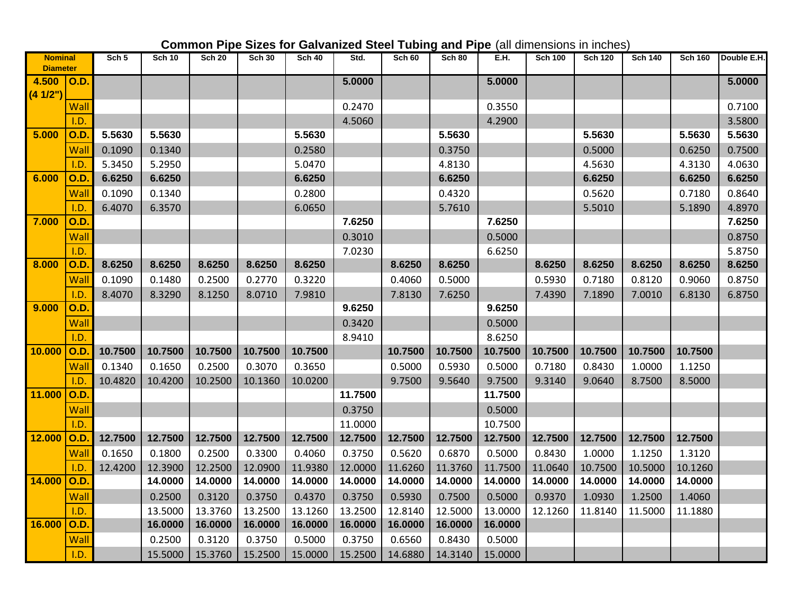| <b>Nominal</b>           |      | Sch <sub>5</sub> | <b>Sch 10</b> | <b>Sch 20</b> | <b>Sch 30</b>   | <b>Sch 40</b> | Std.    | <b>Sch 60</b> | <b>Sch 80</b> | E.H.    | <b>Sch 100</b> | <b>Sch 120</b> | <b>Sch 140</b> | <b>Sch 160</b> | Double E.H. |
|--------------------------|------|------------------|---------------|---------------|-----------------|---------------|---------|---------------|---------------|---------|----------------|----------------|----------------|----------------|-------------|
| <b>Diameter</b><br>4.500 |      |                  |               |               |                 |               | 5.0000  |               |               | 5.0000  |                |                |                |                | 5.0000      |
| (41/2")                  | O.D. |                  |               |               |                 |               |         |               |               |         |                |                |                |                |             |
|                          | Wall |                  |               |               |                 |               | 0.2470  |               |               | 0.3550  |                |                |                |                | 0.7100      |
|                          | I.D. |                  |               |               |                 |               | 4.5060  |               |               | 4.2900  |                |                |                |                | 3.5800      |
| 5.000                    | O.D  | 5.5630           | 5.5630        |               |                 | 5.5630        |         |               | 5.5630        |         |                | 5.5630         |                | 5.5630         | 5.5630      |
|                          | Wall | 0.1090           | 0.1340        |               |                 | 0.2580        |         |               | 0.3750        |         |                | 0.5000         |                | 0.6250         | 0.7500      |
|                          | I.D. | 5.3450           | 5.2950        |               |                 | 5.0470        |         |               | 4.8130        |         |                | 4.5630         |                | 4.3130         | 4.0630      |
| 6.000                    | O.D  | 6.6250           | 6.6250        |               |                 | 6.6250        |         |               | 6.6250        |         |                | 6.6250         |                | 6.6250         | 6.6250      |
|                          | Wall | 0.1090           | 0.1340        |               |                 | 0.2800        |         |               | 0.4320        |         |                | 0.5620         |                | 0.7180         | 0.8640      |
|                          | I.D. | 6.4070           | 6.3570        |               |                 | 6.0650        |         |               | 5.7610        |         |                | 5.5010         |                | 5.1890         | 4.8970      |
| 7.000                    | O.D. |                  |               |               |                 |               | 7.6250  |               |               | 7.6250  |                |                |                |                | 7.6250      |
|                          | Wall |                  |               |               |                 |               | 0.3010  |               |               | 0.5000  |                |                |                |                | 0.8750      |
|                          | I.D. |                  |               |               |                 |               | 7.0230  |               |               | 6.6250  |                |                |                |                | 5.8750      |
| 8.000                    | O.D  | 8.6250           | 8.6250        | 8.6250        | 8.6250          | 8.6250        |         | 8.6250        | 8.6250        |         | 8.6250         | 8.6250         | 8.6250         | 8.6250         | 8.6250      |
|                          | Wall | 0.1090           | 0.1480        | 0.2500        | 0.2770          | 0.3220        |         | 0.4060        | 0.5000        |         | 0.5930         | 0.7180         | 0.8120         | 0.9060         | 0.8750      |
|                          | I.D. | 8.4070           | 8.3290        | 8.1250        | 8.0710          | 7.9810        |         | 7.8130        | 7.6250        |         | 7.4390         | 7.1890         | 7.0010         | 6.8130         | 6.8750      |
| 9.000                    | O.D. |                  |               |               |                 |               | 9.6250  |               |               | 9.6250  |                |                |                |                |             |
|                          | Wall |                  |               |               |                 |               | 0.3420  |               |               | 0.5000  |                |                |                |                |             |
|                          | I.D. |                  |               |               |                 |               | 8.9410  |               |               | 8.6250  |                |                |                |                |             |
| 10.000                   | O.D  | 10.7500          | 10.7500       | 10.7500       | 10.7500         | 10.7500       |         | 10.7500       | 10.7500       | 10.7500 | 10.7500        | 10.7500        | 10.7500        | 10.7500        |             |
|                          | Wall | 0.1340           | 0.1650        | 0.2500        | 0.3070          | 0.3650        |         | 0.5000        | 0.5930        | 0.5000  | 0.7180         | 0.8430         | 1.0000         | 1.1250         |             |
|                          | I.D. | 10.4820          | 10.4200       | 10.2500       | 10.1360         | 10.0200       |         | 9.7500        | 9.5640        | 9.7500  | 9.3140         | 9.0640         | 8.7500         | 8.5000         |             |
| 11.000                   | O.D  |                  |               |               |                 |               | 11.7500 |               |               | 11.7500 |                |                |                |                |             |
|                          | Wall |                  |               |               |                 |               | 0.3750  |               |               | 0.5000  |                |                |                |                |             |
|                          | I.D. |                  |               |               |                 |               | 11.0000 |               |               | 10.7500 |                |                |                |                |             |
| 12.000                   | O.D. | 12.7500          | 12.7500       | 12.7500       | 12.7500         | 12.7500       | 12.7500 | 12.7500       | 12.7500       | 12.7500 | 12.7500        | 12.7500        | 12.7500        | 12.7500        |             |
|                          | Wall | 0.1650           | 0.1800        | 0.2500        | 0.3300          | 0.4060        | 0.3750  | 0.5620        | 0.6870        | 0.5000  | 0.8430         | 1.0000         | 1.1250         | 1.3120         |             |
|                          | 1.D  | 12.4200          | 12.3900       | 12.2500       | 12.0900         | 11.9380       | 12.0000 | 11.6260       | 11.3760       | 11.7500 | 11.0640        | 10.7500        | 10.5000        | 10.1260        |             |
| 14.000                   | O.D  |                  | 14.0000       | 14.0000       | 14.0000         | 14.0000       | 14.0000 | 14.0000       | 14.0000       | 14.0000 | 14.0000        | 14.0000        | 14.0000        | 14.0000        |             |
|                          | Wall |                  | 0.2500        | 0.3120        | 0.3750          | 0.4370        | 0.3750  | 0.5930        | 0.7500        | 0.5000  | 0.9370         | 1.0930         | 1.2500         | 1.4060         |             |
|                          | I.D. |                  | 13.5000       | 13.3760       | 13.2500         | 13.1260       | 13.2500 | 12.8140       | 12.5000       | 13.0000 | 12.1260        | 11.8140        | 11.5000        | 11.1880        |             |
| 16.000                   | O.D. |                  | 16.0000       | 16.0000       | 16.0000         | 16.0000       | 16.0000 | 16.0000       | 16.0000       | 16.0000 |                |                |                |                |             |
|                          | Wall |                  | 0.2500        | 0.3120        | 0.3750          | 0.5000        | 0.3750  | 0.6560        | 0.8430        | 0.5000  |                |                |                |                |             |
|                          | I.D. |                  | 15.5000       |               | 15.3760 15.2500 | 15.0000       | 15.2500 | 14.6880       | 14.3140       | 15.0000 |                |                |                |                |             |

# **Common Pipe Sizes for Galvanized Steel Tubing and Pipe** (all dimensions in inches)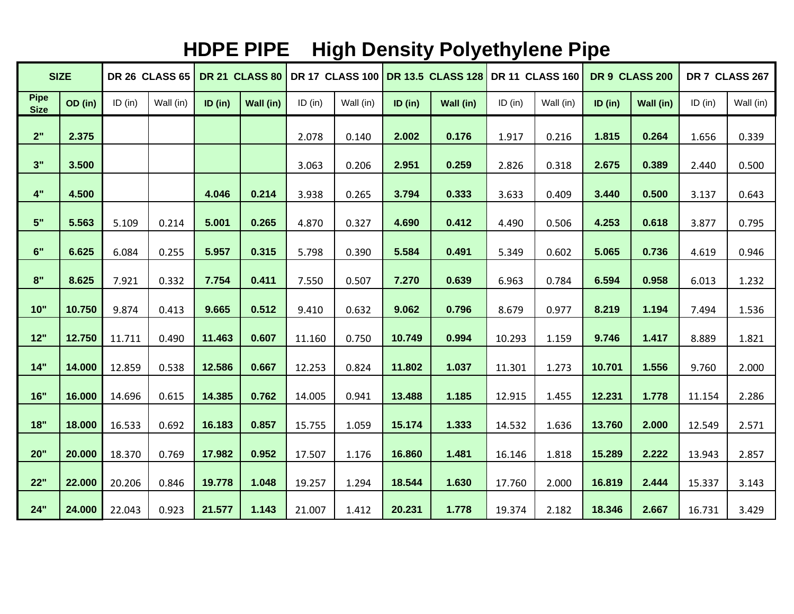# **HDPE PIPE High Density Polyethylene Pipe**

|                            | <b>SIZE</b> |         | <b>DR 26 CLASS 65</b> |         | <b>DR 21 CLASS 80</b> |           |           |         | DR 17 CLASS 100 DR 13.5 CLASS 128 |           | <b>DR 11 CLASS 160</b> |         | DR 9 CLASS 200 |           | DR 7 CLASS 267 |
|----------------------------|-------------|---------|-----------------------|---------|-----------------------|-----------|-----------|---------|-----------------------------------|-----------|------------------------|---------|----------------|-----------|----------------|
| <b>Pipe</b><br><b>Size</b> | OD (in)     | ID (in) | Wall (in)             | ID (in) | Wall (in)             | $ID$ (in) | Wall (in) | ID (in) | Wall (in)                         | $ID$ (in) | Wall (in)              | ID (in) | Wall (in)      | $ID$ (in) | Wall (in)      |
| 2"                         | 2.375       |         |                       |         |                       | 2.078     | 0.140     | 2.002   | 0.176                             | 1.917     | 0.216                  | 1.815   | 0.264          | 1.656     | 0.339          |
| 3"                         | 3.500       |         |                       |         |                       | 3.063     | 0.206     | 2.951   | 0.259                             | 2.826     | 0.318                  | 2.675   | 0.389          | 2.440     | 0.500          |
| 4"                         | 4.500       |         |                       | 4.046   | 0.214                 | 3.938     | 0.265     | 3.794   | 0.333                             | 3.633     | 0.409                  | 3.440   | 0.500          | 3.137     | 0.643          |
| 5"                         | 5.563       | 5.109   | 0.214                 | 5.001   | 0.265                 | 4.870     | 0.327     | 4.690   | 0.412                             | 4.490     | 0.506                  | 4.253   | 0.618          | 3.877     | 0.795          |
| 6"                         | 6.625       | 6.084   | 0.255                 | 5.957   | 0.315                 | 5.798     | 0.390     | 5.584   | 0.491                             | 5.349     | 0.602                  | 5.065   | 0.736          | 4.619     | 0.946          |
| 8"                         | 8.625       | 7.921   | 0.332                 | 7.754   | 0.411                 | 7.550     | 0.507     | 7.270   | 0.639                             | 6.963     | 0.784                  | 6.594   | 0.958          | 6.013     | 1.232          |
| 10"                        | 10.750      | 9.874   | 0.413                 | 9.665   | 0.512                 | 9.410     | 0.632     | 9.062   | 0.796                             | 8.679     | 0.977                  | 8.219   | 1.194          | 7.494     | 1.536          |
| 12"                        | 12.750      | 11.711  | 0.490                 | 11.463  | 0.607                 | 11.160    | 0.750     | 10.749  | 0.994                             | 10.293    | 1.159                  | 9.746   | 1.417          | 8.889     | 1.821          |
| 14"                        | 14.000      | 12.859  | 0.538                 | 12.586  | 0.667                 | 12.253    | 0.824     | 11.802  | 1.037                             | 11.301    | 1.273                  | 10.701  | 1.556          | 9.760     | 2.000          |
| 16"                        | 16.000      | 14.696  | 0.615                 | 14.385  | 0.762                 | 14.005    | 0.941     | 13.488  | 1.185                             | 12.915    | 1.455                  | 12.231  | 1.778          | 11.154    | 2.286          |
| 18"                        | 18.000      | 16.533  | 0.692                 | 16.183  | 0.857                 | 15.755    | 1.059     | 15.174  | 1.333                             | 14.532    | 1.636                  | 13.760  | 2.000          | 12.549    | 2.571          |
| 20"                        | 20.000      | 18.370  | 0.769                 | 17.982  | 0.952                 | 17.507    | 1.176     | 16.860  | 1.481                             | 16.146    | 1.818                  | 15.289  | 2.222          | 13.943    | 2.857          |
| 22"                        | 22.000      | 20.206  | 0.846                 | 19.778  | 1.048                 | 19.257    | 1.294     | 18.544  | 1.630                             | 17.760    | 2.000                  | 16.819  | 2.444          | 15.337    | 3.143          |
| 24"                        | 24.000      | 22.043  | 0.923                 | 21.577  | 1.143                 | 21.007    | 1.412     | 20.231  | 1.778                             | 19.374    | 2.182                  | 18.346  | 2.667          | 16.731    | 3.429          |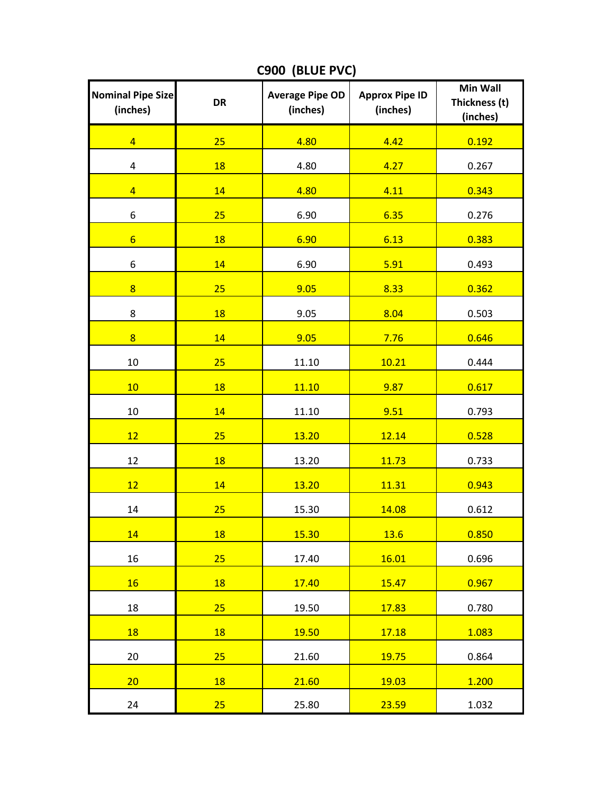| <b>Nominal Pipe Size</b><br>(inches) | <b>DR</b> | <b>Average Pipe OD</b><br>(inches) | <b>Approx Pipe ID</b><br>(inches) | <b>Min Wall</b><br>Thickness (t)<br>(inches) |
|--------------------------------------|-----------|------------------------------------|-----------------------------------|----------------------------------------------|
| $\overline{4}$                       | 25        | 4.80                               | 4.42                              | 0.192                                        |
| $\overline{\mathbf{4}}$              | 18        | 4.80                               | 4.27                              | 0.267                                        |
| $\overline{4}$                       | 14        | 4.80                               | 4.11                              | 0.343                                        |
| 6                                    | 25        | 6.90                               | 6.35                              | 0.276                                        |
| $6\overline{6}$                      | 18        | 6.90                               | 6.13                              | 0.383                                        |
| 6                                    | 14        | 6.90                               | 5.91                              | 0.493                                        |
| $\overline{8}$                       | 25        | 9.05                               | 8.33                              | 0.362                                        |
| 8                                    | 18        | 9.05                               | 8.04                              | 0.503                                        |
| $\overline{8}$                       | 14        | 9.05                               | 7.76                              | 0.646                                        |
| 10                                   | 25        | 11.10                              | 10.21                             | 0.444                                        |
| 10                                   | 18        | 11.10                              | 9.87                              | 0.617                                        |
| 10                                   | 14        | 11.10                              | 9.51                              | 0.793                                        |
| 12                                   | 25        | 13.20                              | 12.14                             | 0.528                                        |
| 12                                   | 18        | 13.20                              | 11.73                             | 0.733                                        |
| 12                                   | 14        | 13.20                              | 11.31                             | 0.943                                        |
| 14                                   | 25        | 15.30                              | 14.08                             | 0.612                                        |
| 14                                   | 18        | 15.30                              | 13.6                              | 0.850                                        |
| 16                                   | 25        | 17.40                              | 16.01                             | 0.696                                        |
| 16                                   | 18        | 17.40                              | 15.47                             | 0.967                                        |
| 18                                   | 25        | 19.50                              | 17.83                             | 0.780                                        |
| 18                                   | 18        | 19.50                              | 17.18                             | 1.083                                        |
| 20                                   | 25        | 21.60                              | 19.75                             | 0.864                                        |
| 20                                   | 18        | 21.60                              | 19.03                             | 1.200                                        |
| 24                                   | 25        | 25.80                              | 23.59                             | 1.032                                        |

**C900 (BLUE PVC)**